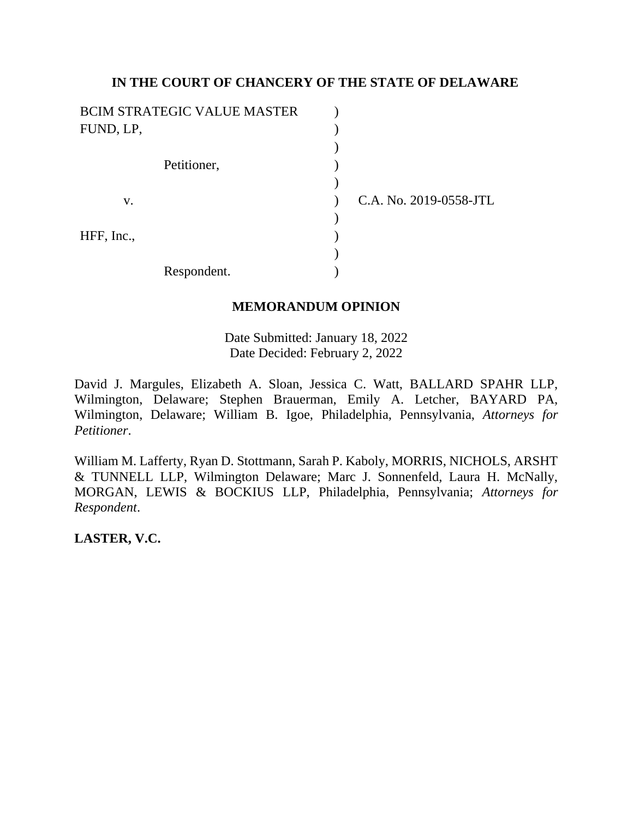# **IN THE COURT OF CHANCERY OF THE STATE OF DELAWARE**

| <b>BCIM STRATEGIC VALUE MASTER</b> |                        |
|------------------------------------|------------------------|
| FUND, LP,                          |                        |
|                                    |                        |
| Petitioner,                        |                        |
|                                    |                        |
| V.                                 | C.A. No. 2019-0558-JTL |
|                                    |                        |
| HFF, Inc.,                         |                        |
|                                    |                        |
| Respondent.                        |                        |

# **MEMORANDUM OPINION**

Date Submitted: January 18, 2022 Date Decided: February 2, 2022

David J. Margules, Elizabeth A. Sloan, Jessica C. Watt, BALLARD SPAHR LLP, Wilmington, Delaware; Stephen Brauerman, Emily A. Letcher, BAYARD PA, Wilmington, Delaware; William B. Igoe, Philadelphia, Pennsylvania, *Attorneys for Petitioner*.

William M. Lafferty, Ryan D. Stottmann, Sarah P. Kaboly, MORRIS, NICHOLS, ARSHT & TUNNELL LLP, Wilmington Delaware; Marc J. Sonnenfeld, Laura H. McNally, MORGAN, LEWIS & BOCKIUS LLP, Philadelphia, Pennsylvania; *Attorneys for Respondent*.

**LASTER, V.C.**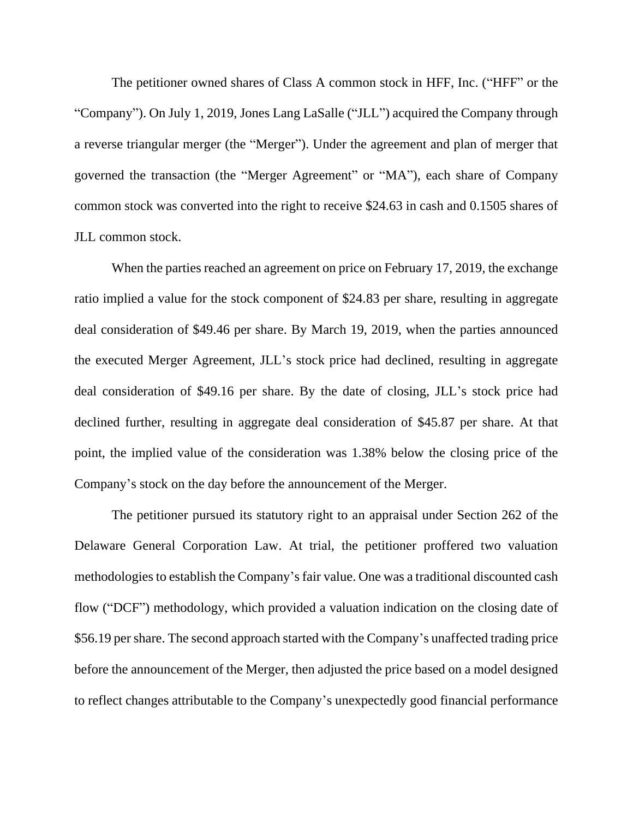The petitioner owned shares of Class A common stock in HFF, Inc. ("HFF" or the "Company"). On July 1, 2019, Jones Lang LaSalle ("JLL") acquired the Company through a reverse triangular merger (the "Merger"). Under the agreement and plan of merger that governed the transaction (the "Merger Agreement" or "MA"), each share of Company common stock was converted into the right to receive \$24.63 in cash and 0.1505 shares of JLL common stock.

When the parties reached an agreement on price on February 17, 2019, the exchange ratio implied a value for the stock component of \$24.83 per share, resulting in aggregate deal consideration of \$49.46 per share. By March 19, 2019, when the parties announced the executed Merger Agreement, JLL's stock price had declined, resulting in aggregate deal consideration of \$49.16 per share. By the date of closing, JLL's stock price had declined further, resulting in aggregate deal consideration of \$45.87 per share. At that point, the implied value of the consideration was 1.38% below the closing price of the Company's stock on the day before the announcement of the Merger.

The petitioner pursued its statutory right to an appraisal under Section 262 of the Delaware General Corporation Law. At trial, the petitioner proffered two valuation methodologies to establish the Company's fair value. One was a traditional discounted cash flow ("DCF") methodology, which provided a valuation indication on the closing date of \$56.19 per share. The second approach started with the Company's unaffected trading price before the announcement of the Merger, then adjusted the price based on a model designed to reflect changes attributable to the Company's unexpectedly good financial performance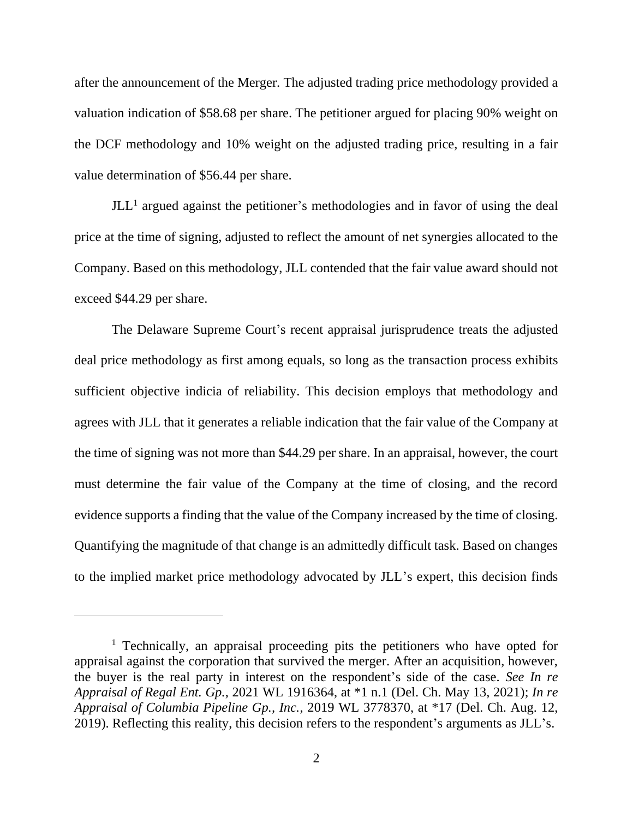after the announcement of the Merger. The adjusted trading price methodology provided a valuation indication of \$58.68 per share. The petitioner argued for placing 90% weight on the DCF methodology and 10% weight on the adjusted trading price, resulting in a fair value determination of \$56.44 per share.

 $JLL<sup>1</sup>$  argued against the petitioner's methodologies and in favor of using the deal price at the time of signing, adjusted to reflect the amount of net synergies allocated to the Company. Based on this methodology, JLL contended that the fair value award should not exceed \$44.29 per share.

The Delaware Supreme Court's recent appraisal jurisprudence treats the adjusted deal price methodology as first among equals, so long as the transaction process exhibits sufficient objective indicia of reliability. This decision employs that methodology and agrees with JLL that it generates a reliable indication that the fair value of the Company at the time of signing was not more than \$44.29 per share. In an appraisal, however, the court must determine the fair value of the Company at the time of closing, and the record evidence supports a finding that the value of the Company increased by the time of closing. Quantifying the magnitude of that change is an admittedly difficult task. Based on changes to the implied market price methodology advocated by JLL's expert, this decision finds

<sup>&</sup>lt;sup>1</sup> Technically, an appraisal proceeding pits the petitioners who have opted for appraisal against the corporation that survived the merger. After an acquisition, however, the buyer is the real party in interest on the respondent's side of the case. *See In re Appraisal of Regal Ent. Gp.*, 2021 WL 1916364, at \*1 n.1 (Del. Ch. May 13, 2021); *In re Appraisal of Columbia Pipeline Gp., Inc.*, 2019 WL 3778370, at \*17 (Del. Ch. Aug. 12, 2019). Reflecting this reality, this decision refers to the respondent's arguments as JLL's.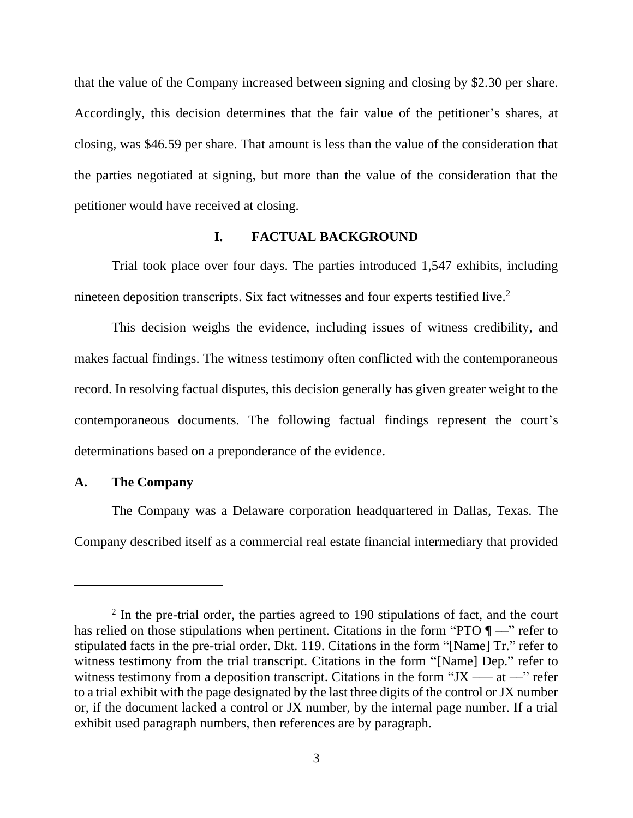that the value of the Company increased between signing and closing by \$2.30 per share. Accordingly, this decision determines that the fair value of the petitioner's shares, at closing, was \$46.59 per share. That amount is less than the value of the consideration that the parties negotiated at signing, but more than the value of the consideration that the petitioner would have received at closing.

# **I. FACTUAL BACKGROUND**

Trial took place over four days. The parties introduced 1,547 exhibits, including nineteen deposition transcripts. Six fact witnesses and four experts testified live.<sup>2</sup>

This decision weighs the evidence, including issues of witness credibility, and makes factual findings. The witness testimony often conflicted with the contemporaneous record. In resolving factual disputes, this decision generally has given greater weight to the contemporaneous documents. The following factual findings represent the court's determinations based on a preponderance of the evidence.

## **A. The Company**

The Company was a Delaware corporation headquartered in Dallas, Texas. The Company described itself as a commercial real estate financial intermediary that provided

<sup>&</sup>lt;sup>2</sup> In the pre-trial order, the parties agreed to 190 stipulations of fact, and the court has relied on those stipulations when pertinent. Citations in the form "PTO  $\P$ —" refer to stipulated facts in the pre-trial order. Dkt. 119. Citations in the form "[Name] Tr." refer to witness testimony from the trial transcript. Citations in the form "[Name] Dep." refer to witness testimony from a deposition transcript. Citations in the form "JX —— $\alpha$  –" refer to a trial exhibit with the page designated by the last three digits of the control or JX number or, if the document lacked a control or JX number, by the internal page number. If a trial exhibit used paragraph numbers, then references are by paragraph.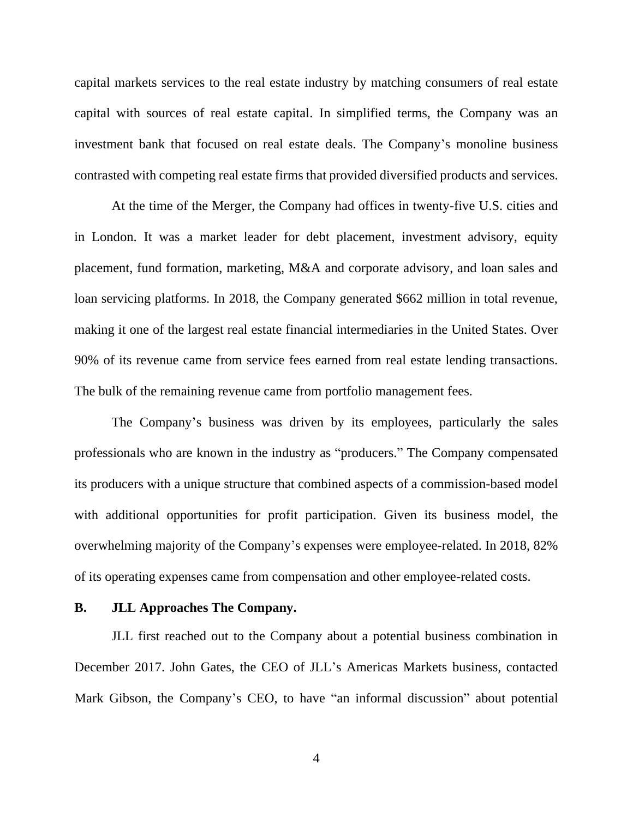capital markets services to the real estate industry by matching consumers of real estate capital with sources of real estate capital. In simplified terms, the Company was an investment bank that focused on real estate deals. The Company's monoline business contrasted with competing real estate firms that provided diversified products and services.

At the time of the Merger, the Company had offices in twenty-five U.S. cities and in London. It was a market leader for debt placement, investment advisory, equity placement, fund formation, marketing, M&A and corporate advisory, and loan sales and loan servicing platforms. In 2018, the Company generated \$662 million in total revenue, making it one of the largest real estate financial intermediaries in the United States. Over 90% of its revenue came from service fees earned from real estate lending transactions. The bulk of the remaining revenue came from portfolio management fees.

The Company's business was driven by its employees, particularly the sales professionals who are known in the industry as "producers." The Company compensated its producers with a unique structure that combined aspects of a commission-based model with additional opportunities for profit participation. Given its business model, the overwhelming majority of the Company's expenses were employee-related. In 2018, 82% of its operating expenses came from compensation and other employee-related costs.

## **B. JLL Approaches The Company.**

JLL first reached out to the Company about a potential business combination in December 2017. John Gates, the CEO of JLL's Americas Markets business, contacted Mark Gibson, the Company's CEO, to have "an informal discussion" about potential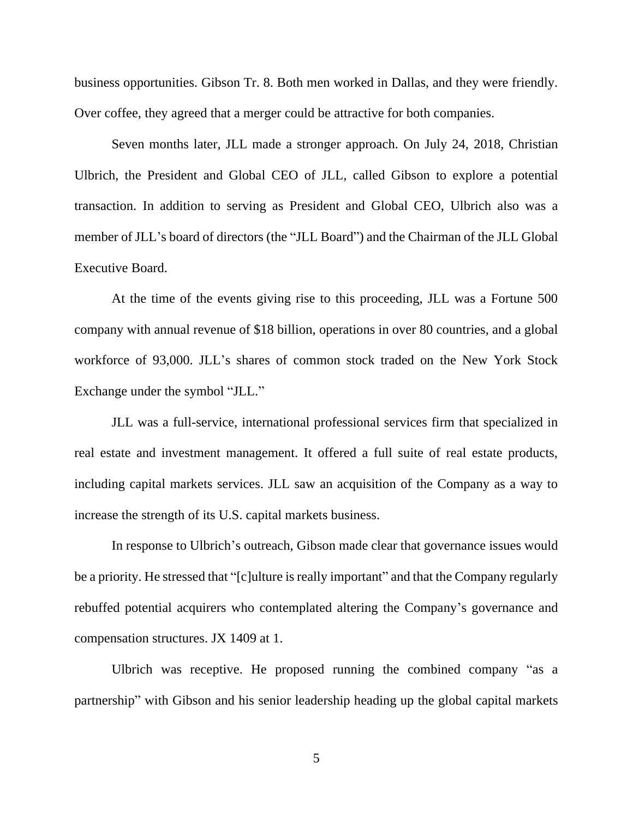business opportunities. Gibson Tr. 8. Both men worked in Dallas, and they were friendly. Over coffee, they agreed that a merger could be attractive for both companies.

Seven months later, JLL made a stronger approach. On July 24, 2018, Christian Ulbrich, the President and Global CEO of JLL, called Gibson to explore a potential transaction. In addition to serving as President and Global CEO, Ulbrich also was a member of JLL's board of directors (the "JLL Board") and the Chairman of the JLL Global Executive Board.

At the time of the events giving rise to this proceeding, JLL was a Fortune 500 company with annual revenue of \$18 billion, operations in over 80 countries, and a global workforce of 93,000. JLL's shares of common stock traded on the New York Stock Exchange under the symbol "JLL."

JLL was a full-service, international professional services firm that specialized in real estate and investment management. It offered a full suite of real estate products, including capital markets services. JLL saw an acquisition of the Company as a way to increase the strength of its U.S. capital markets business.

In response to Ulbrich's outreach, Gibson made clear that governance issues would be a priority. He stressed that "[c]ulture is really important" and that the Company regularly rebuffed potential acquirers who contemplated altering the Company's governance and compensation structures. JX 1409 at 1.

Ulbrich was receptive. He proposed running the combined company "as a partnership" with Gibson and his senior leadership heading up the global capital markets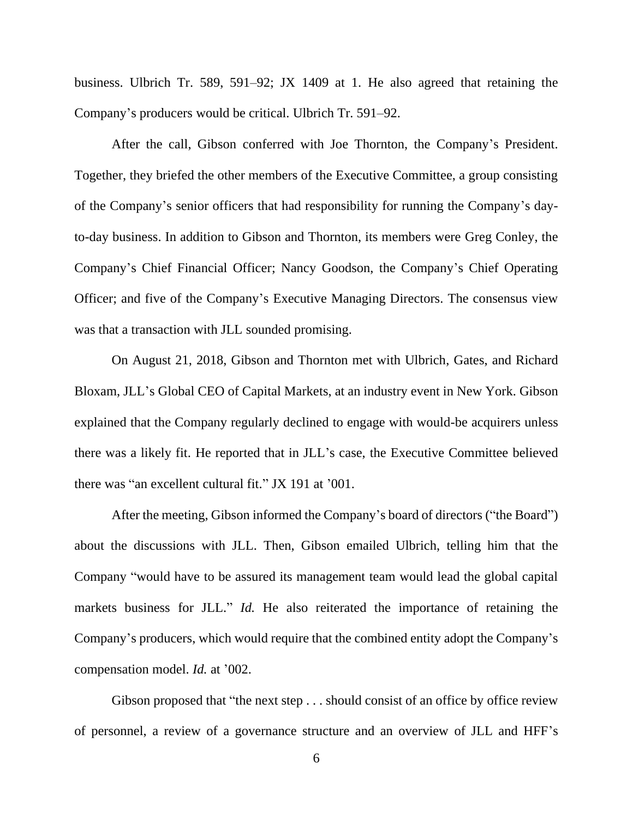business. Ulbrich Tr. 589, 591–92; JX 1409 at 1. He also agreed that retaining the Company's producers would be critical. Ulbrich Tr. 591–92.

After the call, Gibson conferred with Joe Thornton, the Company's President. Together, they briefed the other members of the Executive Committee, a group consisting of the Company's senior officers that had responsibility for running the Company's dayto-day business. In addition to Gibson and Thornton, its members were Greg Conley, the Company's Chief Financial Officer; Nancy Goodson, the Company's Chief Operating Officer; and five of the Company's Executive Managing Directors. The consensus view was that a transaction with JLL sounded promising.

On August 21, 2018, Gibson and Thornton met with Ulbrich, Gates, and Richard Bloxam, JLL's Global CEO of Capital Markets, at an industry event in New York. Gibson explained that the Company regularly declined to engage with would-be acquirers unless there was a likely fit. He reported that in JLL's case, the Executive Committee believed there was "an excellent cultural fit." JX 191 at '001.

After the meeting, Gibson informed the Company's board of directors ("the Board") about the discussions with JLL. Then, Gibson emailed Ulbrich, telling him that the Company "would have to be assured its management team would lead the global capital markets business for JLL." *Id.* He also reiterated the importance of retaining the Company's producers, which would require that the combined entity adopt the Company's compensation model. *Id.* at '002.

Gibson proposed that "the next step . . . should consist of an office by office review of personnel, a review of a governance structure and an overview of JLL and HFF's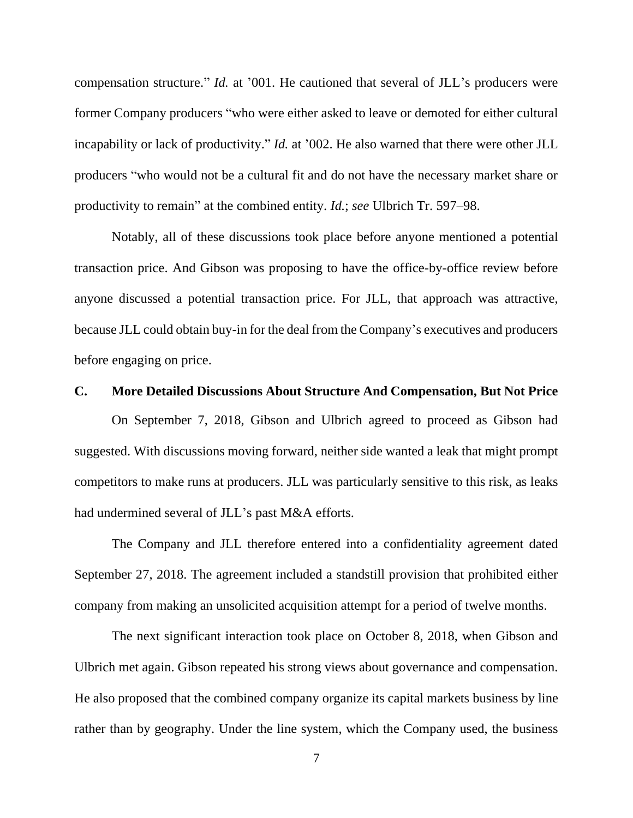compensation structure." *Id.* at '001. He cautioned that several of JLL's producers were former Company producers "who were either asked to leave or demoted for either cultural incapability or lack of productivity." *Id.* at '002. He also warned that there were other JLL producers "who would not be a cultural fit and do not have the necessary market share or productivity to remain" at the combined entity. *Id.*; *see* Ulbrich Tr. 597–98.

Notably, all of these discussions took place before anyone mentioned a potential transaction price. And Gibson was proposing to have the office-by-office review before anyone discussed a potential transaction price. For JLL, that approach was attractive, because JLL could obtain buy-in for the deal from the Company's executives and producers before engaging on price.

#### **C. More Detailed Discussions About Structure And Compensation, But Not Price**

On September 7, 2018, Gibson and Ulbrich agreed to proceed as Gibson had suggested. With discussions moving forward, neither side wanted a leak that might prompt competitors to make runs at producers. JLL was particularly sensitive to this risk, as leaks had undermined several of JLL's past M&A efforts.

The Company and JLL therefore entered into a confidentiality agreement dated September 27, 2018. The agreement included a standstill provision that prohibited either company from making an unsolicited acquisition attempt for a period of twelve months.

The next significant interaction took place on October 8, 2018, when Gibson and Ulbrich met again. Gibson repeated his strong views about governance and compensation. He also proposed that the combined company organize its capital markets business by line rather than by geography. Under the line system, which the Company used, the business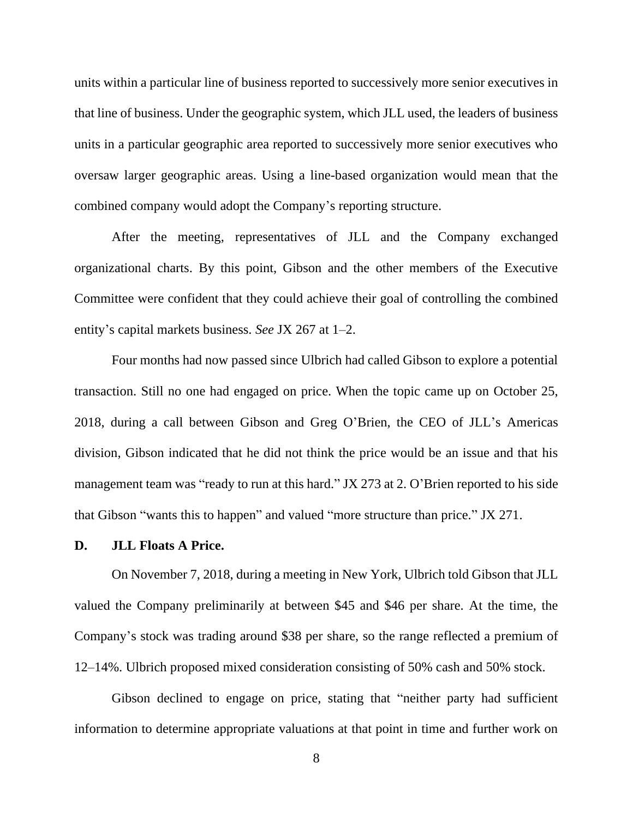units within a particular line of business reported to successively more senior executives in that line of business. Under the geographic system, which JLL used, the leaders of business units in a particular geographic area reported to successively more senior executives who oversaw larger geographic areas. Using a line-based organization would mean that the combined company would adopt the Company's reporting structure.

After the meeting, representatives of JLL and the Company exchanged organizational charts. By this point, Gibson and the other members of the Executive Committee were confident that they could achieve their goal of controlling the combined entity's capital markets business. *See* JX 267 at 1–2.

Four months had now passed since Ulbrich had called Gibson to explore a potential transaction. Still no one had engaged on price. When the topic came up on October 25, 2018, during a call between Gibson and Greg O'Brien, the CEO of JLL's Americas division, Gibson indicated that he did not think the price would be an issue and that his management team was "ready to run at this hard." JX 273 at 2. O'Brien reported to his side that Gibson "wants this to happen" and valued "more structure than price." JX 271.

#### **D. JLL Floats A Price.**

On November 7, 2018, during a meeting in New York, Ulbrich told Gibson that JLL valued the Company preliminarily at between \$45 and \$46 per share. At the time, the Company's stock was trading around \$38 per share, so the range reflected a premium of 12–14%. Ulbrich proposed mixed consideration consisting of 50% cash and 50% stock.

Gibson declined to engage on price, stating that "neither party had sufficient information to determine appropriate valuations at that point in time and further work on

8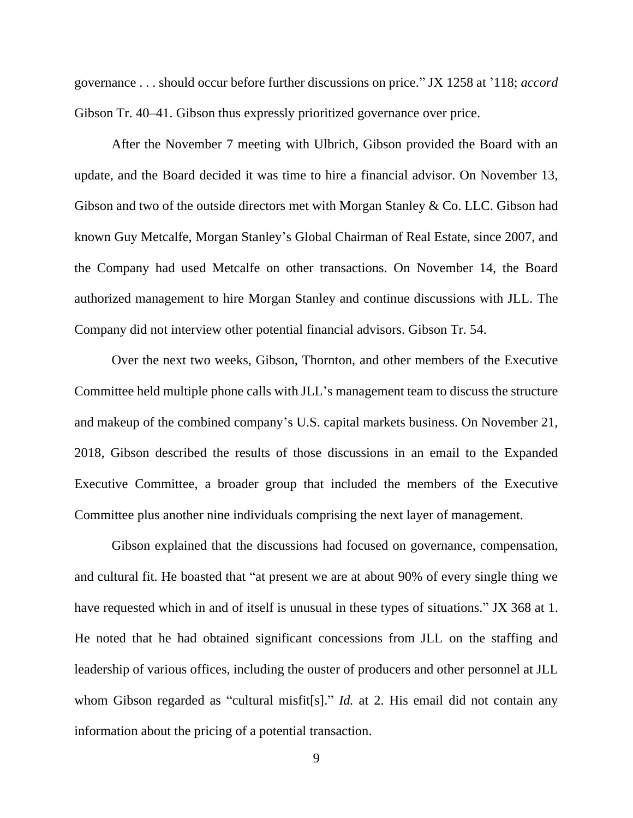governance . . . should occur before further discussions on price." JX 1258 at '118; *accord* Gibson Tr. 40–41. Gibson thus expressly prioritized governance over price.

After the November 7 meeting with Ulbrich, Gibson provided the Board with an update, and the Board decided it was time to hire a financial advisor. On November 13, Gibson and two of the outside directors met with Morgan Stanley & Co. LLC. Gibson had known Guy Metcalfe, Morgan Stanley's Global Chairman of Real Estate, since 2007, and the Company had used Metcalfe on other transactions. On November 14, the Board authorized management to hire Morgan Stanley and continue discussions with JLL. The Company did not interview other potential financial advisors. Gibson Tr. 54.

Over the next two weeks, Gibson, Thornton, and other members of the Executive Committee held multiple phone calls with JLL's management team to discuss the structure and makeup of the combined company's U.S. capital markets business. On November 21, 2018, Gibson described the results of those discussions in an email to the Expanded Executive Committee, a broader group that included the members of the Executive Committee plus another nine individuals comprising the next layer of management.

Gibson explained that the discussions had focused on governance, compensation, and cultural fit. He boasted that "at present we are at about 90% of every single thing we have requested which in and of itself is unusual in these types of situations." JX 368 at 1. He noted that he had obtained significant concessions from JLL on the staffing and leadership of various offices, including the ouster of producers and other personnel at JLL whom Gibson regarded as "cultural misfit[s]." *Id.* at 2. His email did not contain any information about the pricing of a potential transaction.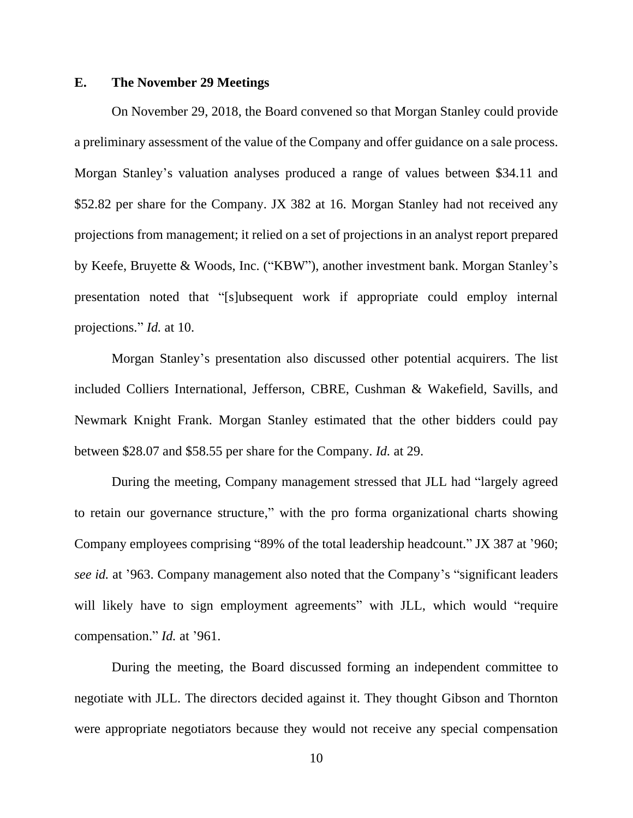### **E. The November 29 Meetings**

On November 29, 2018, the Board convened so that Morgan Stanley could provide a preliminary assessment of the value of the Company and offer guidance on a sale process. Morgan Stanley's valuation analyses produced a range of values between \$34.11 and \$52.82 per share for the Company. JX 382 at 16. Morgan Stanley had not received any projections from management; it relied on a set of projections in an analyst report prepared by Keefe, Bruyette & Woods, Inc. ("KBW"), another investment bank. Morgan Stanley's presentation noted that "[s]ubsequent work if appropriate could employ internal projections." *Id.* at 10.

Morgan Stanley's presentation also discussed other potential acquirers. The list included Colliers International, Jefferson, CBRE, Cushman & Wakefield, Savills, and Newmark Knight Frank. Morgan Stanley estimated that the other bidders could pay between \$28.07 and \$58.55 per share for the Company. *Id.* at 29.

During the meeting, Company management stressed that JLL had "largely agreed to retain our governance structure," with the pro forma organizational charts showing Company employees comprising "89% of the total leadership headcount." JX 387 at '960; *see id.* at '963. Company management also noted that the Company's "significant leaders will likely have to sign employment agreements" with JLL, which would "require compensation." *Id.* at '961.

During the meeting, the Board discussed forming an independent committee to negotiate with JLL. The directors decided against it. They thought Gibson and Thornton were appropriate negotiators because they would not receive any special compensation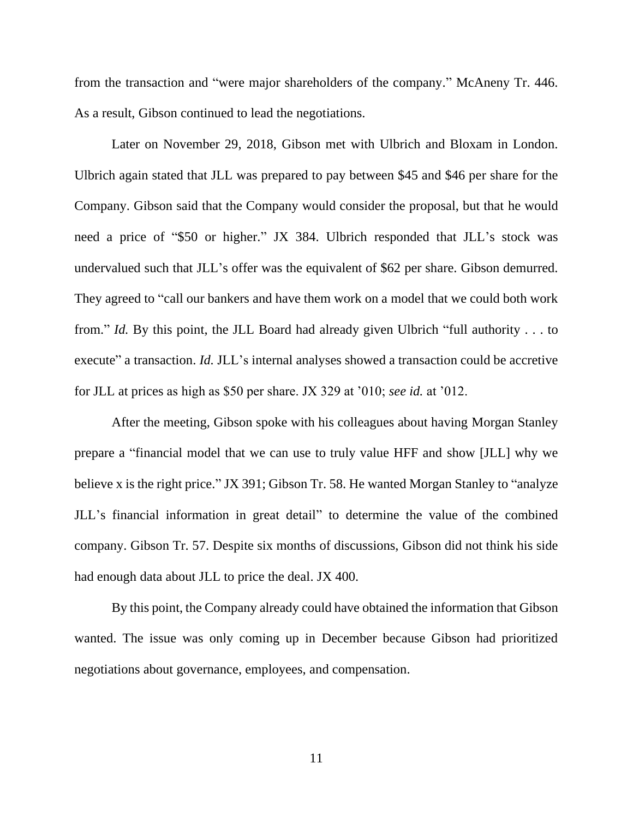from the transaction and "were major shareholders of the company." McAneny Tr. 446. As a result, Gibson continued to lead the negotiations.

Later on November 29, 2018, Gibson met with Ulbrich and Bloxam in London. Ulbrich again stated that JLL was prepared to pay between \$45 and \$46 per share for the Company. Gibson said that the Company would consider the proposal, but that he would need a price of "\$50 or higher." JX 384. Ulbrich responded that JLL's stock was undervalued such that JLL's offer was the equivalent of \$62 per share. Gibson demurred. They agreed to "call our bankers and have them work on a model that we could both work from." *Id.* By this point, the JLL Board had already given Ulbrich "full authority . . . to execute" a transaction. *Id.* JLL's internal analyses showed a transaction could be accretive for JLL at prices as high as \$50 per share. JX 329 at '010; *see id.* at '012.

After the meeting, Gibson spoke with his colleagues about having Morgan Stanley prepare a "financial model that we can use to truly value HFF and show [JLL] why we believe x is the right price." JX 391; Gibson Tr. 58. He wanted Morgan Stanley to "analyze JLL's financial information in great detail" to determine the value of the combined company. Gibson Tr. 57. Despite six months of discussions, Gibson did not think his side had enough data about JLL to price the deal. JX 400.

By this point, the Company already could have obtained the information that Gibson wanted. The issue was only coming up in December because Gibson had prioritized negotiations about governance, employees, and compensation.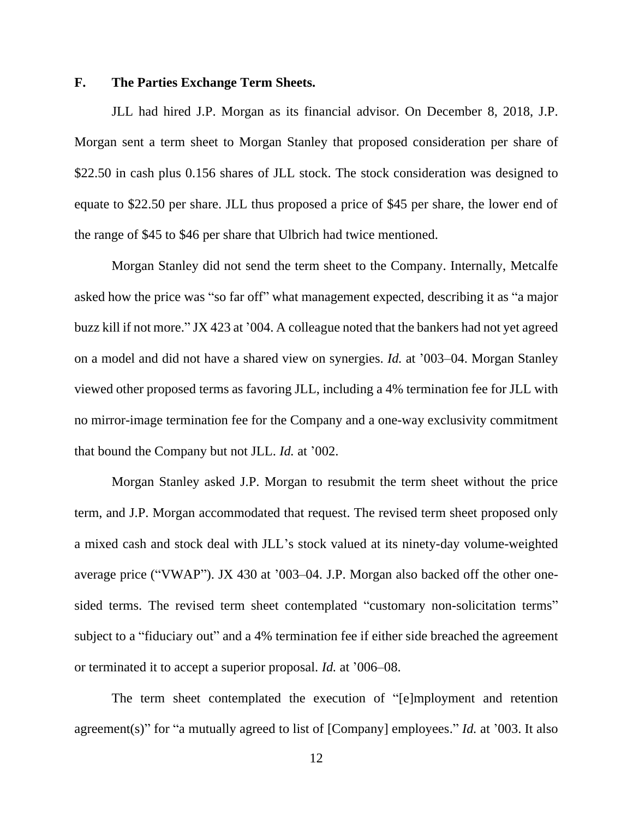## **F. The Parties Exchange Term Sheets.**

JLL had hired J.P. Morgan as its financial advisor. On December 8, 2018, J.P. Morgan sent a term sheet to Morgan Stanley that proposed consideration per share of \$22.50 in cash plus 0.156 shares of JLL stock. The stock consideration was designed to equate to \$22.50 per share. JLL thus proposed a price of \$45 per share, the lower end of the range of \$45 to \$46 per share that Ulbrich had twice mentioned.

Morgan Stanley did not send the term sheet to the Company. Internally, Metcalfe asked how the price was "so far off" what management expected, describing it as "a major buzz kill if not more." JX 423 at '004. A colleague noted that the bankers had not yet agreed on a model and did not have a shared view on synergies. *Id.* at '003–04. Morgan Stanley viewed other proposed terms as favoring JLL, including a 4% termination fee for JLL with no mirror-image termination fee for the Company and a one-way exclusivity commitment that bound the Company but not JLL. *Id.* at '002.

Morgan Stanley asked J.P. Morgan to resubmit the term sheet without the price term, and J.P. Morgan accommodated that request. The revised term sheet proposed only a mixed cash and stock deal with JLL's stock valued at its ninety-day volume-weighted average price ("VWAP"). JX 430 at '003–04. J.P. Morgan also backed off the other onesided terms. The revised term sheet contemplated "customary non-solicitation terms" subject to a "fiduciary out" and a 4% termination fee if either side breached the agreement or terminated it to accept a superior proposal. *Id.* at '006–08.

The term sheet contemplated the execution of "[e]mployment and retention agreement(s)" for "a mutually agreed to list of [Company] employees." *Id.* at '003. It also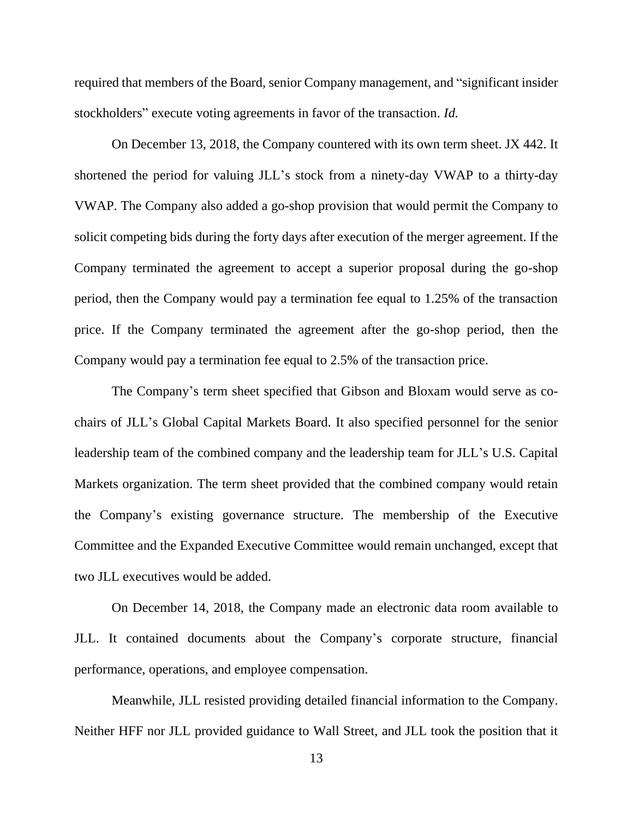required that members of the Board, senior Company management, and "significant insider stockholders" execute voting agreements in favor of the transaction. *Id.*

On December 13, 2018, the Company countered with its own term sheet. JX 442. It shortened the period for valuing JLL's stock from a ninety-day VWAP to a thirty-day VWAP. The Company also added a go-shop provision that would permit the Company to solicit competing bids during the forty days after execution of the merger agreement. If the Company terminated the agreement to accept a superior proposal during the go-shop period, then the Company would pay a termination fee equal to 1.25% of the transaction price. If the Company terminated the agreement after the go-shop period, then the Company would pay a termination fee equal to 2.5% of the transaction price.

The Company's term sheet specified that Gibson and Bloxam would serve as cochairs of JLL's Global Capital Markets Board. It also specified personnel for the senior leadership team of the combined company and the leadership team for JLL's U.S. Capital Markets organization. The term sheet provided that the combined company would retain the Company's existing governance structure. The membership of the Executive Committee and the Expanded Executive Committee would remain unchanged, except that two JLL executives would be added.

On December 14, 2018, the Company made an electronic data room available to JLL. It contained documents about the Company's corporate structure, financial performance, operations, and employee compensation.

Meanwhile, JLL resisted providing detailed financial information to the Company. Neither HFF nor JLL provided guidance to Wall Street, and JLL took the position that it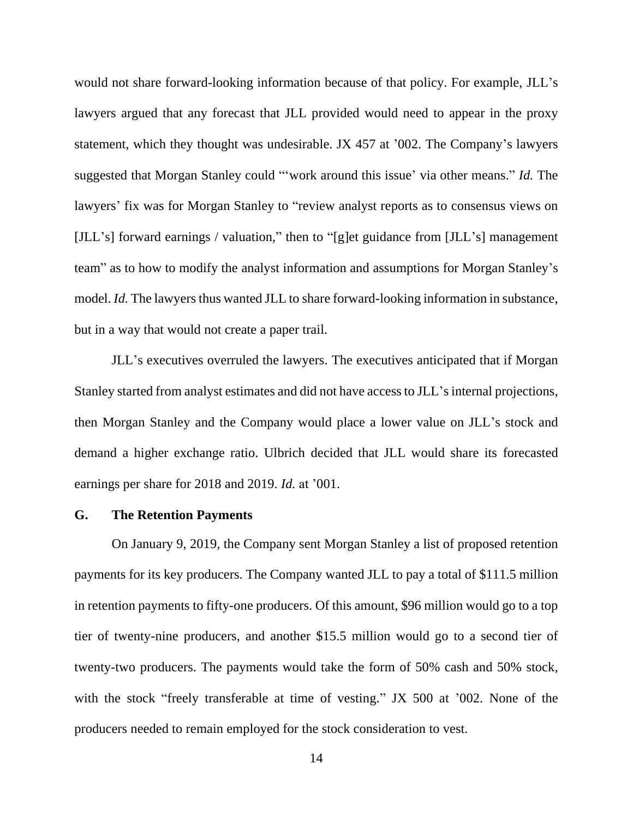would not share forward-looking information because of that policy. For example, JLL's lawyers argued that any forecast that JLL provided would need to appear in the proxy statement, which they thought was undesirable. JX 457 at '002. The Company's lawyers suggested that Morgan Stanley could "'work around this issue' via other means." *Id.* The lawyers' fix was for Morgan Stanley to "review analyst reports as to consensus views on [JLL's] forward earnings / valuation," then to "[g]et guidance from [JLL's] management team" as to how to modify the analyst information and assumptions for Morgan Stanley's model. *Id.* The lawyers thus wanted JLL to share forward-looking information in substance, but in a way that would not create a paper trail.

JLL's executives overruled the lawyers. The executives anticipated that if Morgan Stanley started from analyst estimates and did not have access to JLL's internal projections, then Morgan Stanley and the Company would place a lower value on JLL's stock and demand a higher exchange ratio. Ulbrich decided that JLL would share its forecasted earnings per share for 2018 and 2019. *Id.* at '001.

#### **G. The Retention Payments**

On January 9, 2019, the Company sent Morgan Stanley a list of proposed retention payments for its key producers. The Company wanted JLL to pay a total of \$111.5 million in retention payments to fifty-one producers. Of this amount, \$96 million would go to a top tier of twenty-nine producers, and another \$15.5 million would go to a second tier of twenty-two producers. The payments would take the form of 50% cash and 50% stock, with the stock "freely transferable at time of vesting." JX 500 at '002. None of the producers needed to remain employed for the stock consideration to vest.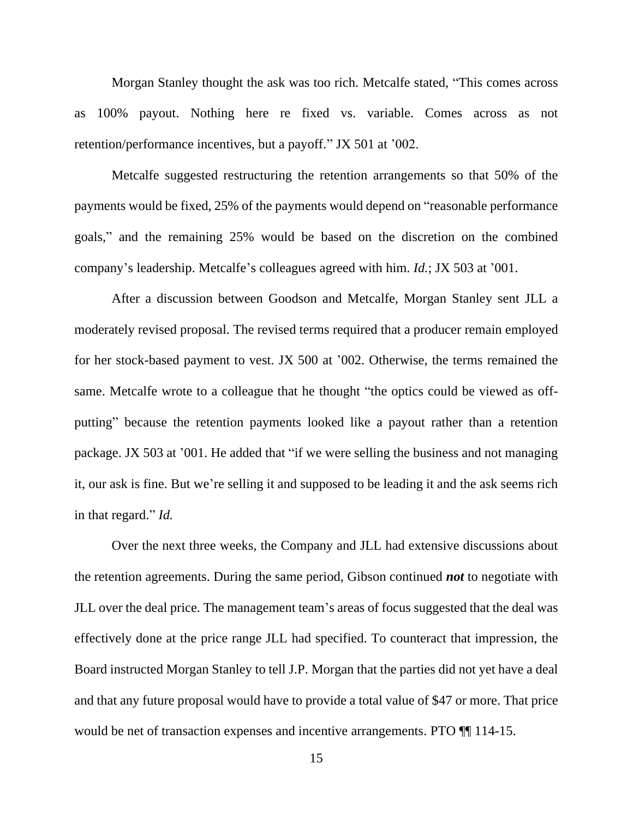Morgan Stanley thought the ask was too rich. Metcalfe stated, "This comes across as 100% payout. Nothing here re fixed vs. variable. Comes across as not retention/performance incentives, but a payoff." JX 501 at '002.

Metcalfe suggested restructuring the retention arrangements so that 50% of the payments would be fixed, 25% of the payments would depend on "reasonable performance goals," and the remaining 25% would be based on the discretion on the combined company's leadership. Metcalfe's colleagues agreed with him. *Id.*; JX 503 at '001.

After a discussion between Goodson and Metcalfe, Morgan Stanley sent JLL a moderately revised proposal. The revised terms required that a producer remain employed for her stock-based payment to vest. JX 500 at '002. Otherwise, the terms remained the same. Metcalfe wrote to a colleague that he thought "the optics could be viewed as offputting" because the retention payments looked like a payout rather than a retention package. JX 503 at '001. He added that "if we were selling the business and not managing it, our ask is fine. But we're selling it and supposed to be leading it and the ask seems rich in that regard." *Id.*

Over the next three weeks, the Company and JLL had extensive discussions about the retention agreements. During the same period, Gibson continued *not* to negotiate with JLL over the deal price. The management team's areas of focus suggested that the deal was effectively done at the price range JLL had specified. To counteract that impression, the Board instructed Morgan Stanley to tell J.P. Morgan that the parties did not yet have a deal and that any future proposal would have to provide a total value of \$47 or more. That price would be net of transaction expenses and incentive arrangements. PTO  $\P$  114-15.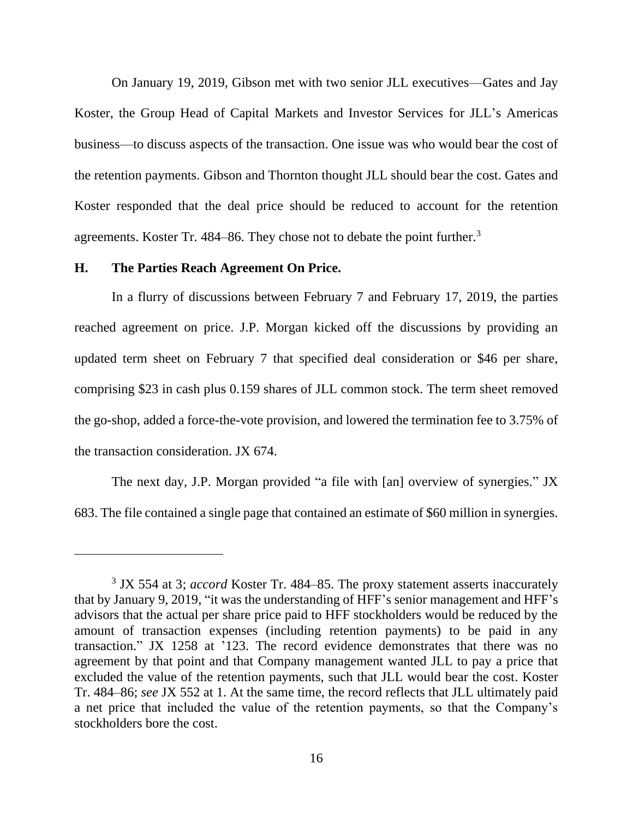On January 19, 2019, Gibson met with two senior JLL executives—Gates and Jay Koster, the Group Head of Capital Markets and Investor Services for JLL's Americas business—to discuss aspects of the transaction. One issue was who would bear the cost of the retention payments. Gibson and Thornton thought JLL should bear the cost. Gates and Koster responded that the deal price should be reduced to account for the retention agreements. Koster Tr. 484–86. They chose not to debate the point further.<sup>3</sup>

#### **H. The Parties Reach Agreement On Price.**

In a flurry of discussions between February 7 and February 17, 2019, the parties reached agreement on price. J.P. Morgan kicked off the discussions by providing an updated term sheet on February 7 that specified deal consideration or \$46 per share, comprising \$23 in cash plus 0.159 shares of JLL common stock. The term sheet removed the go-shop, added a force-the-vote provision, and lowered the termination fee to 3.75% of the transaction consideration. JX 674.

The next day, J.P. Morgan provided "a file with [an] overview of synergies." JX 683. The file contained a single page that contained an estimate of \$60 million in synergies.

<sup>&</sup>lt;sup>3</sup> JX 554 at 3; *accord* Koster Tr. 484–85. The proxy statement asserts inaccurately that by January 9, 2019, "it was the understanding of HFF's senior management and HFF's advisors that the actual per share price paid to HFF stockholders would be reduced by the amount of transaction expenses (including retention payments) to be paid in any transaction." JX 1258 at '123. The record evidence demonstrates that there was no agreement by that point and that Company management wanted JLL to pay a price that excluded the value of the retention payments, such that JLL would bear the cost. Koster Tr. 484–86; *see* JX 552 at 1. At the same time, the record reflects that JLL ultimately paid a net price that included the value of the retention payments, so that the Company's stockholders bore the cost.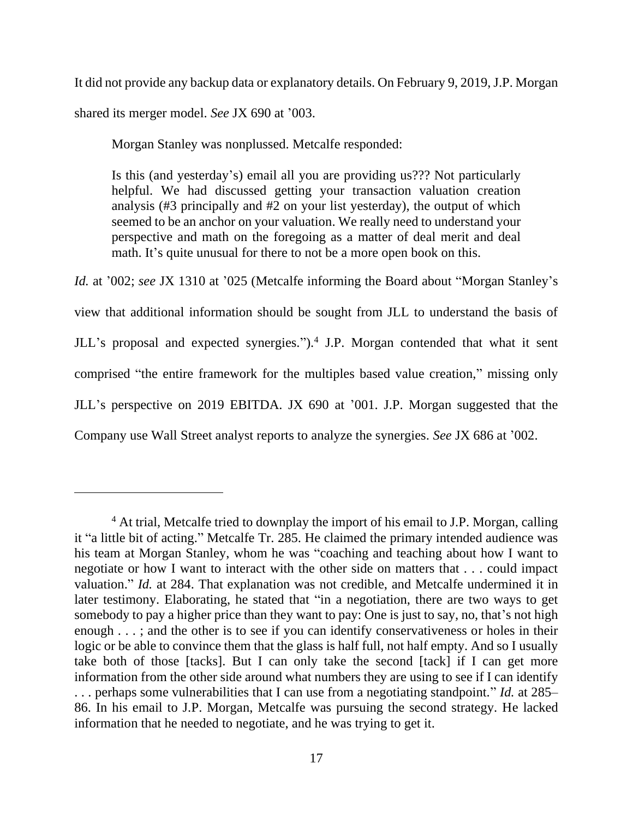It did not provide any backup data or explanatory details. On February 9, 2019, J.P. Morgan shared its merger model. *See* JX 690 at '003.

Morgan Stanley was nonplussed. Metcalfe responded:

Is this (and yesterday's) email all you are providing us??? Not particularly helpful. We had discussed getting your transaction valuation creation analysis (#3 principally and #2 on your list yesterday), the output of which seemed to be an anchor on your valuation. We really need to understand your perspective and math on the foregoing as a matter of deal merit and deal math. It's quite unusual for there to not be a more open book on this.

*Id.* at '002; *see* JX 1310 at '025 (Metcalfe informing the Board about "Morgan Stanley's view that additional information should be sought from JLL to understand the basis of JLL's proposal and expected synergies.").<sup>4</sup> J.P. Morgan contended that what it sent comprised "the entire framework for the multiples based value creation," missing only JLL's perspective on 2019 EBITDA. JX 690 at '001. J.P. Morgan suggested that the Company use Wall Street analyst reports to analyze the synergies. *See* JX 686 at '002.

<sup>&</sup>lt;sup>4</sup> At trial, Metcalfe tried to downplay the import of his email to J.P. Morgan, calling it "a little bit of acting." Metcalfe Tr. 285. He claimed the primary intended audience was his team at Morgan Stanley, whom he was "coaching and teaching about how I want to negotiate or how I want to interact with the other side on matters that . . . could impact valuation." *Id.* at 284. That explanation was not credible, and Metcalfe undermined it in later testimony. Elaborating, he stated that "in a negotiation, there are two ways to get somebody to pay a higher price than they want to pay: One is just to say, no, that's not high enough . . . ; and the other is to see if you can identify conservativeness or holes in their logic or be able to convince them that the glass is half full, not half empty. And so I usually take both of those [tacks]. But I can only take the second [tack] if I can get more information from the other side around what numbers they are using to see if I can identify . . . perhaps some vulnerabilities that I can use from a negotiating standpoint." *Id.* at 285– 86. In his email to J.P. Morgan, Metcalfe was pursuing the second strategy. He lacked information that he needed to negotiate, and he was trying to get it.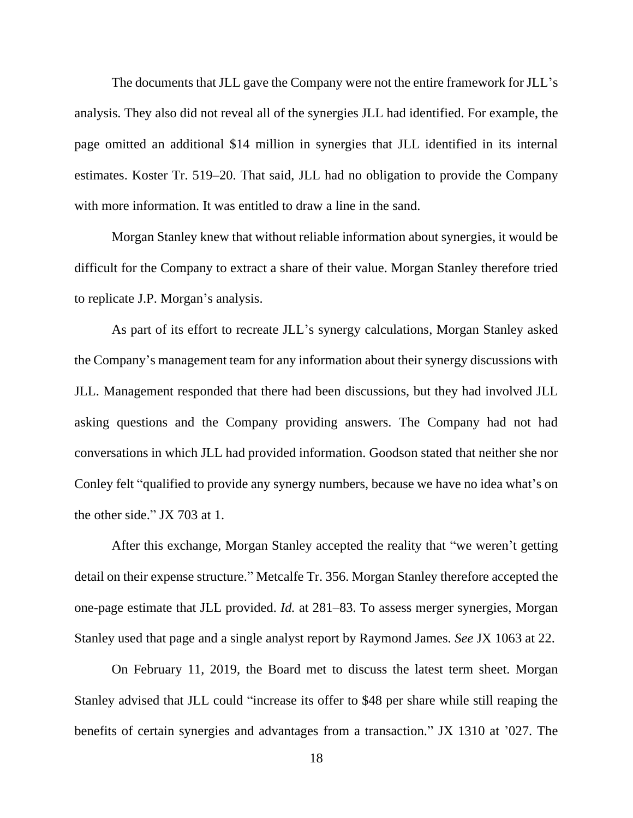The documents that JLL gave the Company were not the entire framework for JLL's analysis. They also did not reveal all of the synergies JLL had identified. For example, the page omitted an additional \$14 million in synergies that JLL identified in its internal estimates. Koster Tr. 519–20. That said, JLL had no obligation to provide the Company with more information. It was entitled to draw a line in the sand.

Morgan Stanley knew that without reliable information about synergies, it would be difficult for the Company to extract a share of their value. Morgan Stanley therefore tried to replicate J.P. Morgan's analysis.

As part of its effort to recreate JLL's synergy calculations, Morgan Stanley asked the Company's management team for any information about their synergy discussions with JLL. Management responded that there had been discussions, but they had involved JLL asking questions and the Company providing answers. The Company had not had conversations in which JLL had provided information. Goodson stated that neither she nor Conley felt "qualified to provide any synergy numbers, because we have no idea what's on the other side." JX 703 at 1.

After this exchange, Morgan Stanley accepted the reality that "we weren't getting detail on their expense structure." Metcalfe Tr. 356. Morgan Stanley therefore accepted the one-page estimate that JLL provided. *Id.* at 281–83. To assess merger synergies, Morgan Stanley used that page and a single analyst report by Raymond James. *See* JX 1063 at 22.

On February 11, 2019, the Board met to discuss the latest term sheet. Morgan Stanley advised that JLL could "increase its offer to \$48 per share while still reaping the benefits of certain synergies and advantages from a transaction." JX 1310 at '027. The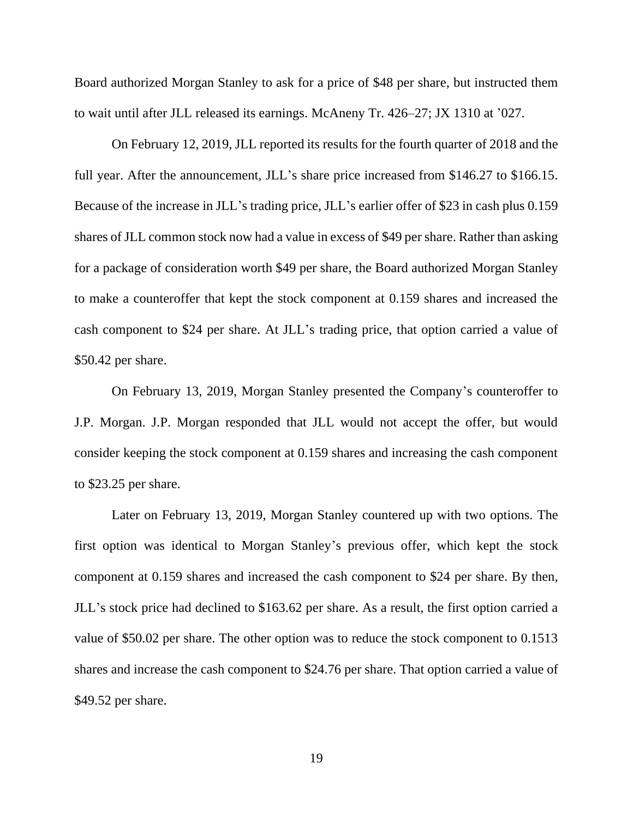Board authorized Morgan Stanley to ask for a price of \$48 per share, but instructed them to wait until after JLL released its earnings. McAneny Tr. 426–27; JX 1310 at '027.

On February 12, 2019, JLL reported its results for the fourth quarter of 2018 and the full year. After the announcement, JLL's share price increased from \$146.27 to \$166.15. Because of the increase in JLL's trading price, JLL's earlier offer of \$23 in cash plus 0.159 shares of JLL common stock now had a value in excess of \$49 per share. Rather than asking for a package of consideration worth \$49 per share, the Board authorized Morgan Stanley to make a counteroffer that kept the stock component at 0.159 shares and increased the cash component to \$24 per share. At JLL's trading price, that option carried a value of \$50.42 per share.

On February 13, 2019, Morgan Stanley presented the Company's counteroffer to J.P. Morgan. J.P. Morgan responded that JLL would not accept the offer, but would consider keeping the stock component at 0.159 shares and increasing the cash component to \$23.25 per share.

Later on February 13, 2019, Morgan Stanley countered up with two options. The first option was identical to Morgan Stanley's previous offer, which kept the stock component at 0.159 shares and increased the cash component to \$24 per share. By then, JLL's stock price had declined to \$163.62 per share. As a result, the first option carried a value of \$50.02 per share. The other option was to reduce the stock component to 0.1513 shares and increase the cash component to \$24.76 per share. That option carried a value of \$49.52 per share.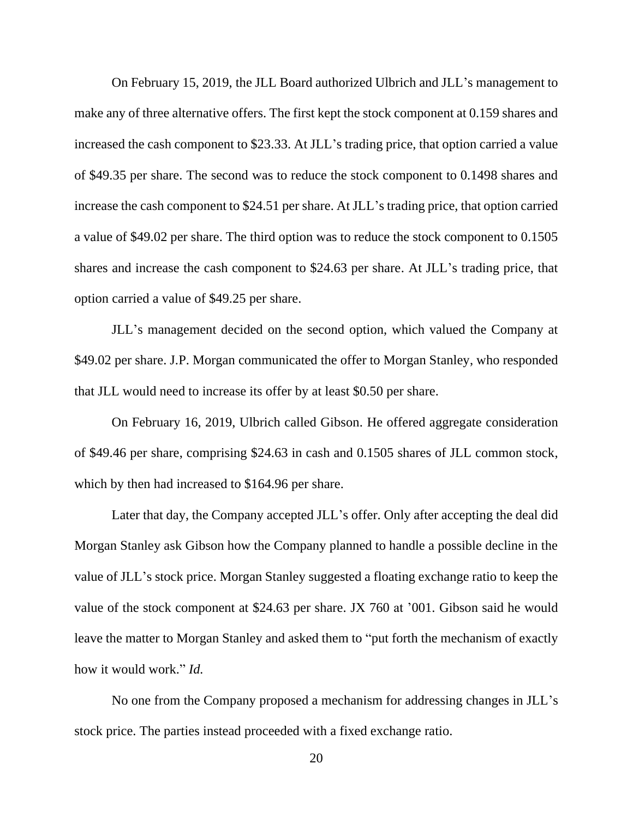On February 15, 2019, the JLL Board authorized Ulbrich and JLL's management to make any of three alternative offers. The first kept the stock component at 0.159 shares and increased the cash component to \$23.33. At JLL's trading price, that option carried a value of \$49.35 per share. The second was to reduce the stock component to 0.1498 shares and increase the cash component to \$24.51 per share. At JLL's trading price, that option carried a value of \$49.02 per share. The third option was to reduce the stock component to 0.1505 shares and increase the cash component to \$24.63 per share. At JLL's trading price, that option carried a value of \$49.25 per share.

JLL's management decided on the second option, which valued the Company at \$49.02 per share. J.P. Morgan communicated the offer to Morgan Stanley, who responded that JLL would need to increase its offer by at least \$0.50 per share.

On February 16, 2019, Ulbrich called Gibson. He offered aggregate consideration of \$49.46 per share, comprising \$24.63 in cash and 0.1505 shares of JLL common stock, which by then had increased to \$164.96 per share.

Later that day, the Company accepted JLL's offer. Only after accepting the deal did Morgan Stanley ask Gibson how the Company planned to handle a possible decline in the value of JLL's stock price. Morgan Stanley suggested a floating exchange ratio to keep the value of the stock component at \$24.63 per share. JX 760 at '001. Gibson said he would leave the matter to Morgan Stanley and asked them to "put forth the mechanism of exactly how it would work." *Id.*

No one from the Company proposed a mechanism for addressing changes in JLL's stock price. The parties instead proceeded with a fixed exchange ratio.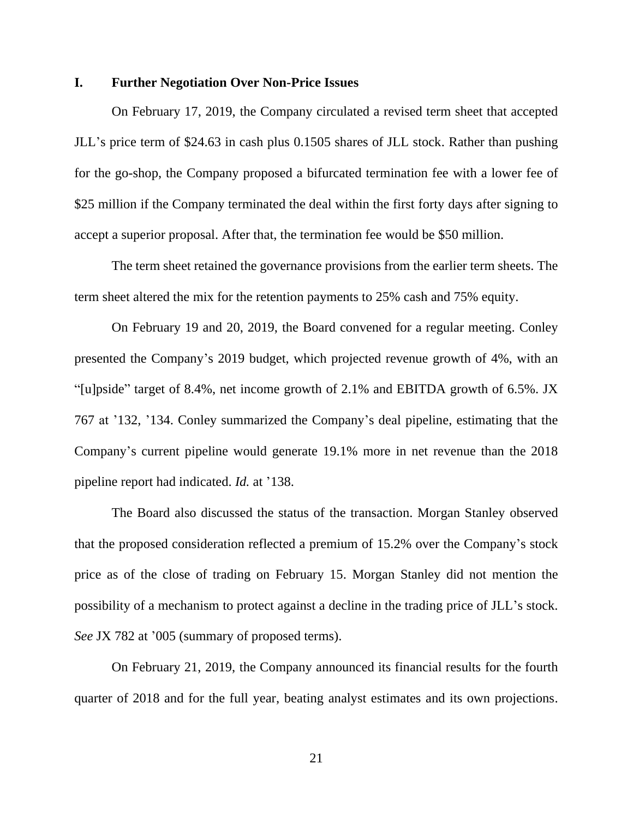## **I. Further Negotiation Over Non-Price Issues**

On February 17, 2019, the Company circulated a revised term sheet that accepted JLL's price term of \$24.63 in cash plus 0.1505 shares of JLL stock. Rather than pushing for the go-shop, the Company proposed a bifurcated termination fee with a lower fee of \$25 million if the Company terminated the deal within the first forty days after signing to accept a superior proposal. After that, the termination fee would be \$50 million.

The term sheet retained the governance provisions from the earlier term sheets. The term sheet altered the mix for the retention payments to 25% cash and 75% equity.

On February 19 and 20, 2019, the Board convened for a regular meeting. Conley presented the Company's 2019 budget, which projected revenue growth of 4%, with an "[u]pside" target of 8.4%, net income growth of 2.1% and EBITDA growth of 6.5%. JX 767 at '132, '134. Conley summarized the Company's deal pipeline, estimating that the Company's current pipeline would generate 19.1% more in net revenue than the 2018 pipeline report had indicated. *Id.* at '138.

The Board also discussed the status of the transaction. Morgan Stanley observed that the proposed consideration reflected a premium of 15.2% over the Company's stock price as of the close of trading on February 15. Morgan Stanley did not mention the possibility of a mechanism to protect against a decline in the trading price of JLL's stock. *See* JX 782 at '005 (summary of proposed terms).

On February 21, 2019, the Company announced its financial results for the fourth quarter of 2018 and for the full year, beating analyst estimates and its own projections.

21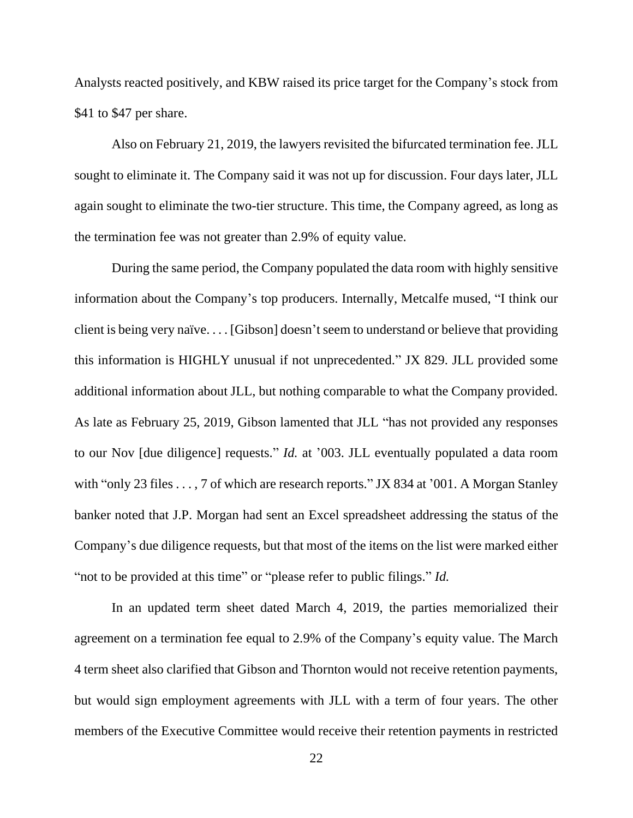Analysts reacted positively, and KBW raised its price target for the Company's stock from \$41 to \$47 per share.

Also on February 21, 2019, the lawyers revisited the bifurcated termination fee. JLL sought to eliminate it. The Company said it was not up for discussion. Four days later, JLL again sought to eliminate the two-tier structure. This time, the Company agreed, as long as the termination fee was not greater than 2.9% of equity value.

During the same period, the Company populated the data room with highly sensitive information about the Company's top producers. Internally, Metcalfe mused, "I think our client is being very naïve. . . . [Gibson] doesn't seem to understand or believe that providing this information is HIGHLY unusual if not unprecedented." JX 829. JLL provided some additional information about JLL, but nothing comparable to what the Company provided. As late as February 25, 2019, Gibson lamented that JLL "has not provided any responses to our Nov [due diligence] requests." *Id.* at '003. JLL eventually populated a data room with "only 23 files . . . , 7 of which are research reports." JX 834 at '001. A Morgan Stanley banker noted that J.P. Morgan had sent an Excel spreadsheet addressing the status of the Company's due diligence requests, but that most of the items on the list were marked either "not to be provided at this time" or "please refer to public filings." *Id.*

In an updated term sheet dated March 4, 2019, the parties memorialized their agreement on a termination fee equal to 2.9% of the Company's equity value. The March 4 term sheet also clarified that Gibson and Thornton would not receive retention payments, but would sign employment agreements with JLL with a term of four years. The other members of the Executive Committee would receive their retention payments in restricted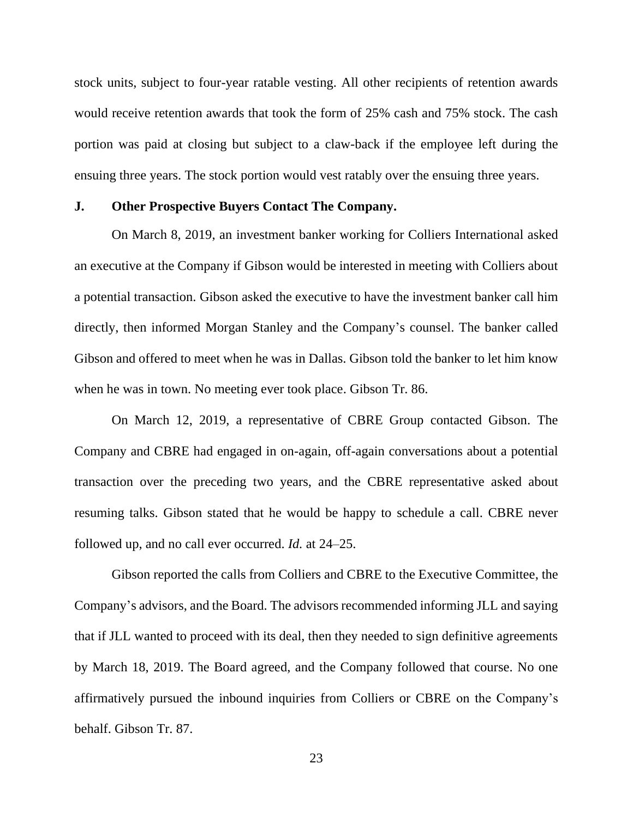stock units, subject to four-year ratable vesting. All other recipients of retention awards would receive retention awards that took the form of 25% cash and 75% stock. The cash portion was paid at closing but subject to a claw-back if the employee left during the ensuing three years. The stock portion would vest ratably over the ensuing three years.

# **J. Other Prospective Buyers Contact The Company.**

On March 8, 2019, an investment banker working for Colliers International asked an executive at the Company if Gibson would be interested in meeting with Colliers about a potential transaction. Gibson asked the executive to have the investment banker call him directly, then informed Morgan Stanley and the Company's counsel. The banker called Gibson and offered to meet when he was in Dallas. Gibson told the banker to let him know when he was in town. No meeting ever took place. Gibson Tr. 86.

On March 12, 2019, a representative of CBRE Group contacted Gibson. The Company and CBRE had engaged in on-again, off-again conversations about a potential transaction over the preceding two years, and the CBRE representative asked about resuming talks. Gibson stated that he would be happy to schedule a call. CBRE never followed up, and no call ever occurred. *Id.* at 24–25.

Gibson reported the calls from Colliers and CBRE to the Executive Committee, the Company's advisors, and the Board. The advisors recommended informing JLL and saying that if JLL wanted to proceed with its deal, then they needed to sign definitive agreements by March 18, 2019. The Board agreed, and the Company followed that course. No one affirmatively pursued the inbound inquiries from Colliers or CBRE on the Company's behalf. Gibson Tr. 87.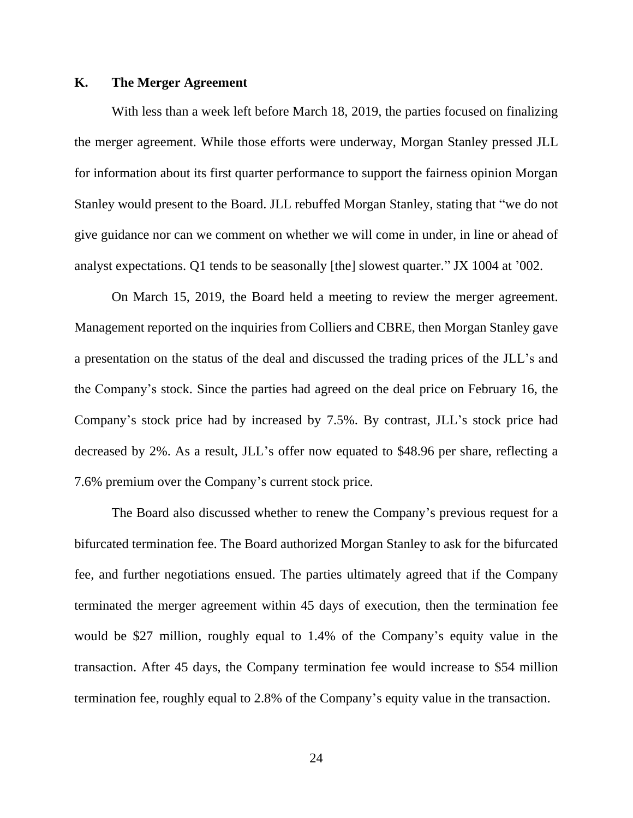# **K. The Merger Agreement**

With less than a week left before March 18, 2019, the parties focused on finalizing the merger agreement. While those efforts were underway, Morgan Stanley pressed JLL for information about its first quarter performance to support the fairness opinion Morgan Stanley would present to the Board. JLL rebuffed Morgan Stanley, stating that "we do not give guidance nor can we comment on whether we will come in under, in line or ahead of analyst expectations. Q1 tends to be seasonally [the] slowest quarter." JX 1004 at '002.

On March 15, 2019, the Board held a meeting to review the merger agreement. Management reported on the inquiries from Colliers and CBRE, then Morgan Stanley gave a presentation on the status of the deal and discussed the trading prices of the JLL's and the Company's stock. Since the parties had agreed on the deal price on February 16, the Company's stock price had by increased by 7.5%. By contrast, JLL's stock price had decreased by 2%. As a result, JLL's offer now equated to \$48.96 per share, reflecting a 7.6% premium over the Company's current stock price.

The Board also discussed whether to renew the Company's previous request for a bifurcated termination fee. The Board authorized Morgan Stanley to ask for the bifurcated fee, and further negotiations ensued. The parties ultimately agreed that if the Company terminated the merger agreement within 45 days of execution, then the termination fee would be \$27 million, roughly equal to 1.4% of the Company's equity value in the transaction. After 45 days, the Company termination fee would increase to \$54 million termination fee, roughly equal to 2.8% of the Company's equity value in the transaction.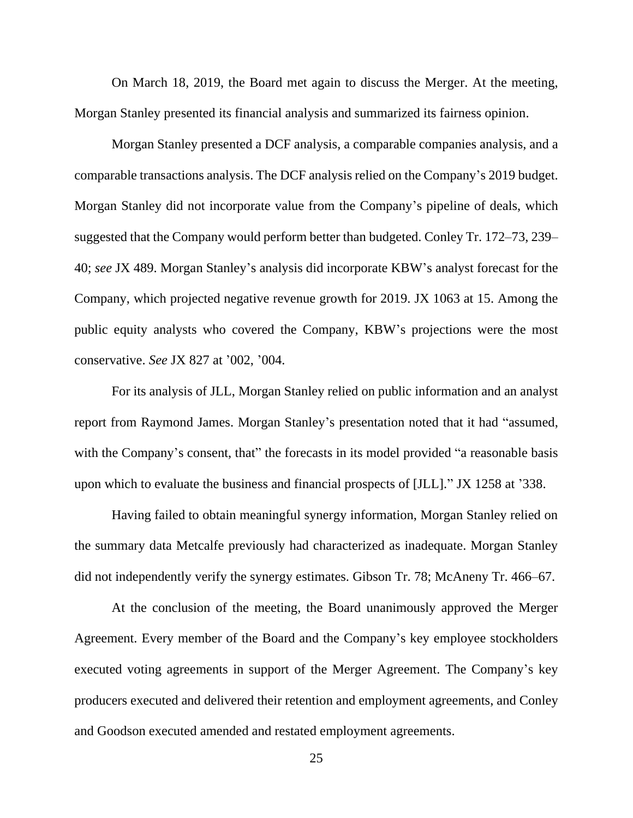On March 18, 2019, the Board met again to discuss the Merger. At the meeting, Morgan Stanley presented its financial analysis and summarized its fairness opinion.

Morgan Stanley presented a DCF analysis, a comparable companies analysis, and a comparable transactions analysis. The DCF analysis relied on the Company's 2019 budget. Morgan Stanley did not incorporate value from the Company's pipeline of deals, which suggested that the Company would perform better than budgeted. Conley Tr. 172–73, 239– 40; *see* JX 489. Morgan Stanley's analysis did incorporate KBW's analyst forecast for the Company, which projected negative revenue growth for 2019. JX 1063 at 15. Among the public equity analysts who covered the Company, KBW's projections were the most conservative. *See* JX 827 at '002, '004.

For its analysis of JLL, Morgan Stanley relied on public information and an analyst report from Raymond James. Morgan Stanley's presentation noted that it had "assumed, with the Company's consent, that" the forecasts in its model provided "a reasonable basis upon which to evaluate the business and financial prospects of [JLL]." JX 1258 at '338.

Having failed to obtain meaningful synergy information, Morgan Stanley relied on the summary data Metcalfe previously had characterized as inadequate. Morgan Stanley did not independently verify the synergy estimates. Gibson Tr. 78; McAneny Tr. 466–67.

At the conclusion of the meeting, the Board unanimously approved the Merger Agreement. Every member of the Board and the Company's key employee stockholders executed voting agreements in support of the Merger Agreement. The Company's key producers executed and delivered their retention and employment agreements, and Conley and Goodson executed amended and restated employment agreements.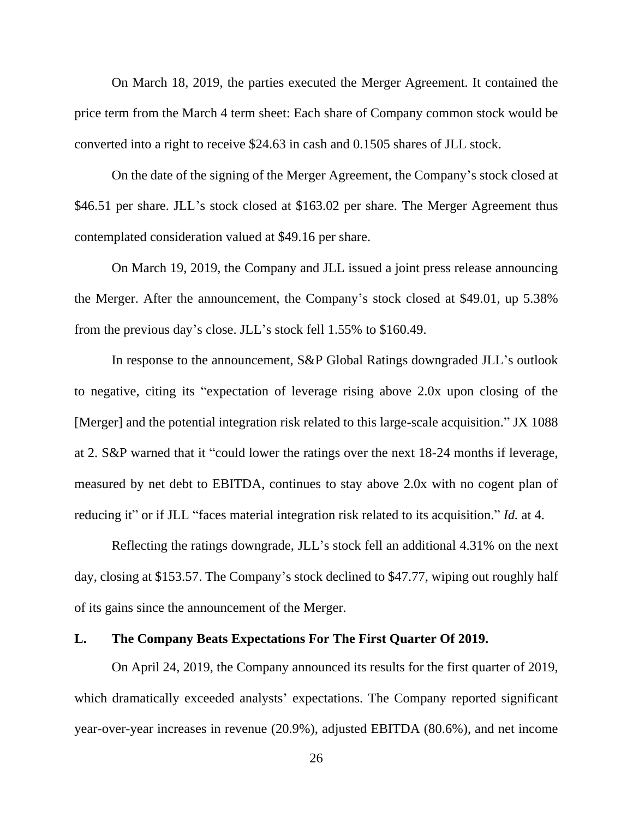On March 18, 2019, the parties executed the Merger Agreement. It contained the price term from the March 4 term sheet: Each share of Company common stock would be converted into a right to receive \$24.63 in cash and 0.1505 shares of JLL stock.

On the date of the signing of the Merger Agreement, the Company's stock closed at \$46.51 per share. JLL's stock closed at \$163.02 per share. The Merger Agreement thus contemplated consideration valued at \$49.16 per share.

On March 19, 2019, the Company and JLL issued a joint press release announcing the Merger. After the announcement, the Company's stock closed at \$49.01, up 5.38% from the previous day's close. JLL's stock fell 1.55% to \$160.49.

In response to the announcement, S&P Global Ratings downgraded JLL's outlook to negative, citing its "expectation of leverage rising above 2.0x upon closing of the [Merger] and the potential integration risk related to this large-scale acquisition." JX 1088 at 2. S&P warned that it "could lower the ratings over the next 18-24 months if leverage, measured by net debt to EBITDA, continues to stay above 2.0x with no cogent plan of reducing it" or if JLL "faces material integration risk related to its acquisition." *Id.* at 4.

Reflecting the ratings downgrade, JLL's stock fell an additional 4.31% on the next day, closing at \$153.57. The Company's stock declined to \$47.77, wiping out roughly half of its gains since the announcement of the Merger.

# **L. The Company Beats Expectations For The First Quarter Of 2019.**

On April 24, 2019, the Company announced its results for the first quarter of 2019, which dramatically exceeded analysts' expectations. The Company reported significant year-over-year increases in revenue (20.9%), adjusted EBITDA (80.6%), and net income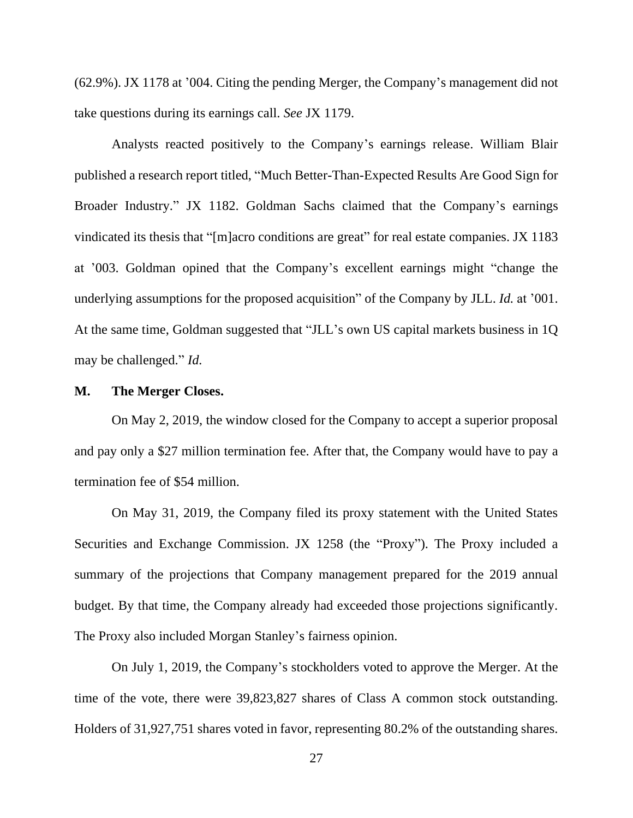(62.9%). JX 1178 at '004. Citing the pending Merger, the Company's management did not take questions during its earnings call. *See* JX 1179.

Analysts reacted positively to the Company's earnings release. William Blair published a research report titled, "Much Better-Than-Expected Results Are Good Sign for Broader Industry." JX 1182. Goldman Sachs claimed that the Company's earnings vindicated its thesis that "[m]acro conditions are great" for real estate companies. JX 1183 at '003. Goldman opined that the Company's excellent earnings might "change the underlying assumptions for the proposed acquisition" of the Company by JLL. *Id.* at '001. At the same time, Goldman suggested that "JLL's own US capital markets business in 1Q may be challenged." *Id.*

#### **M. The Merger Closes.**

On May 2, 2019, the window closed for the Company to accept a superior proposal and pay only a \$27 million termination fee. After that, the Company would have to pay a termination fee of \$54 million.

On May 31, 2019, the Company filed its proxy statement with the United States Securities and Exchange Commission. JX 1258 (the "Proxy"). The Proxy included a summary of the projections that Company management prepared for the 2019 annual budget. By that time, the Company already had exceeded those projections significantly. The Proxy also included Morgan Stanley's fairness opinion.

On July 1, 2019, the Company's stockholders voted to approve the Merger. At the time of the vote, there were 39,823,827 shares of Class A common stock outstanding. Holders of 31,927,751 shares voted in favor, representing 80.2% of the outstanding shares.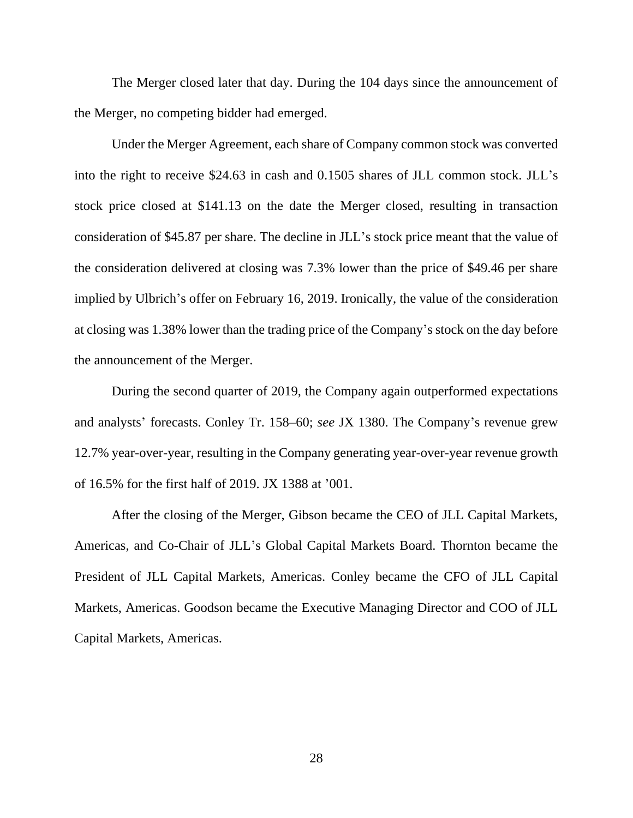The Merger closed later that day. During the 104 days since the announcement of the Merger, no competing bidder had emerged.

Under the Merger Agreement, each share of Company common stock was converted into the right to receive \$24.63 in cash and 0.1505 shares of JLL common stock. JLL's stock price closed at \$141.13 on the date the Merger closed, resulting in transaction consideration of \$45.87 per share. The decline in JLL's stock price meant that the value of the consideration delivered at closing was 7.3% lower than the price of \$49.46 per share implied by Ulbrich's offer on February 16, 2019. Ironically, the value of the consideration at closing was 1.38% lower than the trading price of the Company's stock on the day before the announcement of the Merger.

During the second quarter of 2019, the Company again outperformed expectations and analysts' forecasts. Conley Tr. 158–60; *see* JX 1380. The Company's revenue grew 12.7% year-over-year, resulting in the Company generating year-over-year revenue growth of 16.5% for the first half of 2019. JX 1388 at '001.

After the closing of the Merger, Gibson became the CEO of JLL Capital Markets, Americas, and Co-Chair of JLL's Global Capital Markets Board. Thornton became the President of JLL Capital Markets, Americas. Conley became the CFO of JLL Capital Markets, Americas. Goodson became the Executive Managing Director and COO of JLL Capital Markets, Americas.

28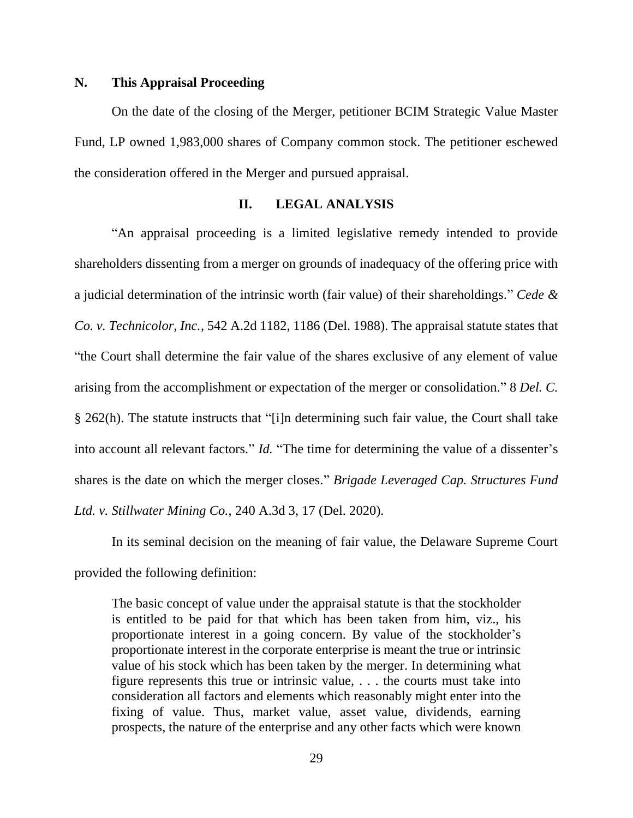# **N. This Appraisal Proceeding**

On the date of the closing of the Merger, petitioner BCIM Strategic Value Master Fund, LP owned 1,983,000 shares of Company common stock. The petitioner eschewed the consideration offered in the Merger and pursued appraisal.

#### **II. LEGAL ANALYSIS**

"An appraisal proceeding is a limited legislative remedy intended to provide shareholders dissenting from a merger on grounds of inadequacy of the offering price with a judicial determination of the intrinsic worth (fair value) of their shareholdings." *Cede & Co. v. Technicolor, Inc.*, 542 A.2d 1182, 1186 (Del. 1988). The appraisal statute states that "the Court shall determine the fair value of the shares exclusive of any element of value arising from the accomplishment or expectation of the merger or consolidation." 8 *Del. C.* § 262(h). The statute instructs that "[i]n determining such fair value, the Court shall take into account all relevant factors." *Id.* "The time for determining the value of a dissenter's shares is the date on which the merger closes." *Brigade Leveraged Cap. Structures Fund Ltd. v. Stillwater Mining Co.*, 240 A.3d 3, 17 (Del. 2020).

In its seminal decision on the meaning of fair value, the Delaware Supreme Court provided the following definition:

The basic concept of value under the appraisal statute is that the stockholder is entitled to be paid for that which has been taken from him, viz., his proportionate interest in a going concern. By value of the stockholder's proportionate interest in the corporate enterprise is meant the true or intrinsic value of his stock which has been taken by the merger. In determining what figure represents this true or intrinsic value, . . . the courts must take into consideration all factors and elements which reasonably might enter into the fixing of value. Thus, market value, asset value, dividends, earning prospects, the nature of the enterprise and any other facts which were known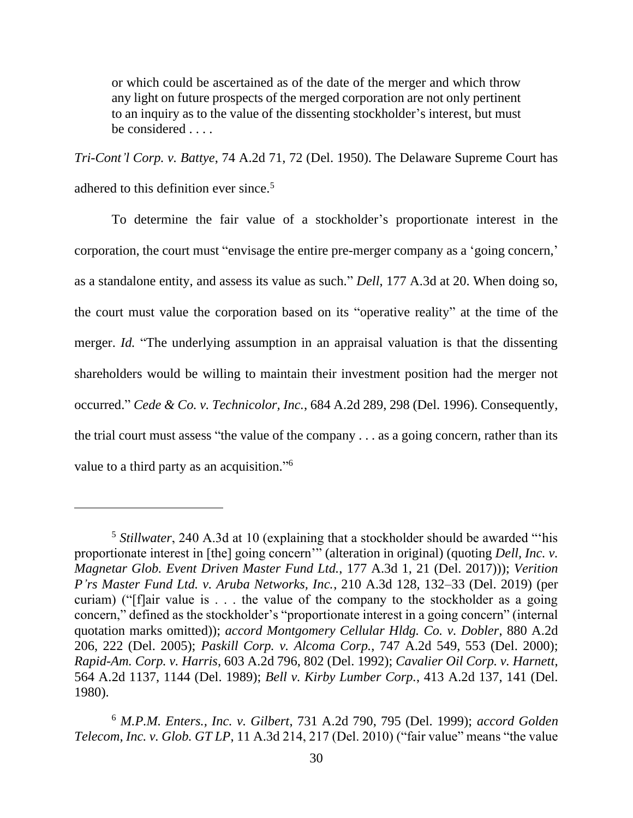or which could be ascertained as of the date of the merger and which throw any light on future prospects of the merged corporation are not only pertinent to an inquiry as to the value of the dissenting stockholder's interest, but must be considered . . . .

*Tri-Cont'l Corp. v. Battye*, 74 A.2d 71, 72 (Del. 1950). The Delaware Supreme Court has adhered to this definition ever since.<sup>5</sup>

To determine the fair value of a stockholder's proportionate interest in the corporation, the court must "envisage the entire pre-merger company as a 'going concern,' as a standalone entity, and assess its value as such." *Dell*, 177 A.3d at 20. When doing so, the court must value the corporation based on its "operative reality" at the time of the merger. *Id.* "The underlying assumption in an appraisal valuation is that the dissenting shareholders would be willing to maintain their investment position had the merger not occurred." *Cede & Co. v. Technicolor, Inc.*, 684 A.2d 289, 298 (Del. 1996). Consequently, the trial court must assess "the value of the company . . . as a going concern, rather than its value to a third party as an acquisition."<sup>6</sup>

<sup>5</sup> *Stillwater*, 240 A.3d at 10 (explaining that a stockholder should be awarded "'his proportionate interest in [the] going concern'" (alteration in original) (quoting *Dell, Inc. v. Magnetar Glob. Event Driven Master Fund Ltd.*, 177 A.3d 1, 21 (Del. 2017))); *Verition P'rs Master Fund Ltd. v. Aruba Networks, Inc.*, 210 A.3d 128, 132–33 (Del. 2019) (per curiam) ("[f]air value is . . . the value of the company to the stockholder as a going concern," defined as the stockholder's "proportionate interest in a going concern" (internal quotation marks omitted)); *accord Montgomery Cellular Hldg. Co. v. Dobler*, 880 A.2d 206, 222 (Del. 2005); *Paskill Corp. v. Alcoma Corp.*, 747 A.2d 549, 553 (Del. 2000); *Rapid-Am. Corp. v. Harris*, 603 A.2d 796, 802 (Del. 1992); *Cavalier Oil Corp. v. Harnett*, 564 A.2d 1137, 1144 (Del. 1989); *Bell v. Kirby Lumber Corp.*, 413 A.2d 137, 141 (Del. 1980).

<sup>6</sup> *M.P.M. Enters., Inc. v. Gilbert*, 731 A.2d 790, 795 (Del. 1999); *accord Golden Telecom, Inc. v. Glob. GT LP*, 11 A.3d 214, 217 (Del. 2010) ("fair value" means "the value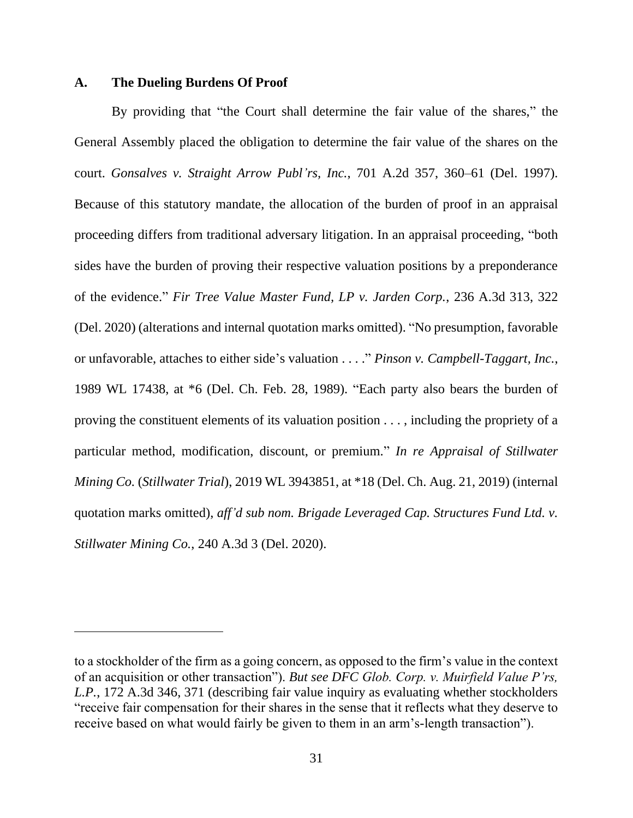#### **A. The Dueling Burdens Of Proof**

By providing that "the Court shall determine the fair value of the shares," the General Assembly placed the obligation to determine the fair value of the shares on the court. *Gonsalves v. Straight Arrow Publ'rs, Inc.*, 701 A.2d 357, 360–61 (Del. 1997). Because of this statutory mandate, the allocation of the burden of proof in an appraisal proceeding differs from traditional adversary litigation. In an appraisal proceeding, "both sides have the burden of proving their respective valuation positions by a preponderance of the evidence." *Fir Tree Value Master Fund, LP v. Jarden Corp.*, 236 A.3d 313, 322 (Del. 2020) (alterations and internal quotation marks omitted). "No presumption, favorable or unfavorable, attaches to either side's valuation . . . ." *Pinson v. Campbell-Taggart, Inc.*, 1989 WL 17438, at \*6 (Del. Ch. Feb. 28, 1989). "Each party also bears the burden of proving the constituent elements of its valuation position . . . , including the propriety of a particular method, modification, discount, or premium." *In re Appraisal of Stillwater Mining Co.* (*Stillwater Trial*), 2019 WL 3943851, at \*18 (Del. Ch. Aug. 21, 2019) (internal quotation marks omitted), *aff'd sub nom. Brigade Leveraged Cap. Structures Fund Ltd. v. Stillwater Mining Co.*, 240 A.3d 3 (Del. 2020).

to a stockholder of the firm as a going concern, as opposed to the firm's value in the context of an acquisition or other transaction"). *But see DFC Glob. Corp. v. Muirfield Value P'rs, L.P.*, 172 A.3d 346, 371 (describing fair value inquiry as evaluating whether stockholders "receive fair compensation for their shares in the sense that it reflects what they deserve to receive based on what would fairly be given to them in an arm's-length transaction").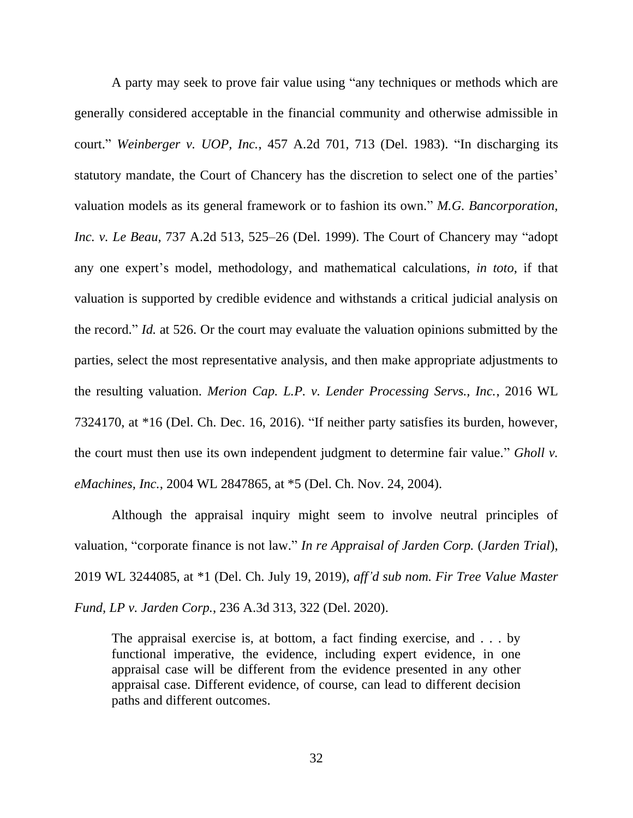A party may seek to prove fair value using "any techniques or methods which are generally considered acceptable in the financial community and otherwise admissible in court." *Weinberger v. UOP, Inc.*, 457 A.2d 701, 713 (Del. 1983). "In discharging its statutory mandate, the Court of Chancery has the discretion to select one of the parties' valuation models as its general framework or to fashion its own." *M.G. Bancorporation, Inc. v. Le Beau*, 737 A.2d 513, 525–26 (Del. 1999). The Court of Chancery may "adopt any one expert's model, methodology, and mathematical calculations, *in toto*, if that valuation is supported by credible evidence and withstands a critical judicial analysis on the record." *Id.* at 526. Or the court may evaluate the valuation opinions submitted by the parties, select the most representative analysis, and then make appropriate adjustments to the resulting valuation. *Merion Cap. L.P. v. Lender Processing Servs., Inc.*, 2016 WL 7324170, at \*16 (Del. Ch. Dec. 16, 2016). "If neither party satisfies its burden, however, the court must then use its own independent judgment to determine fair value." *Gholl v. eMachines, Inc.*, 2004 WL 2847865, at \*5 (Del. Ch. Nov. 24, 2004).

Although the appraisal inquiry might seem to involve neutral principles of valuation, "corporate finance is not law." *In re Appraisal of Jarden Corp.* (*Jarden Trial*), 2019 WL 3244085, at \*1 (Del. Ch. July 19, 2019), *aff'd sub nom. Fir Tree Value Master Fund, LP v. Jarden Corp.*, 236 A.3d 313, 322 (Del. 2020).

The appraisal exercise is, at bottom, a fact finding exercise, and . . . by functional imperative, the evidence, including expert evidence, in one appraisal case will be different from the evidence presented in any other appraisal case. Different evidence, of course, can lead to different decision paths and different outcomes.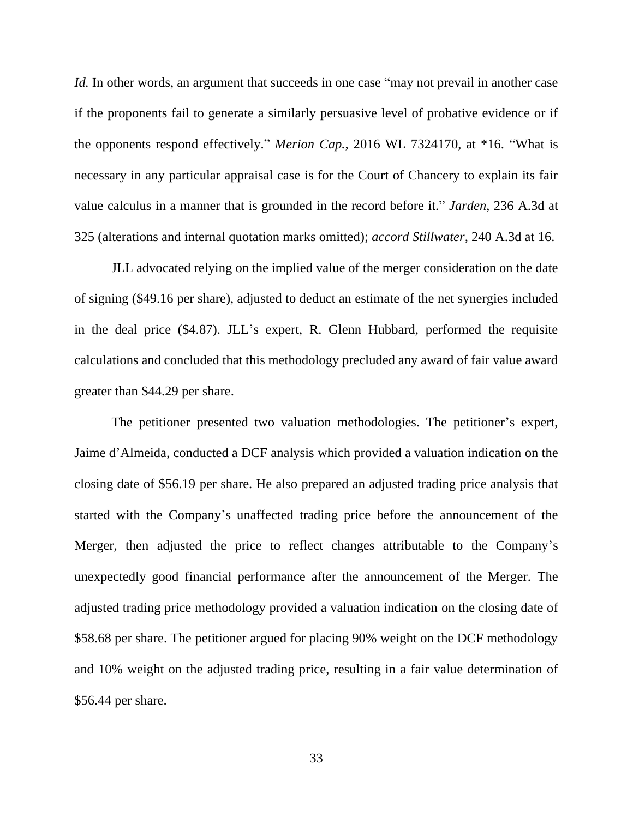*Id.* In other words, an argument that succeeds in one case "may not prevail in another case" if the proponents fail to generate a similarly persuasive level of probative evidence or if the opponents respond effectively." *Merion Cap.*, 2016 WL 7324170, at \*16. "What is necessary in any particular appraisal case is for the Court of Chancery to explain its fair value calculus in a manner that is grounded in the record before it." *Jarden*, 236 A.3d at 325 (alterations and internal quotation marks omitted); *accord Stillwater*, 240 A.3d at 16.

JLL advocated relying on the implied value of the merger consideration on the date of signing (\$49.16 per share), adjusted to deduct an estimate of the net synergies included in the deal price (\$4.87). JLL's expert, R. Glenn Hubbard, performed the requisite calculations and concluded that this methodology precluded any award of fair value award greater than \$44.29 per share.

The petitioner presented two valuation methodologies. The petitioner's expert, Jaime d'Almeida, conducted a DCF analysis which provided a valuation indication on the closing date of \$56.19 per share. He also prepared an adjusted trading price analysis that started with the Company's unaffected trading price before the announcement of the Merger, then adjusted the price to reflect changes attributable to the Company's unexpectedly good financial performance after the announcement of the Merger. The adjusted trading price methodology provided a valuation indication on the closing date of \$58.68 per share. The petitioner argued for placing 90% weight on the DCF methodology and 10% weight on the adjusted trading price, resulting in a fair value determination of \$56.44 per share.

33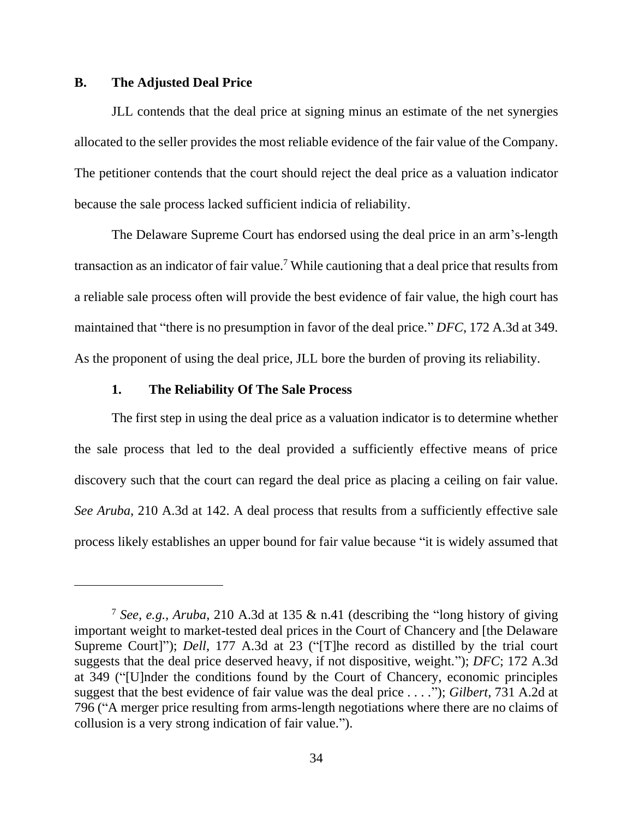#### **B. The Adjusted Deal Price**

JLL contends that the deal price at signing minus an estimate of the net synergies allocated to the seller provides the most reliable evidence of the fair value of the Company. The petitioner contends that the court should reject the deal price as a valuation indicator because the sale process lacked sufficient indicia of reliability.

The Delaware Supreme Court has endorsed using the deal price in an arm's-length transaction as an indicator of fair value.<sup>7</sup> While cautioning that a deal price that results from a reliable sale process often will provide the best evidence of fair value, the high court has maintained that "there is no presumption in favor of the deal price." *DFC*, 172 A.3d at 349. As the proponent of using the deal price, JLL bore the burden of proving its reliability.

#### **1. The Reliability Of The Sale Process**

The first step in using the deal price as a valuation indicator is to determine whether the sale process that led to the deal provided a sufficiently effective means of price discovery such that the court can regard the deal price as placing a ceiling on fair value. *See Aruba*, 210 A.3d at 142. A deal process that results from a sufficiently effective sale process likely establishes an upper bound for fair value because "it is widely assumed that

<sup>7</sup> *See, e.g., Aruba*, 210 A.3d at 135 & n.41 (describing the "long history of giving important weight to market-tested deal prices in the Court of Chancery and [the Delaware Supreme Court]"); *Dell*, 177 A.3d at 23 ("[T]he record as distilled by the trial court suggests that the deal price deserved heavy, if not dispositive, weight."); *DFC*; 172 A.3d at 349 ("[U]nder the conditions found by the Court of Chancery, economic principles suggest that the best evidence of fair value was the deal price . . . ."); *Gilbert*, 731 A.2d at 796 ("A merger price resulting from arms-length negotiations where there are no claims of collusion is a very strong indication of fair value.").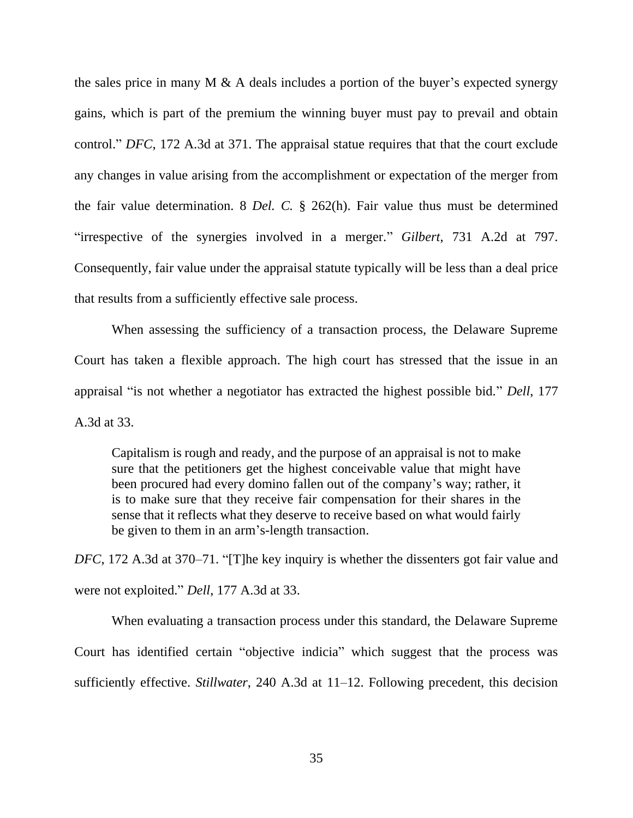the sales price in many M  $\&$  A deals includes a portion of the buyer's expected synergy gains, which is part of the premium the winning buyer must pay to prevail and obtain control." *DFC*, 172 A.3d at 371. The appraisal statue requires that that the court exclude any changes in value arising from the accomplishment or expectation of the merger from the fair value determination. 8 *Del. C.* § 262(h). Fair value thus must be determined "irrespective of the synergies involved in a merger." *Gilbert*, 731 A.2d at 797. Consequently, fair value under the appraisal statute typically will be less than a deal price that results from a sufficiently effective sale process.

When assessing the sufficiency of a transaction process, the Delaware Supreme Court has taken a flexible approach. The high court has stressed that the issue in an appraisal "is not whether a negotiator has extracted the highest possible bid." *Dell*, 177 A.3d at 33.

Capitalism is rough and ready, and the purpose of an appraisal is not to make sure that the petitioners get the highest conceivable value that might have been procured had every domino fallen out of the company's way; rather, it is to make sure that they receive fair compensation for their shares in the sense that it reflects what they deserve to receive based on what would fairly be given to them in an arm's-length transaction.

*DFC*, 172 A.3d at 370–71. "[T]he key inquiry is whether the dissenters got fair value and were not exploited." *Dell*, 177 A.3d at 33.

When evaluating a transaction process under this standard, the Delaware Supreme Court has identified certain "objective indicia" which suggest that the process was sufficiently effective. *Stillwater*, 240 A.3d at 11–12. Following precedent, this decision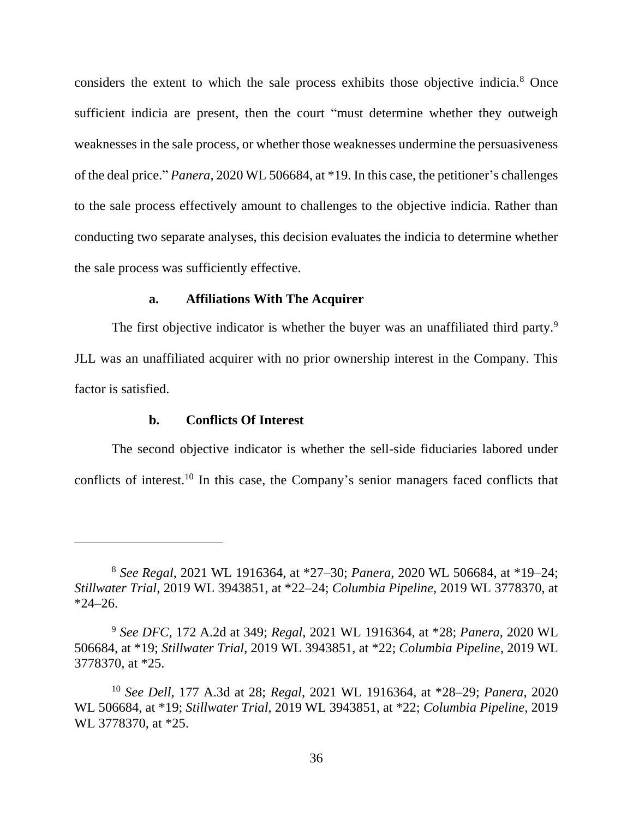considers the extent to which the sale process exhibits those objective indicia.<sup>8</sup> Once sufficient indicia are present, then the court "must determine whether they outweigh weaknesses in the sale process, or whether those weaknesses undermine the persuasiveness of the deal price." *Panera*, 2020 WL 506684, at \*19. In this case, the petitioner's challenges to the sale process effectively amount to challenges to the objective indicia. Rather than conducting two separate analyses, this decision evaluates the indicia to determine whether the sale process was sufficiently effective.

#### **a. Affiliations With The Acquirer**

The first objective indicator is whether the buyer was an unaffiliated third party.<sup>9</sup> JLL was an unaffiliated acquirer with no prior ownership interest in the Company. This factor is satisfied.

#### **b. Conflicts Of Interest**

The second objective indicator is whether the sell-side fiduciaries labored under conflicts of interest.<sup>10</sup> In this case, the Company's senior managers faced conflicts that

<sup>8</sup> *See Regal*, 2021 WL 1916364, at \*27–30; *Panera*, 2020 WL 506684, at \*19–24; *Stillwater Trial*, 2019 WL 3943851, at \*22–24; *Columbia Pipeline*, 2019 WL 3778370, at  $*24 - 26.$ 

<sup>9</sup> *See DFC*, 172 A.2d at 349; *Regal*, 2021 WL 1916364, at \*28; *Panera*, 2020 WL 506684, at \*19; *Stillwater Trial*, 2019 WL 3943851, at \*22; *Columbia Pipeline*, 2019 WL 3778370, at \*25.

<sup>10</sup> *See Dell*, 177 A.3d at 28; *Regal*, 2021 WL 1916364, at \*28–29; *Panera*, 2020 WL 506684, at \*19; *Stillwater Trial*, 2019 WL 3943851, at \*22; *Columbia Pipeline*, 2019 WL 3778370, at \*25.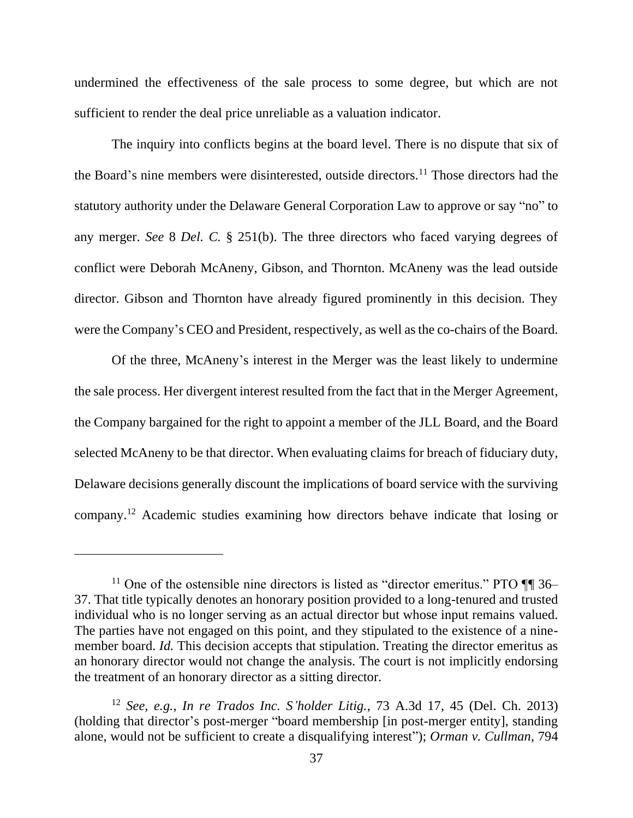undermined the effectiveness of the sale process to some degree, but which are not sufficient to render the deal price unreliable as a valuation indicator.

The inquiry into conflicts begins at the board level. There is no dispute that six of the Board's nine members were disinterested, outside directors.<sup>11</sup> Those directors had the statutory authority under the Delaware General Corporation Law to approve or say "no" to any merger. *See* 8 *Del. C.* § 251(b). The three directors who faced varying degrees of conflict were Deborah McAneny, Gibson, and Thornton. McAneny was the lead outside director. Gibson and Thornton have already figured prominently in this decision. They were the Company's CEO and President, respectively, as well as the co-chairs of the Board.

Of the three, McAneny's interest in the Merger was the least likely to undermine the sale process. Her divergent interest resulted from the fact that in the Merger Agreement, the Company bargained for the right to appoint a member of the JLL Board, and the Board selected McAneny to be that director. When evaluating claims for breach of fiduciary duty, Delaware decisions generally discount the implications of board service with the surviving company.<sup>12</sup> Academic studies examining how directors behave indicate that losing or

<sup>&</sup>lt;sup>11</sup> One of the ostensible nine directors is listed as "director emeritus." PTO  $\P$  36– 37. That title typically denotes an honorary position provided to a long-tenured and trusted individual who is no longer serving as an actual director but whose input remains valued. The parties have not engaged on this point, and they stipulated to the existence of a ninemember board. *Id.* This decision accepts that stipulation. Treating the director emeritus as an honorary director would not change the analysis. The court is not implicitly endorsing the treatment of an honorary director as a sitting director.

<sup>12</sup> *See, e.g.*, *In re Trados Inc. S'holder Litig.*, 73 A.3d 17, 45 (Del. Ch. 2013) (holding that director's post-merger "board membership [in post-merger entity], standing alone, would not be sufficient to create a disqualifying interest"); *Orman v. Cullman*, 794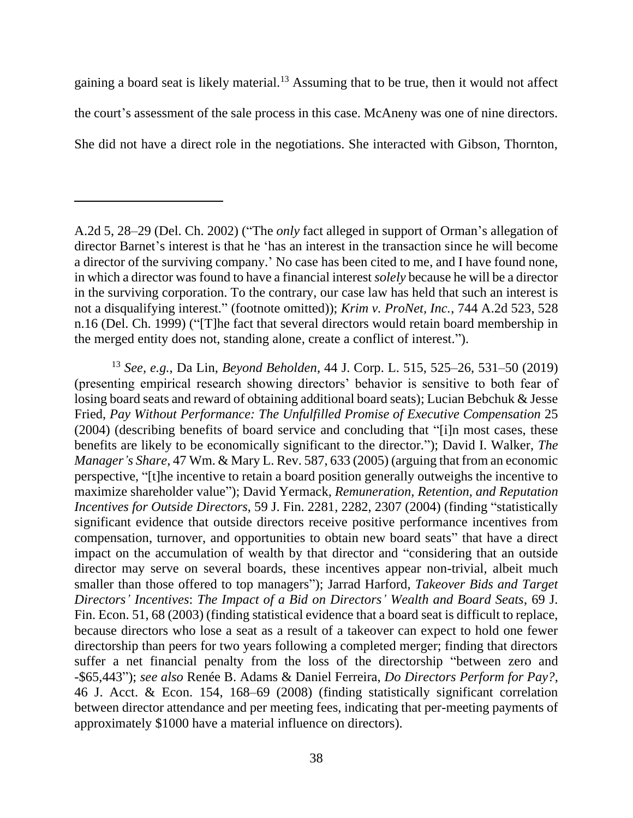gaining a board seat is likely material.<sup>13</sup> Assuming that to be true, then it would not affect the court's assessment of the sale process in this case. McAneny was one of nine directors. She did not have a direct role in the negotiations. She interacted with Gibson, Thornton,

<sup>13</sup> *See, e.g.*, Da Lin, *Beyond Beholden*, 44 J. Corp. L. 515, 525–26, 531–50 (2019) (presenting empirical research showing directors' behavior is sensitive to both fear of losing board seats and reward of obtaining additional board seats); Lucian Bebchuk & Jesse Fried, *Pay Without Performance: The Unfulfilled Promise of Executive Compensation* 25 (2004) (describing benefits of board service and concluding that "[i]n most cases, these benefits are likely to be economically significant to the director."); David I. Walker, *The Manager's Share*, 47 Wm. & Mary L. Rev. 587, 633 (2005) (arguing that from an economic perspective, "[t]he incentive to retain a board position generally outweighs the incentive to maximize shareholder value"); David Yermack, *Remuneration, Retention, and Reputation Incentives for Outside Directors*, 59 J. Fin. 2281, 2282, 2307 (2004) (finding "statistically significant evidence that outside directors receive positive performance incentives from compensation, turnover, and opportunities to obtain new board seats" that have a direct impact on the accumulation of wealth by that director and "considering that an outside director may serve on several boards, these incentives appear non-trivial, albeit much smaller than those offered to top managers"); Jarrad Harford, *Takeover Bids and Target Directors' Incentives*: *The Impact of a Bid on Directors' Wealth and Board Seats*, 69 J. Fin. Econ. 51, 68 (2003) (finding statistical evidence that a board seat is difficult to replace, because directors who lose a seat as a result of a takeover can expect to hold one fewer directorship than peers for two years following a completed merger; finding that directors suffer a net financial penalty from the loss of the directorship "between zero and -\$65,443"); *see also* Renée B. Adams & Daniel Ferreira, *Do Directors Perform for Pay?*, 46 J. Acct. & Econ. 154, 168–69 (2008) (finding statistically significant correlation between director attendance and per meeting fees, indicating that per-meeting payments of approximately \$1000 have a material influence on directors).

A.2d 5, 28–29 (Del. Ch. 2002) ("The *only* fact alleged in support of Orman's allegation of director Barnet's interest is that he 'has an interest in the transaction since he will become a director of the surviving company.' No case has been cited to me, and I have found none, in which a director was found to have a financial interest *solely* because he will be a director in the surviving corporation. To the contrary, our case law has held that such an interest is not a disqualifying interest." (footnote omitted)); *Krim v. ProNet, Inc.*, 744 A.2d 523, 528 n.16 (Del. Ch. 1999) ("[T]he fact that several directors would retain board membership in the merged entity does not, standing alone, create a conflict of interest.").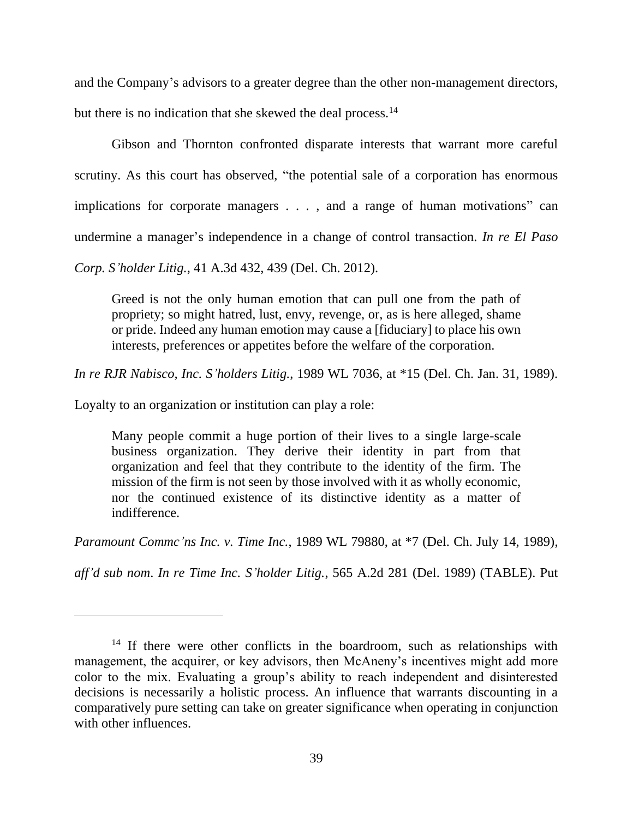and the Company's advisors to a greater degree than the other non-management directors,

but there is no indication that she skewed the deal process.<sup>14</sup>

Gibson and Thornton confronted disparate interests that warrant more careful scrutiny. As this court has observed, "the potential sale of a corporation has enormous implications for corporate managers . . . , and a range of human motivations" can undermine a manager's independence in a change of control transaction. *In re El Paso Corp. S'holder Litig.*, 41 A.3d 432, 439 (Del. Ch. 2012).

Greed is not the only human emotion that can pull one from the path of propriety; so might hatred, lust, envy, revenge, or, as is here alleged, shame or pride. Indeed any human emotion may cause a [fiduciary] to place his own interests, preferences or appetites before the welfare of the corporation.

*In re RJR Nabisco, Inc. S'holders Litig.*, 1989 WL 7036, at \*15 (Del. Ch. Jan. 31, 1989).

Loyalty to an organization or institution can play a role:

Many people commit a huge portion of their lives to a single large-scale business organization. They derive their identity in part from that organization and feel that they contribute to the identity of the firm. The mission of the firm is not seen by those involved with it as wholly economic, nor the continued existence of its distinctive identity as a matter of indifference.

*Paramount Commc'ns Inc. v. Time Inc.*, 1989 WL 79880, at \*7 (Del. Ch. July 14, 1989),

*aff'd sub nom*. *In re Time Inc. S'holder Litig.*, 565 A.2d 281 (Del. 1989) (TABLE). Put

 $14$  If there were other conflicts in the boardroom, such as relationships with management, the acquirer, or key advisors, then McAneny's incentives might add more color to the mix. Evaluating a group's ability to reach independent and disinterested decisions is necessarily a holistic process. An influence that warrants discounting in a comparatively pure setting can take on greater significance when operating in conjunction with other influences.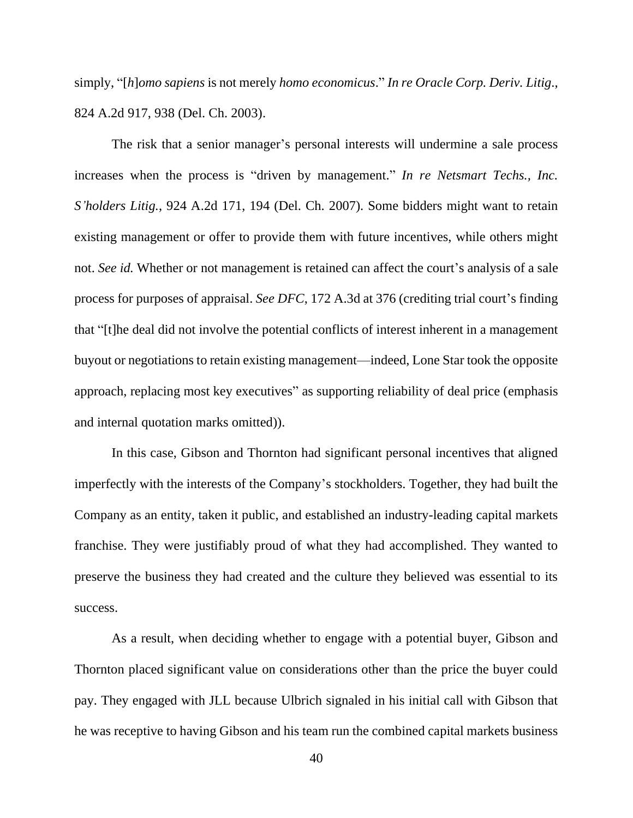simply, "[*h*]*omo sapiens* is not merely *homo economicus*." *In re Oracle Corp. Deriv. Litig*., 824 A.2d 917, 938 (Del. Ch. 2003).

The risk that a senior manager's personal interests will undermine a sale process increases when the process is "driven by management." *In re Netsmart Techs., Inc. S'holders Litig.*, 924 A.2d 171, 194 (Del. Ch. 2007). Some bidders might want to retain existing management or offer to provide them with future incentives, while others might not. *See id.* Whether or not management is retained can affect the court's analysis of a sale process for purposes of appraisal. *See DFC*, 172 A.3d at 376 (crediting trial court's finding that "[t]he deal did not involve the potential conflicts of interest inherent in a management buyout or negotiations to retain existing management—indeed, Lone Star took the opposite approach, replacing most key executives" as supporting reliability of deal price (emphasis and internal quotation marks omitted)).

In this case, Gibson and Thornton had significant personal incentives that aligned imperfectly with the interests of the Company's stockholders. Together, they had built the Company as an entity, taken it public, and established an industry-leading capital markets franchise. They were justifiably proud of what they had accomplished. They wanted to preserve the business they had created and the culture they believed was essential to its success.

As a result, when deciding whether to engage with a potential buyer, Gibson and Thornton placed significant value on considerations other than the price the buyer could pay. They engaged with JLL because Ulbrich signaled in his initial call with Gibson that he was receptive to having Gibson and his team run the combined capital markets business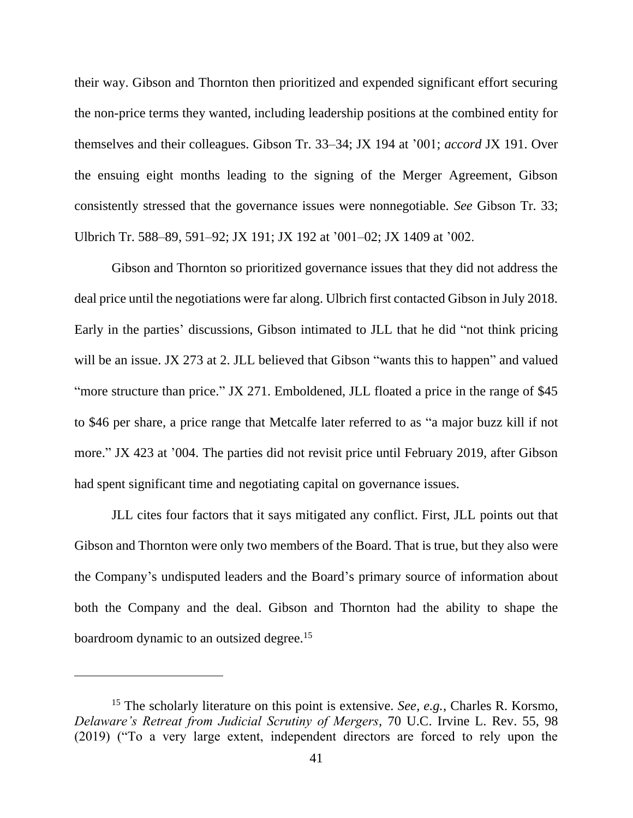their way. Gibson and Thornton then prioritized and expended significant effort securing the non-price terms they wanted, including leadership positions at the combined entity for themselves and their colleagues. Gibson Tr. 33–34; JX 194 at '001; *accord* JX 191. Over the ensuing eight months leading to the signing of the Merger Agreement, Gibson consistently stressed that the governance issues were nonnegotiable. *See* Gibson Tr. 33; Ulbrich Tr. 588–89, 591–92; JX 191; JX 192 at '001–02; JX 1409 at '002.

Gibson and Thornton so prioritized governance issues that they did not address the deal price until the negotiations were far along. Ulbrich first contacted Gibson in July 2018. Early in the parties' discussions, Gibson intimated to JLL that he did "not think pricing will be an issue. JX 273 at 2. JLL believed that Gibson "wants this to happen" and valued "more structure than price." JX 271. Emboldened, JLL floated a price in the range of \$45 to \$46 per share, a price range that Metcalfe later referred to as "a major buzz kill if not more." JX 423 at '004. The parties did not revisit price until February 2019, after Gibson had spent significant time and negotiating capital on governance issues.

JLL cites four factors that it says mitigated any conflict. First, JLL points out that Gibson and Thornton were only two members of the Board. That is true, but they also were the Company's undisputed leaders and the Board's primary source of information about both the Company and the deal. Gibson and Thornton had the ability to shape the boardroom dynamic to an outsized degree.<sup>15</sup>

<sup>15</sup> The scholarly literature on this point is extensive. *See, e.g.*, Charles R. Korsmo, *Delaware's Retreat from Judicial Scrutiny of Mergers*, 70 U.C. Irvine L. Rev. 55, 98 (2019) ("To a very large extent, independent directors are forced to rely upon the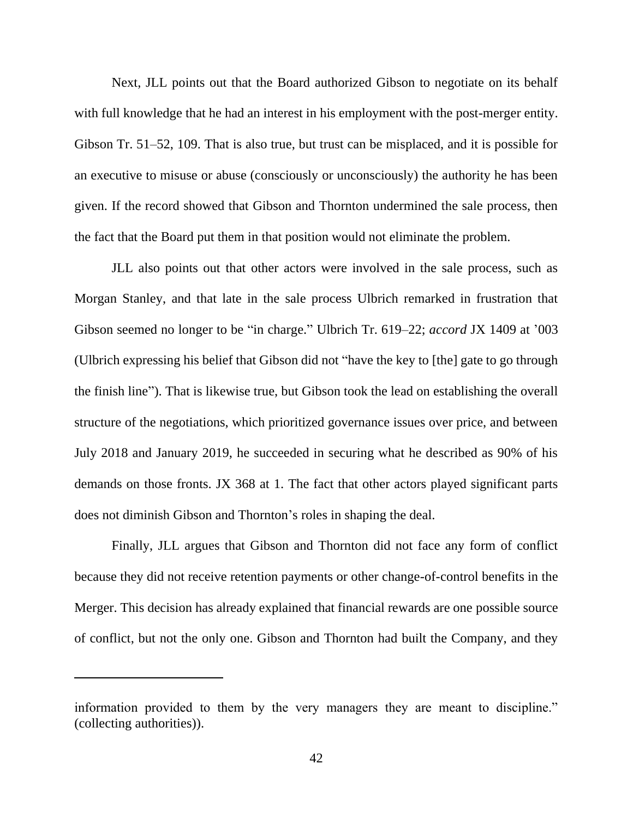Next, JLL points out that the Board authorized Gibson to negotiate on its behalf with full knowledge that he had an interest in his employment with the post-merger entity. Gibson Tr. 51–52, 109. That is also true, but trust can be misplaced, and it is possible for an executive to misuse or abuse (consciously or unconsciously) the authority he has been given. If the record showed that Gibson and Thornton undermined the sale process, then the fact that the Board put them in that position would not eliminate the problem.

JLL also points out that other actors were involved in the sale process, such as Morgan Stanley, and that late in the sale process Ulbrich remarked in frustration that Gibson seemed no longer to be "in charge." Ulbrich Tr. 619–22; *accord* JX 1409 at '003 (Ulbrich expressing his belief that Gibson did not "have the key to [the] gate to go through the finish line"). That is likewise true, but Gibson took the lead on establishing the overall structure of the negotiations, which prioritized governance issues over price, and between July 2018 and January 2019, he succeeded in securing what he described as 90% of his demands on those fronts. JX 368 at 1. The fact that other actors played significant parts does not diminish Gibson and Thornton's roles in shaping the deal.

Finally, JLL argues that Gibson and Thornton did not face any form of conflict because they did not receive retention payments or other change-of-control benefits in the Merger. This decision has already explained that financial rewards are one possible source of conflict, but not the only one. Gibson and Thornton had built the Company, and they

information provided to them by the very managers they are meant to discipline." (collecting authorities)).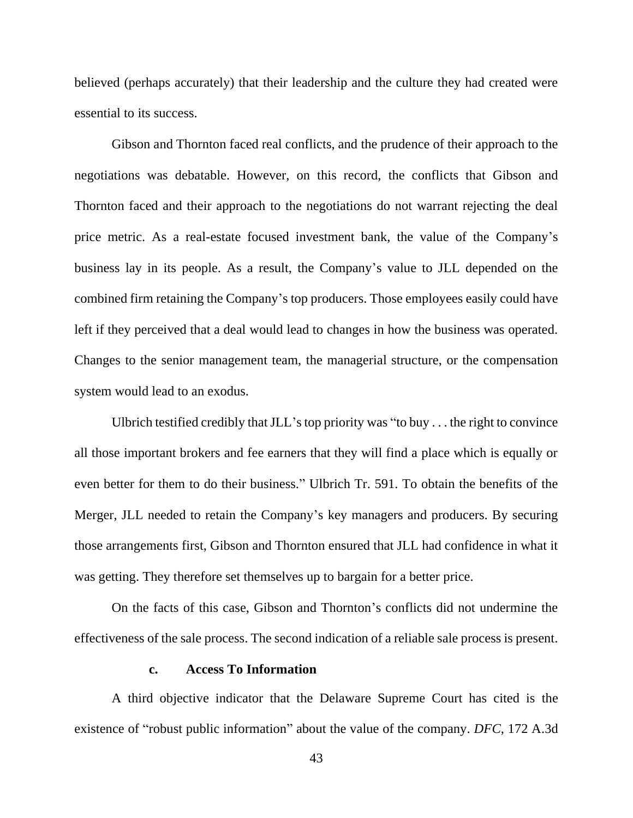believed (perhaps accurately) that their leadership and the culture they had created were essential to its success.

Gibson and Thornton faced real conflicts, and the prudence of their approach to the negotiations was debatable. However, on this record, the conflicts that Gibson and Thornton faced and their approach to the negotiations do not warrant rejecting the deal price metric. As a real-estate focused investment bank, the value of the Company's business lay in its people. As a result, the Company's value to JLL depended on the combined firm retaining the Company's top producers. Those employees easily could have left if they perceived that a deal would lead to changes in how the business was operated. Changes to the senior management team, the managerial structure, or the compensation system would lead to an exodus.

Ulbrich testified credibly that JLL's top priority was "to buy . . . the right to convince all those important brokers and fee earners that they will find a place which is equally or even better for them to do their business." Ulbrich Tr. 591. To obtain the benefits of the Merger, JLL needed to retain the Company's key managers and producers. By securing those arrangements first, Gibson and Thornton ensured that JLL had confidence in what it was getting. They therefore set themselves up to bargain for a better price.

On the facts of this case, Gibson and Thornton's conflicts did not undermine the effectiveness of the sale process. The second indication of a reliable sale process is present.

# **c. Access To Information**

A third objective indicator that the Delaware Supreme Court has cited is the existence of "robust public information" about the value of the company. *DFC*, 172 A.3d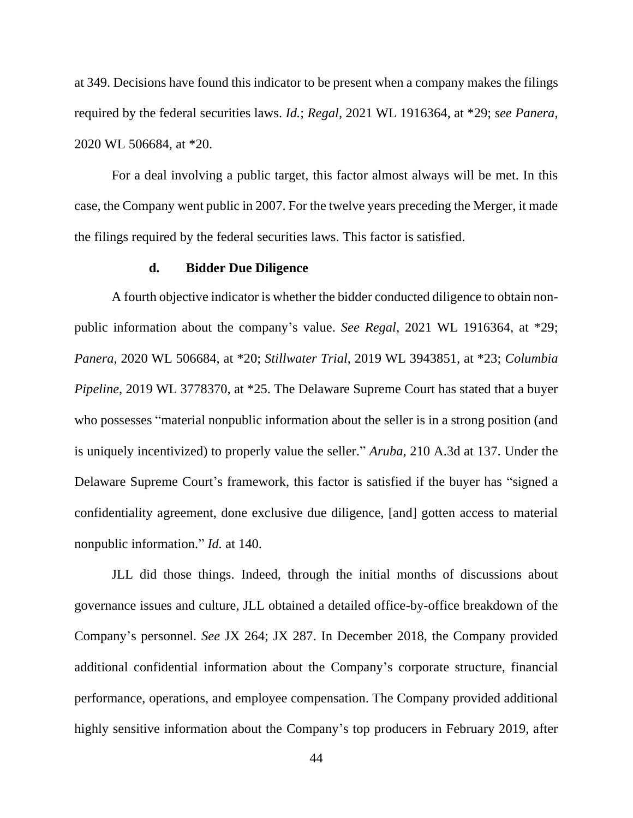at 349. Decisions have found this indicator to be present when a company makes the filings required by the federal securities laws. *Id.*; *Regal*, 2021 WL 1916364, at \*29; *see Panera*, 2020 WL 506684, at \*20.

For a deal involving a public target, this factor almost always will be met. In this case, the Company went public in 2007. For the twelve years preceding the Merger, it made the filings required by the federal securities laws. This factor is satisfied.

#### **d. Bidder Due Diligence**

A fourth objective indicator is whether the bidder conducted diligence to obtain nonpublic information about the company's value. *See Regal*, 2021 WL 1916364, at \*29; *Panera*, 2020 WL 506684, at \*20; *Stillwater Trial*, 2019 WL 3943851, at \*23; *Columbia Pipeline*, 2019 WL 3778370, at \*25. The Delaware Supreme Court has stated that a buyer who possesses "material nonpublic information about the seller is in a strong position (and is uniquely incentivized) to properly value the seller." *Aruba*, 210 A.3d at 137. Under the Delaware Supreme Court's framework, this factor is satisfied if the buyer has "signed a confidentiality agreement, done exclusive due diligence, [and] gotten access to material nonpublic information." *Id.* at 140.

JLL did those things. Indeed, through the initial months of discussions about governance issues and culture, JLL obtained a detailed office-by-office breakdown of the Company's personnel. *See* JX 264; JX 287. In December 2018, the Company provided additional confidential information about the Company's corporate structure, financial performance, operations, and employee compensation. The Company provided additional highly sensitive information about the Company's top producers in February 2019, after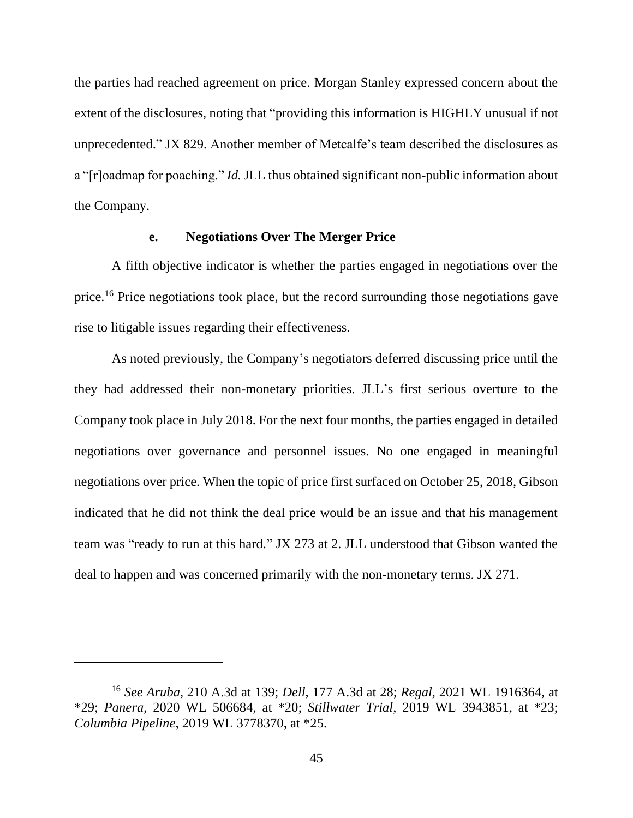the parties had reached agreement on price. Morgan Stanley expressed concern about the extent of the disclosures, noting that "providing this information is HIGHLY unusual if not unprecedented." JX 829. Another member of Metcalfe's team described the disclosures as a "[r]oadmap for poaching." *Id.*JLL thus obtained significant non-public information about the Company.

# **e. Negotiations Over The Merger Price**

A fifth objective indicator is whether the parties engaged in negotiations over the price.<sup>16</sup> Price negotiations took place, but the record surrounding those negotiations gave rise to litigable issues regarding their effectiveness.

As noted previously, the Company's negotiators deferred discussing price until the they had addressed their non-monetary priorities. JLL's first serious overture to the Company took place in July 2018. For the next four months, the parties engaged in detailed negotiations over governance and personnel issues. No one engaged in meaningful negotiations over price. When the topic of price first surfaced on October 25, 2018, Gibson indicated that he did not think the deal price would be an issue and that his management team was "ready to run at this hard." JX 273 at 2. JLL understood that Gibson wanted the deal to happen and was concerned primarily with the non-monetary terms. JX 271.

<sup>16</sup> *See Aruba*, 210 A.3d at 139; *Dell*, 177 A.3d at 28; *Regal*, 2021 WL 1916364, at \*29; *Panera*, 2020 WL 506684, at \*20; *Stillwater Trial*, 2019 WL 3943851, at \*23; *Columbia Pipeline*, 2019 WL 3778370, at \*25.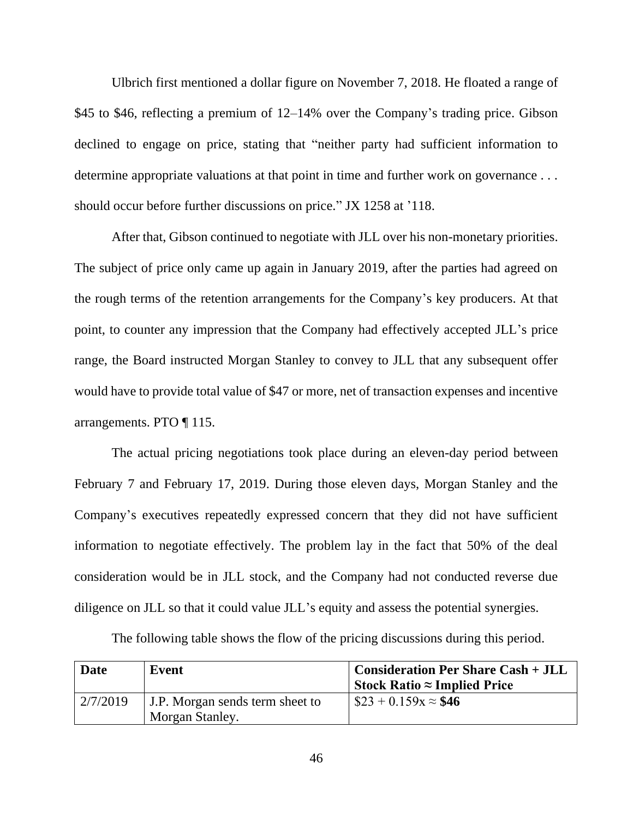Ulbrich first mentioned a dollar figure on November 7, 2018. He floated a range of \$45 to \$46, reflecting a premium of 12–14% over the Company's trading price. Gibson declined to engage on price, stating that "neither party had sufficient information to determine appropriate valuations at that point in time and further work on governance . . . should occur before further discussions on price." JX 1258 at '118.

After that, Gibson continued to negotiate with JLL over his non-monetary priorities. The subject of price only came up again in January 2019, after the parties had agreed on the rough terms of the retention arrangements for the Company's key producers. At that point, to counter any impression that the Company had effectively accepted JLL's price range, the Board instructed Morgan Stanley to convey to JLL that any subsequent offer would have to provide total value of \$47 or more, net of transaction expenses and incentive arrangements. PTO ¶ 115.

The actual pricing negotiations took place during an eleven-day period between February 7 and February 17, 2019. During those eleven days, Morgan Stanley and the Company's executives repeatedly expressed concern that they did not have sufficient information to negotiate effectively. The problem lay in the fact that 50% of the deal consideration would be in JLL stock, and the Company had not conducted reverse due diligence on JLL so that it could value JLL's equity and assess the potential synergies.

| Date     | Event                                              | <b>Consideration Per Share Cash + JLL</b><br>Stock Ratio $\approx$ Implied Price |
|----------|----------------------------------------------------|----------------------------------------------------------------------------------|
| 2/7/2019 | J.P. Morgan sends term sheet to<br>Morgan Stanley. | $\$23 + 0.159x \approx $46$                                                      |

The following table shows the flow of the pricing discussions during this period.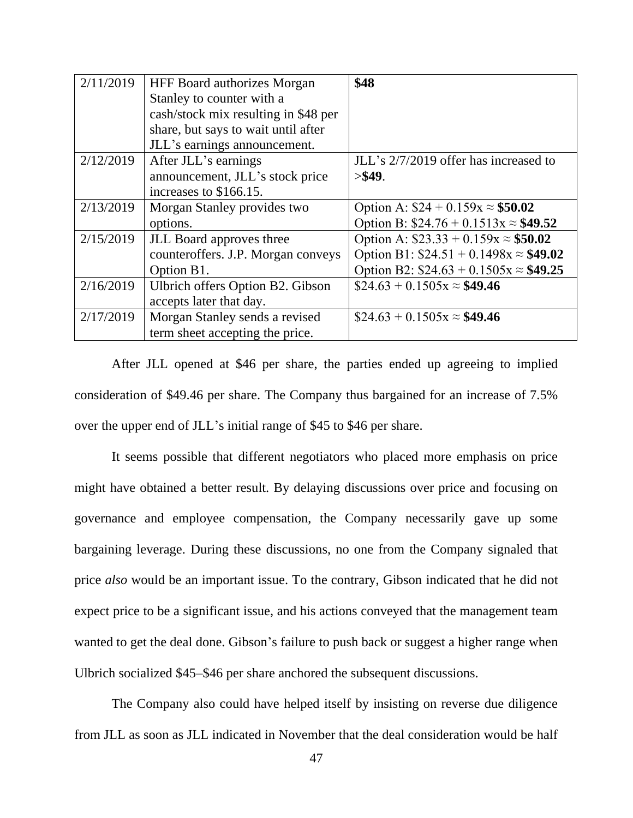| 2/11/2019 | HFF Board authorizes Morgan          | \$48                                         |
|-----------|--------------------------------------|----------------------------------------------|
|           | Stanley to counter with a            |                                              |
|           | cash/stock mix resulting in \$48 per |                                              |
|           | share, but says to wait until after  |                                              |
|           | JLL's earnings announcement.         |                                              |
| 2/12/2019 | After JLL's earnings                 | JLL's 2/7/2019 offer has increased to        |
|           | announcement, JLL's stock price      | > \$49.                                      |
|           | increases to \$166.15.               |                                              |
| 2/13/2019 | Morgan Stanley provides two          | Option A: $$24 + 0.159x \approx $50.02$      |
|           | options.                             | Option B: $$24.76 + 0.1513x \approx $49.52$  |
| 2/15/2019 | JLL Board approves three             | Option A: $$23.33 + 0.159x \approx $50.02$   |
|           | counteroffers. J.P. Morgan conveys   | Option B1: $$24.51 + 0.1498x \approx $49.02$ |
|           | Option B1.                           | Option B2: $$24.63 + 0.1505x \approx $49.25$ |
| 2/16/2019 | Ulbrich offers Option B2. Gibson     | $$24.63 + 0.1505x \approx $49.46$            |
|           | accepts later that day.              |                                              |
| 2/17/2019 | Morgan Stanley sends a revised       | $$24.63 + 0.1505x \approx $49.46$            |
|           | term sheet accepting the price.      |                                              |

After JLL opened at \$46 per share, the parties ended up agreeing to implied consideration of \$49.46 per share. The Company thus bargained for an increase of 7.5% over the upper end of JLL's initial range of \$45 to \$46 per share.

It seems possible that different negotiators who placed more emphasis on price might have obtained a better result. By delaying discussions over price and focusing on governance and employee compensation, the Company necessarily gave up some bargaining leverage. During these discussions, no one from the Company signaled that price *also* would be an important issue. To the contrary, Gibson indicated that he did not expect price to be a significant issue, and his actions conveyed that the management team wanted to get the deal done. Gibson's failure to push back or suggest a higher range when Ulbrich socialized \$45–\$46 per share anchored the subsequent discussions.

The Company also could have helped itself by insisting on reverse due diligence from JLL as soon as JLL indicated in November that the deal consideration would be half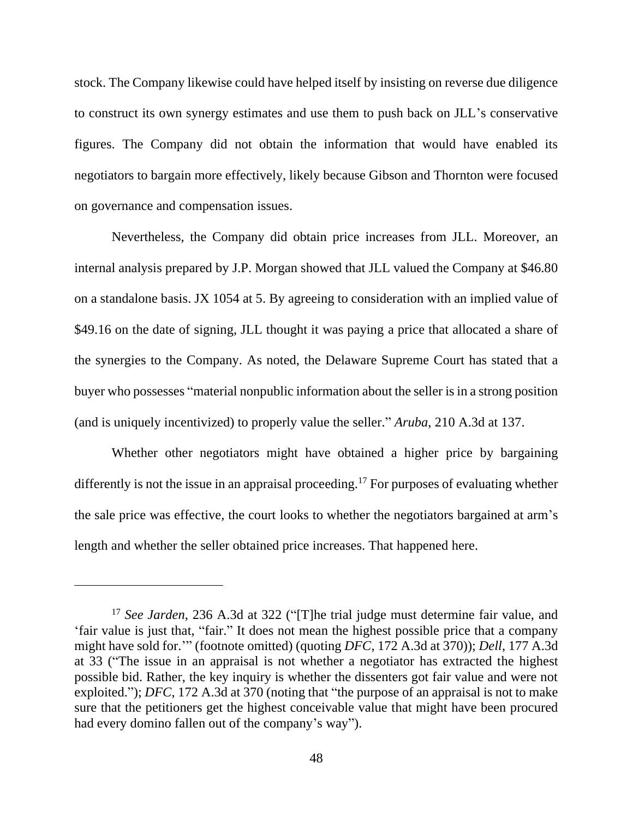stock. The Company likewise could have helped itself by insisting on reverse due diligence to construct its own synergy estimates and use them to push back on JLL's conservative figures. The Company did not obtain the information that would have enabled its negotiators to bargain more effectively, likely because Gibson and Thornton were focused on governance and compensation issues.

Nevertheless, the Company did obtain price increases from JLL. Moreover, an internal analysis prepared by J.P. Morgan showed that JLL valued the Company at \$46.80 on a standalone basis. JX 1054 at 5. By agreeing to consideration with an implied value of \$49.16 on the date of signing, JLL thought it was paying a price that allocated a share of the synergies to the Company. As noted, the Delaware Supreme Court has stated that a buyer who possesses "material nonpublic information about the seller is in a strong position (and is uniquely incentivized) to properly value the seller." *Aruba*, 210 A.3d at 137.

Whether other negotiators might have obtained a higher price by bargaining differently is not the issue in an appraisal proceeding.<sup>17</sup> For purposes of evaluating whether the sale price was effective, the court looks to whether the negotiators bargained at arm's length and whether the seller obtained price increases. That happened here.

<sup>17</sup> *See Jarden*, 236 A.3d at 322 ("[T]he trial judge must determine fair value, and 'fair value is just that, "fair." It does not mean the highest possible price that a company might have sold for.'" (footnote omitted) (quoting *DFC*, 172 A.3d at 370)); *Dell*, 177 A.3d at 33 ("The issue in an appraisal is not whether a negotiator has extracted the highest possible bid. Rather, the key inquiry is whether the dissenters got fair value and were not exploited."); *DFC*, 172 A.3d at 370 (noting that "the purpose of an appraisal is not to make sure that the petitioners get the highest conceivable value that might have been procured had every domino fallen out of the company's way").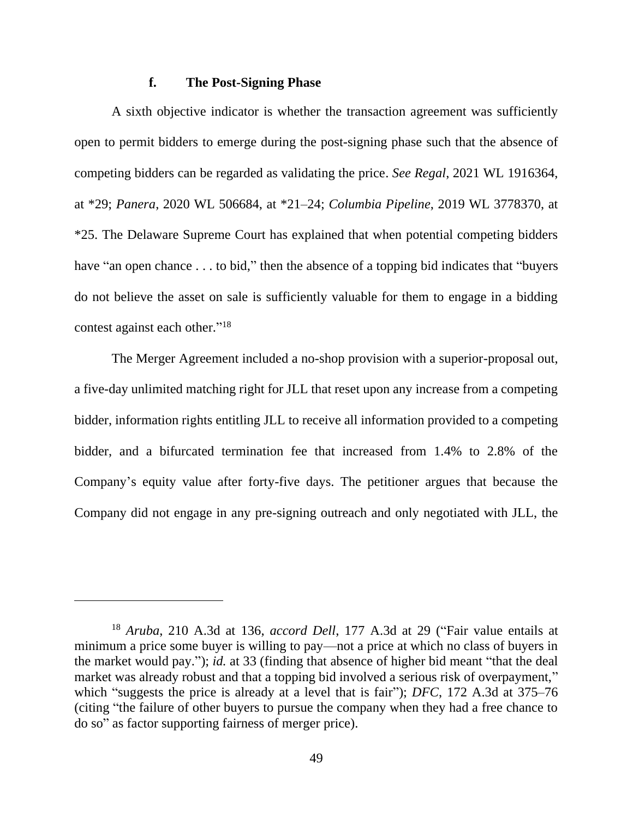#### **f. The Post-Signing Phase**

A sixth objective indicator is whether the transaction agreement was sufficiently open to permit bidders to emerge during the post-signing phase such that the absence of competing bidders can be regarded as validating the price. *See Regal*, 2021 WL 1916364, at \*29; *Panera*, 2020 WL 506684, at \*21–24; *Columbia Pipeline*, 2019 WL 3778370, at \*25. The Delaware Supreme Court has explained that when potential competing bidders have "an open chance . . . to bid," then the absence of a topping bid indicates that "buyers" do not believe the asset on sale is sufficiently valuable for them to engage in a bidding contest against each other."<sup>18</sup>

The Merger Agreement included a no-shop provision with a superior-proposal out, a five-day unlimited matching right for JLL that reset upon any increase from a competing bidder, information rights entitling JLL to receive all information provided to a competing bidder, and a bifurcated termination fee that increased from 1.4% to 2.8% of the Company's equity value after forty-five days. The petitioner argues that because the Company did not engage in any pre-signing outreach and only negotiated with JLL, the

<sup>18</sup> *Aruba*, 210 A.3d at 136, *accord Dell*, 177 A.3d at 29 ("Fair value entails at minimum a price some buyer is willing to pay—not a price at which no class of buyers in the market would pay."); *id.* at 33 (finding that absence of higher bid meant "that the deal market was already robust and that a topping bid involved a serious risk of overpayment," which "suggests the price is already at a level that is fair"); *DFC*, 172 A.3d at 375–76 (citing "the failure of other buyers to pursue the company when they had a free chance to do so" as factor supporting fairness of merger price).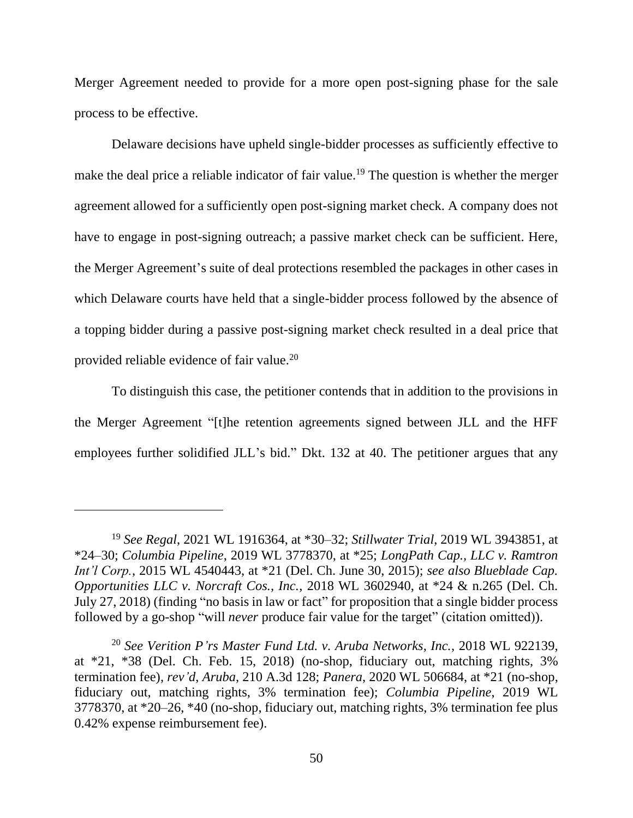Merger Agreement needed to provide for a more open post-signing phase for the sale process to be effective.

Delaware decisions have upheld single-bidder processes as sufficiently effective to make the deal price a reliable indicator of fair value.<sup>19</sup> The question is whether the merger agreement allowed for a sufficiently open post-signing market check. A company does not have to engage in post-signing outreach; a passive market check can be sufficient. Here, the Merger Agreement's suite of deal protections resembled the packages in other cases in which Delaware courts have held that a single-bidder process followed by the absence of a topping bidder during a passive post-signing market check resulted in a deal price that provided reliable evidence of fair value.<sup>20</sup>

To distinguish this case, the petitioner contends that in addition to the provisions in the Merger Agreement "[t]he retention agreements signed between JLL and the HFF employees further solidified JLL's bid." Dkt. 132 at 40. The petitioner argues that any

<sup>19</sup> *See Regal*, 2021 WL 1916364, at \*30–32; *Stillwater Trial*, 2019 WL 3943851, at \*24–30; *Columbia Pipeline*, 2019 WL 3778370, at \*25; *LongPath Cap., LLC v. Ramtron Int'l Corp.*, 2015 WL 4540443, at \*21 (Del. Ch. June 30, 2015); *see also Blueblade Cap. Opportunities LLC v. Norcraft Cos., Inc.*, 2018 WL 3602940, at \*24 & n.265 (Del. Ch. July 27, 2018) (finding "no basis in law or fact" for proposition that a single bidder process followed by a go-shop "will *never* produce fair value for the target" (citation omitted)).

<sup>20</sup> *See Verition P'rs Master Fund Ltd. v. Aruba Networks, Inc.*, 2018 WL 922139, at  $*21$ ,  $*38$  (Del. Ch. Feb. 15, 2018) (no-shop, fiduciary out, matching rights,  $3\%$ termination fee), *rev'd*, *Aruba*, 210 A.3d 128; *Panera*, 2020 WL 506684, at \*21 (no-shop, fiduciary out, matching rights, 3% termination fee); *Columbia Pipeline*, 2019 WL 3778370, at \*20–26, \*40 (no-shop, fiduciary out, matching rights, 3% termination fee plus 0.42% expense reimbursement fee).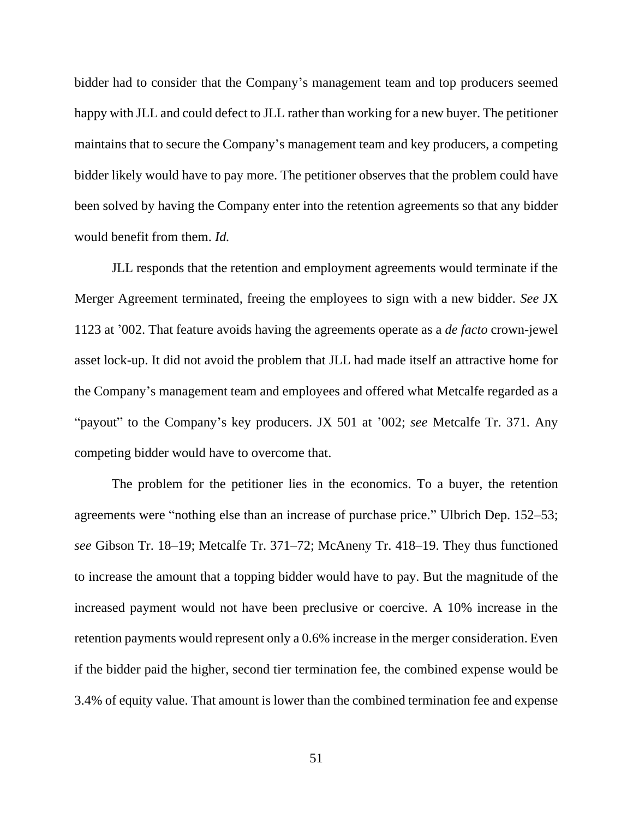bidder had to consider that the Company's management team and top producers seemed happy with JLL and could defect to JLL rather than working for a new buyer. The petitioner maintains that to secure the Company's management team and key producers, a competing bidder likely would have to pay more. The petitioner observes that the problem could have been solved by having the Company enter into the retention agreements so that any bidder would benefit from them. *Id.*

JLL responds that the retention and employment agreements would terminate if the Merger Agreement terminated, freeing the employees to sign with a new bidder. *See* JX 1123 at '002. That feature avoids having the agreements operate as a *de facto* crown-jewel asset lock-up. It did not avoid the problem that JLL had made itself an attractive home for the Company's management team and employees and offered what Metcalfe regarded as a "payout" to the Company's key producers. JX 501 at '002; *see* Metcalfe Tr. 371. Any competing bidder would have to overcome that.

The problem for the petitioner lies in the economics. To a buyer, the retention agreements were "nothing else than an increase of purchase price." Ulbrich Dep. 152–53; *see* Gibson Tr. 18–19; Metcalfe Tr. 371–72; McAneny Tr. 418–19. They thus functioned to increase the amount that a topping bidder would have to pay. But the magnitude of the increased payment would not have been preclusive or coercive. A 10% increase in the retention payments would represent only a 0.6% increase in the merger consideration. Even if the bidder paid the higher, second tier termination fee, the combined expense would be 3.4% of equity value. That amount is lower than the combined termination fee and expense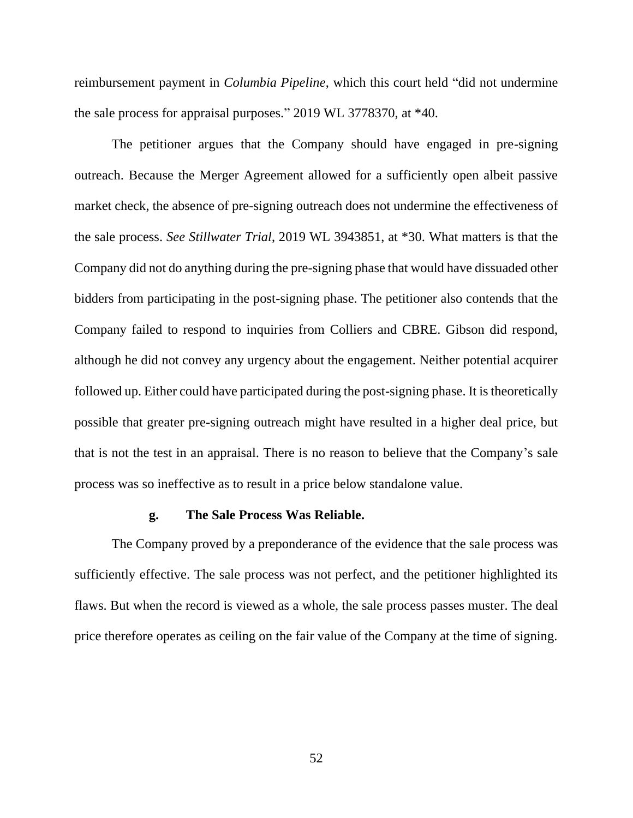reimbursement payment in *Columbia Pipeline*, which this court held "did not undermine the sale process for appraisal purposes." 2019 WL 3778370, at \*40.

The petitioner argues that the Company should have engaged in pre-signing outreach. Because the Merger Agreement allowed for a sufficiently open albeit passive market check, the absence of pre-signing outreach does not undermine the effectiveness of the sale process. *See Stillwater Trial*, 2019 WL 3943851, at \*30. What matters is that the Company did not do anything during the pre-signing phase that would have dissuaded other bidders from participating in the post-signing phase. The petitioner also contends that the Company failed to respond to inquiries from Colliers and CBRE. Gibson did respond, although he did not convey any urgency about the engagement. Neither potential acquirer followed up. Either could have participated during the post-signing phase. It is theoretically possible that greater pre-signing outreach might have resulted in a higher deal price, but that is not the test in an appraisal. There is no reason to believe that the Company's sale process was so ineffective as to result in a price below standalone value.

#### **g. The Sale Process Was Reliable.**

The Company proved by a preponderance of the evidence that the sale process was sufficiently effective. The sale process was not perfect, and the petitioner highlighted its flaws. But when the record is viewed as a whole, the sale process passes muster. The deal price therefore operates as ceiling on the fair value of the Company at the time of signing.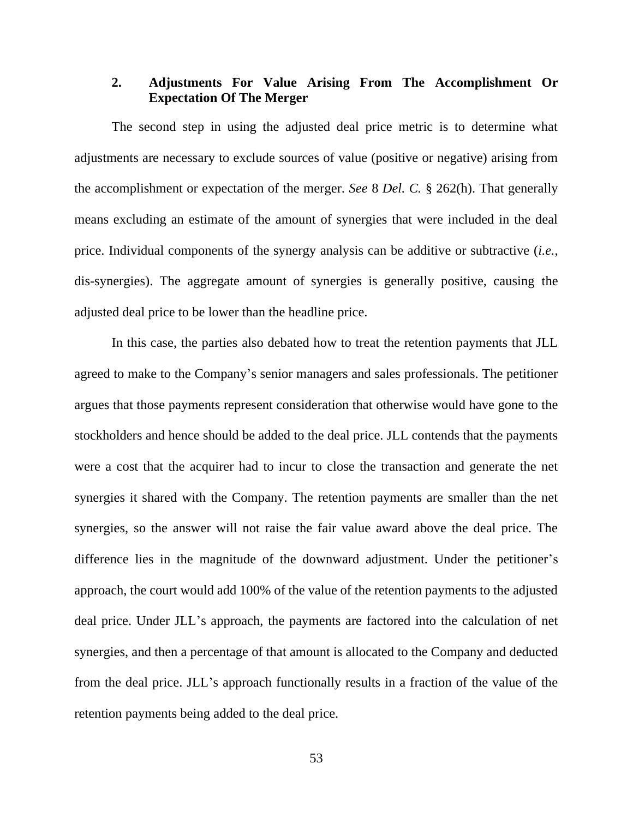# **2. Adjustments For Value Arising From The Accomplishment Or Expectation Of The Merger**

The second step in using the adjusted deal price metric is to determine what adjustments are necessary to exclude sources of value (positive or negative) arising from the accomplishment or expectation of the merger. *See* 8 *Del. C.* § 262(h). That generally means excluding an estimate of the amount of synergies that were included in the deal price. Individual components of the synergy analysis can be additive or subtractive (*i.e.*, dis-synergies). The aggregate amount of synergies is generally positive, causing the adjusted deal price to be lower than the headline price.

In this case, the parties also debated how to treat the retention payments that JLL agreed to make to the Company's senior managers and sales professionals. The petitioner argues that those payments represent consideration that otherwise would have gone to the stockholders and hence should be added to the deal price. JLL contends that the payments were a cost that the acquirer had to incur to close the transaction and generate the net synergies it shared with the Company. The retention payments are smaller than the net synergies, so the answer will not raise the fair value award above the deal price. The difference lies in the magnitude of the downward adjustment. Under the petitioner's approach, the court would add 100% of the value of the retention payments to the adjusted deal price. Under JLL's approach, the payments are factored into the calculation of net synergies, and then a percentage of that amount is allocated to the Company and deducted from the deal price. JLL's approach functionally results in a fraction of the value of the retention payments being added to the deal price.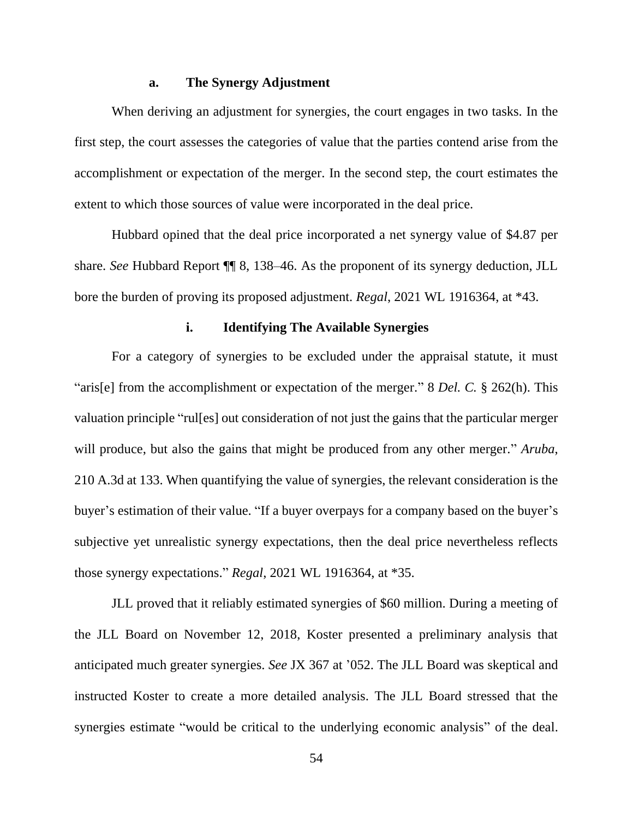### **a. The Synergy Adjustment**

When deriving an adjustment for synergies, the court engages in two tasks. In the first step, the court assesses the categories of value that the parties contend arise from the accomplishment or expectation of the merger. In the second step, the court estimates the extent to which those sources of value were incorporated in the deal price.

Hubbard opined that the deal price incorporated a net synergy value of \$4.87 per share. *See* Hubbard Report ¶¶ 8, 138–46. As the proponent of its synergy deduction, JLL bore the burden of proving its proposed adjustment. *Regal*, 2021 WL 1916364, at \*43.

# **i. Identifying The Available Synergies**

For a category of synergies to be excluded under the appraisal statute, it must "aris[e] from the accomplishment or expectation of the merger." 8 *Del. C.* § 262(h). This valuation principle "rul[es] out consideration of not just the gains that the particular merger will produce, but also the gains that might be produced from any other merger." *Aruba*, 210 A.3d at 133. When quantifying the value of synergies, the relevant consideration is the buyer's estimation of their value. "If a buyer overpays for a company based on the buyer's subjective yet unrealistic synergy expectations, then the deal price nevertheless reflects those synergy expectations." *Regal*, 2021 WL 1916364, at \*35.

JLL proved that it reliably estimated synergies of \$60 million. During a meeting of the JLL Board on November 12, 2018, Koster presented a preliminary analysis that anticipated much greater synergies. *See* JX 367 at '052. The JLL Board was skeptical and instructed Koster to create a more detailed analysis. The JLL Board stressed that the synergies estimate "would be critical to the underlying economic analysis" of the deal.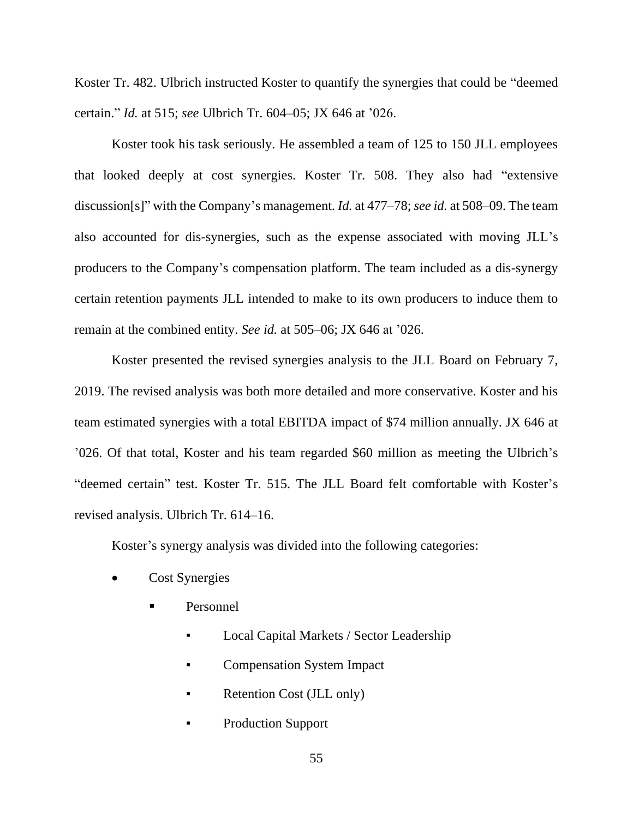Koster Tr. 482. Ulbrich instructed Koster to quantify the synergies that could be "deemed certain." *Id.* at 515; *see* Ulbrich Tr. 604–05; JX 646 at '026.

Koster took his task seriously. He assembled a team of 125 to 150 JLL employees that looked deeply at cost synergies. Koster Tr. 508. They also had "extensive discussion[s]" with the Company's management. *Id.* at 477–78; *see id.* at 508–09. The team also accounted for dis-synergies, such as the expense associated with moving JLL's producers to the Company's compensation platform. The team included as a dis-synergy certain retention payments JLL intended to make to its own producers to induce them to remain at the combined entity. *See id.* at 505–06; JX 646 at '026.

Koster presented the revised synergies analysis to the JLL Board on February 7, 2019. The revised analysis was both more detailed and more conservative. Koster and his team estimated synergies with a total EBITDA impact of \$74 million annually. JX 646 at '026. Of that total, Koster and his team regarded \$60 million as meeting the Ulbrich's "deemed certain" test. Koster Tr. 515. The JLL Board felt comfortable with Koster's revised analysis. Ulbrich Tr. 614–16.

Koster's synergy analysis was divided into the following categories:

- Cost Synergies
	- Personnel
		- Local Capital Markets / Sector Leadership
		- **Compensation System Impact**
		- Retention Cost (JLL only)
		- Production Support

55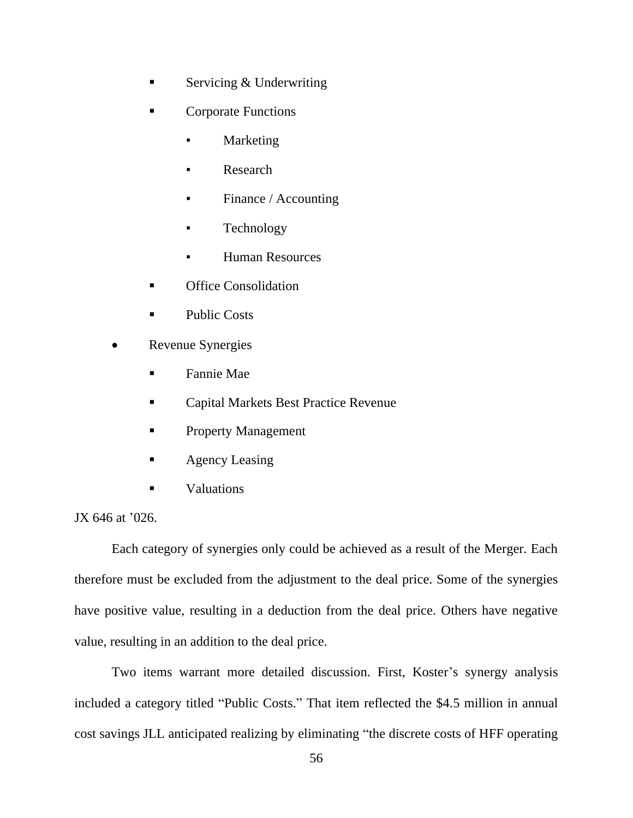- Servicing  $&$  Underwriting
- Corporate Functions
	- **Marketing**
	- Research
	- Finance / Accounting
	- Technology
	- **Human Resources**
- **Office Consolidation**
- Public Costs
- Revenue Synergies
	- **Fannie Mae**
	- Capital Markets Best Practice Revenue
	- Property Management
	- Agency Leasing
	- Valuations

JX 646 at '026.

Each category of synergies only could be achieved as a result of the Merger. Each therefore must be excluded from the adjustment to the deal price. Some of the synergies have positive value, resulting in a deduction from the deal price. Others have negative value, resulting in an addition to the deal price.

Two items warrant more detailed discussion. First, Koster's synergy analysis included a category titled "Public Costs." That item reflected the \$4.5 million in annual cost savings JLL anticipated realizing by eliminating "the discrete costs of HFF operating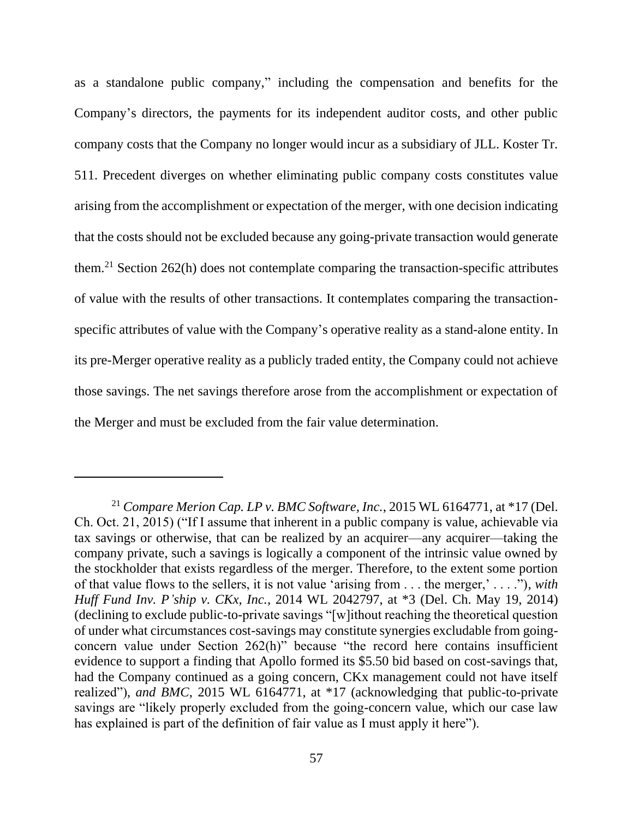as a standalone public company," including the compensation and benefits for the Company's directors, the payments for its independent auditor costs, and other public company costs that the Company no longer would incur as a subsidiary of JLL. Koster Tr. 511. Precedent diverges on whether eliminating public company costs constitutes value arising from the accomplishment or expectation of the merger, with one decision indicating that the costs should not be excluded because any going-private transaction would generate them.<sup>21</sup> Section 262(h) does not contemplate comparing the transaction-specific attributes of value with the results of other transactions. It contemplates comparing the transactionspecific attributes of value with the Company's operative reality as a stand-alone entity. In its pre-Merger operative reality as a publicly traded entity, the Company could not achieve those savings. The net savings therefore arose from the accomplishment or expectation of the Merger and must be excluded from the fair value determination.

<sup>21</sup> *Compare Merion Cap. LP v. BMC Software, Inc.*, 2015 WL 6164771, at \*17 (Del. Ch. Oct. 21, 2015) ("If I assume that inherent in a public company is value, achievable via tax savings or otherwise, that can be realized by an acquirer—any acquirer—taking the company private, such a savings is logically a component of the intrinsic value owned by the stockholder that exists regardless of the merger. Therefore, to the extent some portion of that value flows to the sellers, it is not value 'arising from . . . the merger,' . . . ."), *with Huff Fund Inv. P'ship v. CKx, Inc.*, 2014 WL 2042797, at \*3 (Del. Ch. May 19, 2014) (declining to exclude public-to-private savings "[w]ithout reaching the theoretical question of under what circumstances cost-savings may constitute synergies excludable from goingconcern value under Section 262(h)" because "the record here contains insufficient evidence to support a finding that Apollo formed its \$5.50 bid based on cost-savings that, had the Company continued as a going concern, CKx management could not have itself realized"), *and BMC*, 2015 WL 6164771, at \*17 (acknowledging that public-to-private savings are "likely properly excluded from the going-concern value, which our case law has explained is part of the definition of fair value as I must apply it here").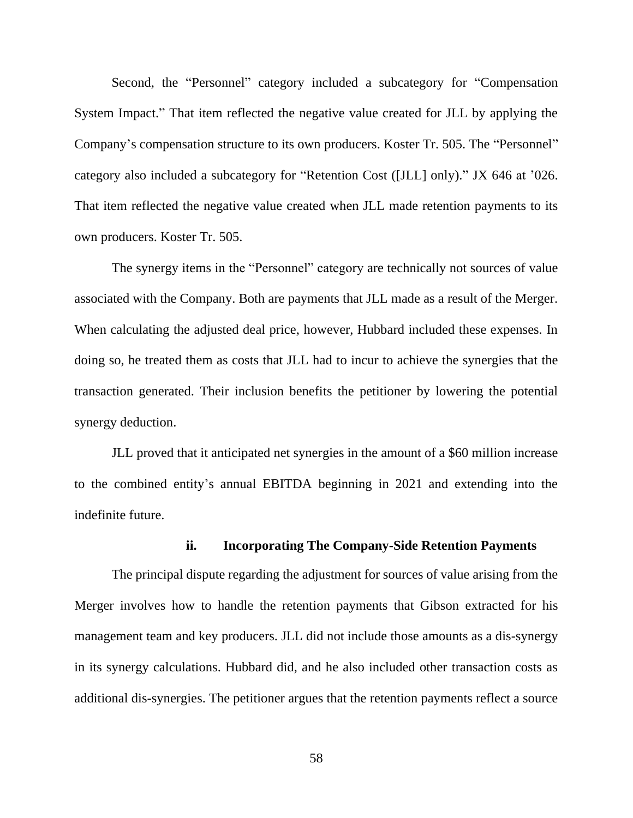Second, the "Personnel" category included a subcategory for "Compensation System Impact." That item reflected the negative value created for JLL by applying the Company's compensation structure to its own producers. Koster Tr. 505. The "Personnel" category also included a subcategory for "Retention Cost ([JLL] only)." JX 646 at '026. That item reflected the negative value created when JLL made retention payments to its own producers. Koster Tr. 505.

The synergy items in the "Personnel" category are technically not sources of value associated with the Company. Both are payments that JLL made as a result of the Merger. When calculating the adjusted deal price, however, Hubbard included these expenses. In doing so, he treated them as costs that JLL had to incur to achieve the synergies that the transaction generated. Their inclusion benefits the petitioner by lowering the potential synergy deduction.

JLL proved that it anticipated net synergies in the amount of a \$60 million increase to the combined entity's annual EBITDA beginning in 2021 and extending into the indefinite future.

# **ii. Incorporating The Company-Side Retention Payments**

The principal dispute regarding the adjustment for sources of value arising from the Merger involves how to handle the retention payments that Gibson extracted for his management team and key producers. JLL did not include those amounts as a dis-synergy in its synergy calculations. Hubbard did, and he also included other transaction costs as additional dis-synergies. The petitioner argues that the retention payments reflect a source

58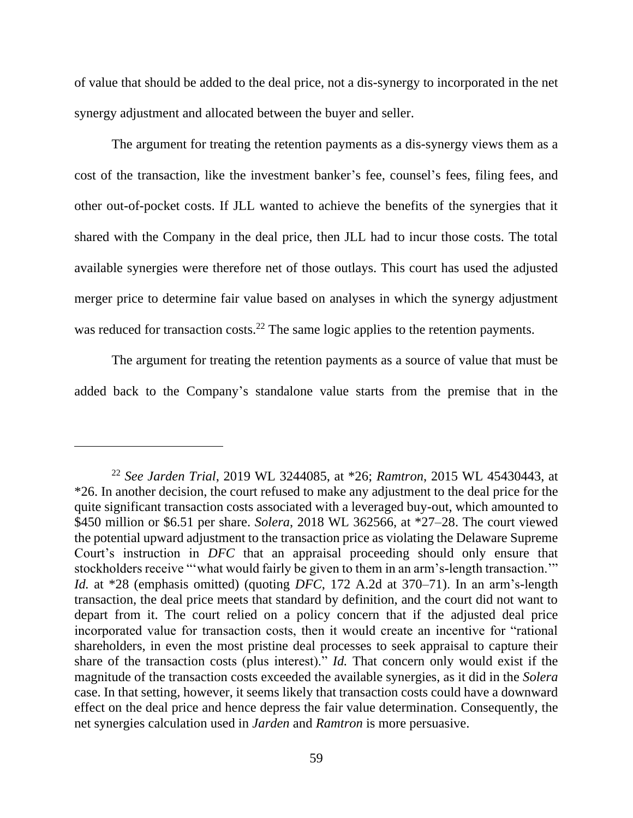of value that should be added to the deal price, not a dis-synergy to incorporated in the net synergy adjustment and allocated between the buyer and seller.

The argument for treating the retention payments as a dis-synergy views them as a cost of the transaction, like the investment banker's fee, counsel's fees, filing fees, and other out-of-pocket costs. If JLL wanted to achieve the benefits of the synergies that it shared with the Company in the deal price, then JLL had to incur those costs. The total available synergies were therefore net of those outlays. This court has used the adjusted merger price to determine fair value based on analyses in which the synergy adjustment was reduced for transaction costs.<sup>22</sup> The same logic applies to the retention payments.

The argument for treating the retention payments as a source of value that must be added back to the Company's standalone value starts from the premise that in the

<sup>22</sup> *See Jarden Trial*, 2019 WL 3244085, at \*26; *Ramtron*, 2015 WL 45430443, at \*26. In another decision, the court refused to make any adjustment to the deal price for the quite significant transaction costs associated with a leveraged buy-out, which amounted to \$450 million or \$6.51 per share. *Solera*, 2018 WL 362566, at \*27–28. The court viewed the potential upward adjustment to the transaction price as violating the Delaware Supreme Court's instruction in *DFC* that an appraisal proceeding should only ensure that stockholders receive "'what would fairly be given to them in an arm's-length transaction.'" *Id.* at \*28 (emphasis omitted) (quoting *DFC*, 172 A.2d at 370–71). In an arm's-length transaction, the deal price meets that standard by definition, and the court did not want to depart from it. The court relied on a policy concern that if the adjusted deal price incorporated value for transaction costs, then it would create an incentive for "rational shareholders, in even the most pristine deal processes to seek appraisal to capture their share of the transaction costs (plus interest)." *Id.* That concern only would exist if the magnitude of the transaction costs exceeded the available synergies, as it did in the *Solera*  case. In that setting, however, it seems likely that transaction costs could have a downward effect on the deal price and hence depress the fair value determination. Consequently, the net synergies calculation used in *Jarden* and *Ramtron* is more persuasive.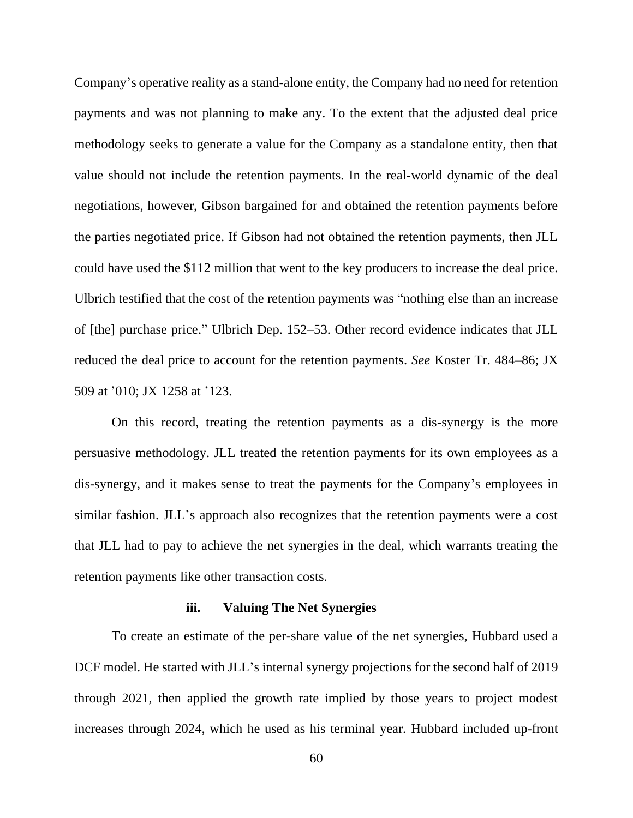Company's operative reality as a stand-alone entity, the Company had no need for retention payments and was not planning to make any. To the extent that the adjusted deal price methodology seeks to generate a value for the Company as a standalone entity, then that value should not include the retention payments. In the real-world dynamic of the deal negotiations, however, Gibson bargained for and obtained the retention payments before the parties negotiated price. If Gibson had not obtained the retention payments, then JLL could have used the \$112 million that went to the key producers to increase the deal price. Ulbrich testified that the cost of the retention payments was "nothing else than an increase of [the] purchase price." Ulbrich Dep. 152–53. Other record evidence indicates that JLL reduced the deal price to account for the retention payments. *See* Koster Tr. 484–86; JX 509 at '010; JX 1258 at '123.

On this record, treating the retention payments as a dis-synergy is the more persuasive methodology. JLL treated the retention payments for its own employees as a dis-synergy, and it makes sense to treat the payments for the Company's employees in similar fashion. JLL's approach also recognizes that the retention payments were a cost that JLL had to pay to achieve the net synergies in the deal, which warrants treating the retention payments like other transaction costs.

#### **iii. Valuing The Net Synergies**

To create an estimate of the per-share value of the net synergies, Hubbard used a DCF model. He started with JLL's internal synergy projections for the second half of 2019 through 2021, then applied the growth rate implied by those years to project modest increases through 2024, which he used as his terminal year. Hubbard included up-front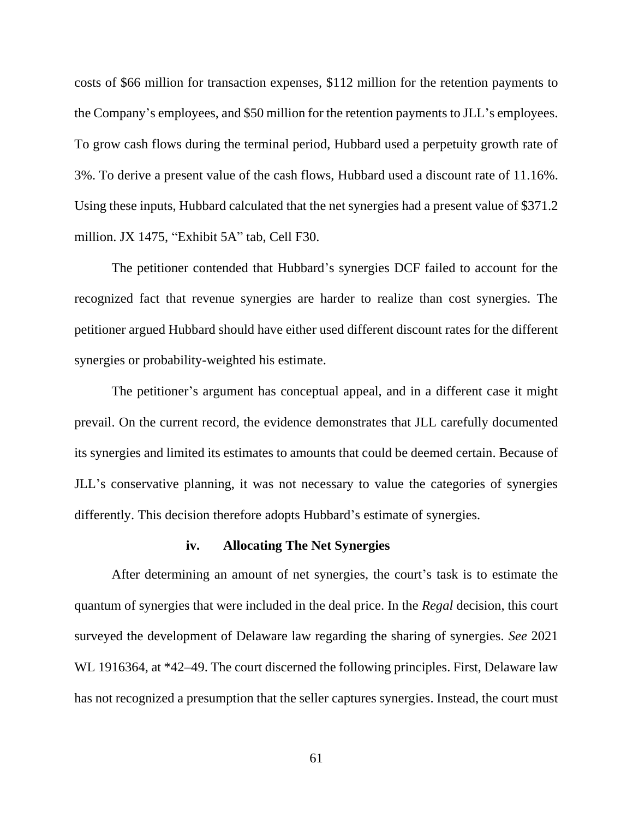costs of \$66 million for transaction expenses, \$112 million for the retention payments to the Company's employees, and \$50 million for the retention payments to JLL's employees. To grow cash flows during the terminal period, Hubbard used a perpetuity growth rate of 3%. To derive a present value of the cash flows, Hubbard used a discount rate of 11.16%. Using these inputs, Hubbard calculated that the net synergies had a present value of \$371.2 million. JX 1475, "Exhibit 5A" tab, Cell F30.

The petitioner contended that Hubbard's synergies DCF failed to account for the recognized fact that revenue synergies are harder to realize than cost synergies. The petitioner argued Hubbard should have either used different discount rates for the different synergies or probability-weighted his estimate.

The petitioner's argument has conceptual appeal, and in a different case it might prevail. On the current record, the evidence demonstrates that JLL carefully documented its synergies and limited its estimates to amounts that could be deemed certain. Because of JLL's conservative planning, it was not necessary to value the categories of synergies differently. This decision therefore adopts Hubbard's estimate of synergies.

#### **iv. Allocating The Net Synergies**

After determining an amount of net synergies, the court's task is to estimate the quantum of synergies that were included in the deal price. In the *Regal* decision, this court surveyed the development of Delaware law regarding the sharing of synergies. *See* 2021 WL 1916364, at \*42–49. The court discerned the following principles. First, Delaware law has not recognized a presumption that the seller captures synergies. Instead, the court must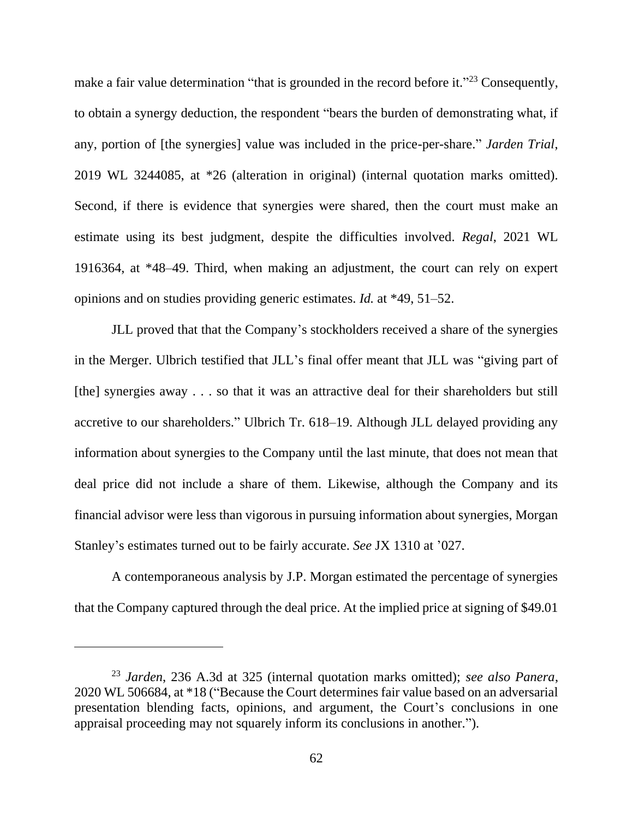make a fair value determination "that is grounded in the record before it."<sup>23</sup> Consequently, to obtain a synergy deduction, the respondent "bears the burden of demonstrating what, if any, portion of [the synergies] value was included in the price-per-share." *Jarden Trial*, 2019 WL 3244085, at \*26 (alteration in original) (internal quotation marks omitted). Second, if there is evidence that synergies were shared, then the court must make an estimate using its best judgment, despite the difficulties involved. *Regal*, 2021 WL 1916364, at \*48–49. Third, when making an adjustment, the court can rely on expert opinions and on studies providing generic estimates. *Id.* at \*49, 51–52.

JLL proved that that the Company's stockholders received a share of the synergies in the Merger. Ulbrich testified that JLL's final offer meant that JLL was "giving part of [the] synergies away . . . so that it was an attractive deal for their shareholders but still accretive to our shareholders." Ulbrich Tr. 618–19. Although JLL delayed providing any information about synergies to the Company until the last minute, that does not mean that deal price did not include a share of them. Likewise, although the Company and its financial advisor were less than vigorous in pursuing information about synergies, Morgan Stanley's estimates turned out to be fairly accurate. *See* JX 1310 at '027.

A contemporaneous analysis by J.P. Morgan estimated the percentage of synergies that the Company captured through the deal price. At the implied price at signing of \$49.01

<sup>23</sup> *Jarden*, 236 A.3d at 325 (internal quotation marks omitted); *see also Panera*, 2020 WL 506684, at \*18 ("Because the Court determines fair value based on an adversarial presentation blending facts, opinions, and argument, the Court's conclusions in one appraisal proceeding may not squarely inform its conclusions in another.").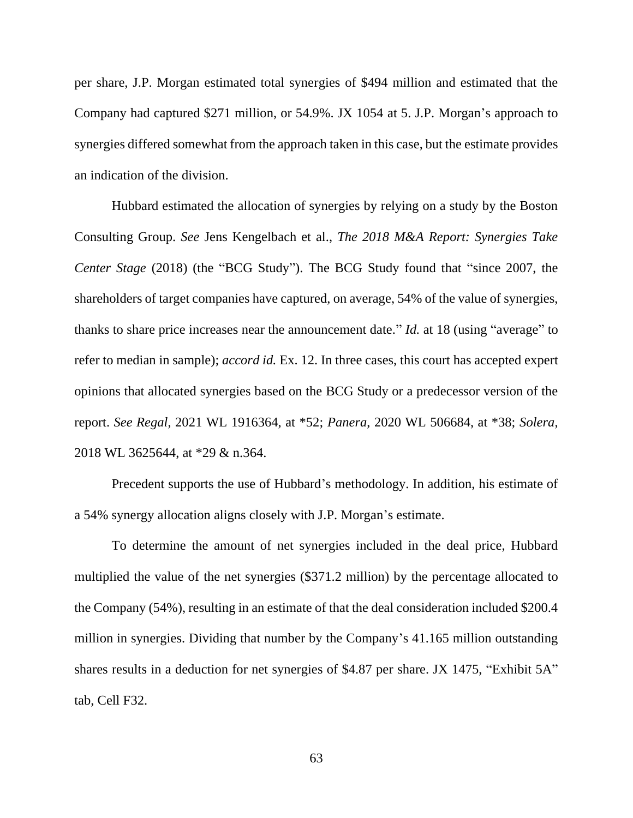per share, J.P. Morgan estimated total synergies of \$494 million and estimated that the Company had captured \$271 million, or 54.9%. JX 1054 at 5. J.P. Morgan's approach to synergies differed somewhat from the approach taken in this case, but the estimate provides an indication of the division.

Hubbard estimated the allocation of synergies by relying on a study by the Boston Consulting Group. *See* Jens Kengelbach et al., *The 2018 M&A Report: Synergies Take Center Stage* (2018) (the "BCG Study"). The BCG Study found that "since 2007, the shareholders of target companies have captured, on average, 54% of the value of synergies, thanks to share price increases near the announcement date." *Id.* at 18 (using "average" to refer to median in sample); *accord id.* Ex. 12. In three cases, this court has accepted expert opinions that allocated synergies based on the BCG Study or a predecessor version of the report. *See Regal*, 2021 WL 1916364, at \*52; *Panera*, 2020 WL 506684, at \*38; *Solera*, 2018 WL 3625644, at \*29 & n.364.

Precedent supports the use of Hubbard's methodology. In addition, his estimate of a 54% synergy allocation aligns closely with J.P. Morgan's estimate.

To determine the amount of net synergies included in the deal price, Hubbard multiplied the value of the net synergies (\$371.2 million) by the percentage allocated to the Company (54%), resulting in an estimate of that the deal consideration included \$200.4 million in synergies. Dividing that number by the Company's 41.165 million outstanding shares results in a deduction for net synergies of \$4.87 per share. JX 1475, "Exhibit 5A" tab, Cell F32.

63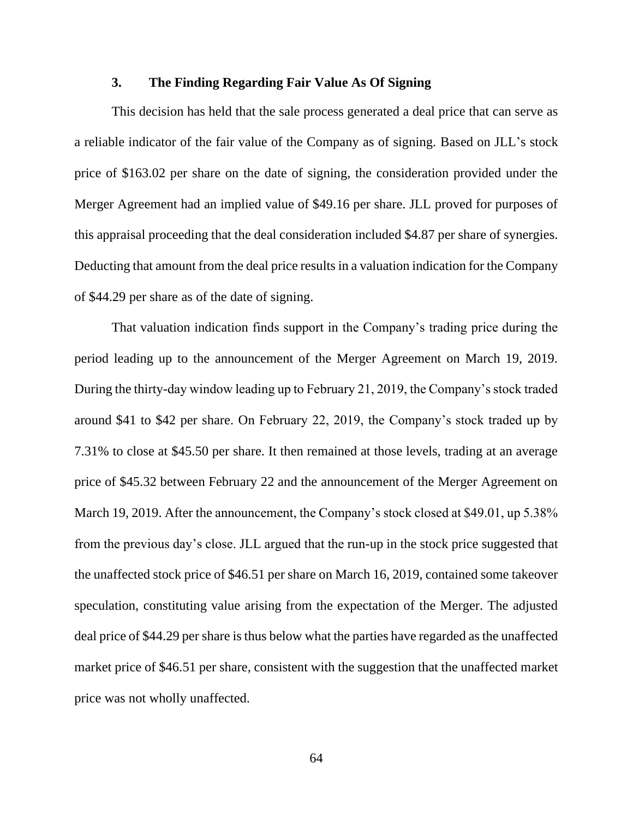# **3. The Finding Regarding Fair Value As Of Signing**

This decision has held that the sale process generated a deal price that can serve as a reliable indicator of the fair value of the Company as of signing. Based on JLL's stock price of \$163.02 per share on the date of signing, the consideration provided under the Merger Agreement had an implied value of \$49.16 per share. JLL proved for purposes of this appraisal proceeding that the deal consideration included \$4.87 per share of synergies. Deducting that amount from the deal price results in a valuation indication for the Company of \$44.29 per share as of the date of signing.

That valuation indication finds support in the Company's trading price during the period leading up to the announcement of the Merger Agreement on March 19, 2019. During the thirty-day window leading up to February 21, 2019, the Company's stock traded around \$41 to \$42 per share. On February 22, 2019, the Company's stock traded up by 7.31% to close at \$45.50 per share. It then remained at those levels, trading at an average price of \$45.32 between February 22 and the announcement of the Merger Agreement on March 19, 2019. After the announcement, the Company's stock closed at \$49.01, up 5.38% from the previous day's close. JLL argued that the run-up in the stock price suggested that the unaffected stock price of \$46.51 per share on March 16, 2019, contained some takeover speculation, constituting value arising from the expectation of the Merger. The adjusted deal price of \$44.29 per share is thus below what the parties have regarded as the unaffected market price of \$46.51 per share, consistent with the suggestion that the unaffected market price was not wholly unaffected.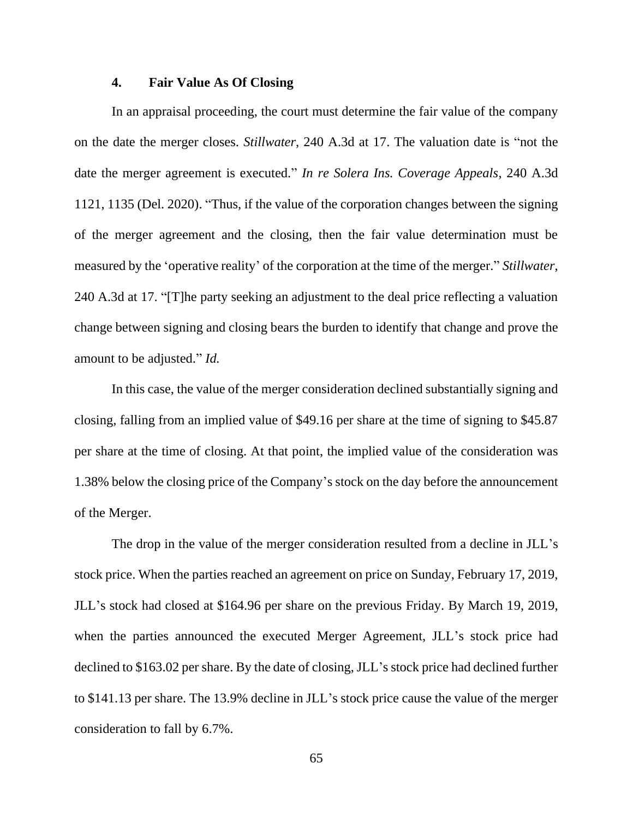# **4. Fair Value As Of Closing**

In an appraisal proceeding, the court must determine the fair value of the company on the date the merger closes. *Stillwater*, 240 A.3d at 17. The valuation date is "not the date the merger agreement is executed." *In re Solera Ins. Coverage Appeals*, 240 A.3d 1121, 1135 (Del. 2020). "Thus, if the value of the corporation changes between the signing of the merger agreement and the closing, then the fair value determination must be measured by the 'operative reality' of the corporation at the time of the merger." *Stillwater*, 240 A.3d at 17. "[T]he party seeking an adjustment to the deal price reflecting a valuation change between signing and closing bears the burden to identify that change and prove the amount to be adjusted." *Id.*

In this case, the value of the merger consideration declined substantially signing and closing, falling from an implied value of \$49.16 per share at the time of signing to \$45.87 per share at the time of closing. At that point, the implied value of the consideration was 1.38% below the closing price of the Company's stock on the day before the announcement of the Merger.

The drop in the value of the merger consideration resulted from a decline in JLL's stock price. When the parties reached an agreement on price on Sunday, February 17, 2019, JLL's stock had closed at \$164.96 per share on the previous Friday. By March 19, 2019, when the parties announced the executed Merger Agreement, JLL's stock price had declined to \$163.02 per share. By the date of closing, JLL's stock price had declined further to \$141.13 per share. The 13.9% decline in JLL's stock price cause the value of the merger consideration to fall by 6.7%.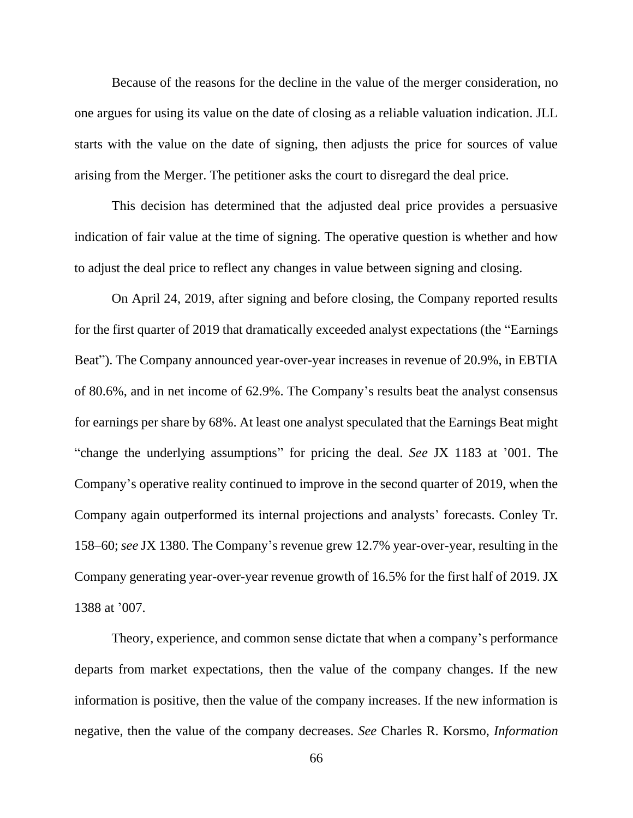Because of the reasons for the decline in the value of the merger consideration, no one argues for using its value on the date of closing as a reliable valuation indication. JLL starts with the value on the date of signing, then adjusts the price for sources of value arising from the Merger. The petitioner asks the court to disregard the deal price.

This decision has determined that the adjusted deal price provides a persuasive indication of fair value at the time of signing. The operative question is whether and how to adjust the deal price to reflect any changes in value between signing and closing.

On April 24, 2019, after signing and before closing, the Company reported results for the first quarter of 2019 that dramatically exceeded analyst expectations (the "Earnings Beat"). The Company announced year-over-year increases in revenue of 20.9%, in EBTIA of 80.6%, and in net income of 62.9%. The Company's results beat the analyst consensus for earnings per share by 68%. At least one analyst speculated that the Earnings Beat might "change the underlying assumptions" for pricing the deal. *See* JX 1183 at '001. The Company's operative reality continued to improve in the second quarter of 2019, when the Company again outperformed its internal projections and analysts' forecasts. Conley Tr. 158–60; *see* JX 1380. The Company's revenue grew 12.7% year-over-year, resulting in the Company generating year-over-year revenue growth of 16.5% for the first half of 2019. JX 1388 at '007.

Theory, experience, and common sense dictate that when a company's performance departs from market expectations, then the value of the company changes. If the new information is positive, then the value of the company increases. If the new information is negative, then the value of the company decreases. *See* Charles R. Korsmo, *Information*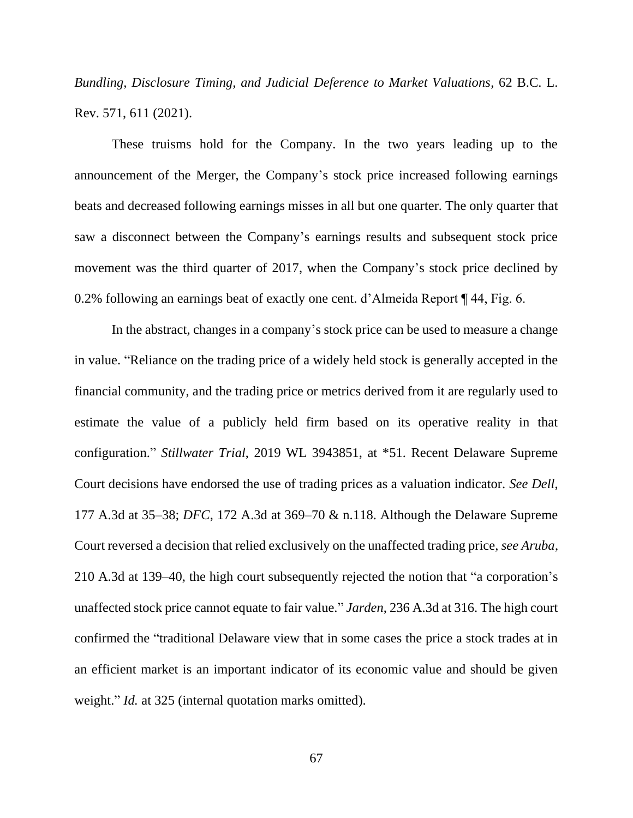*Bundling, Disclosure Timing, and Judicial Deference to Market Valuations*, 62 B.C. L. Rev. 571, 611 (2021).

These truisms hold for the Company. In the two years leading up to the announcement of the Merger, the Company's stock price increased following earnings beats and decreased following earnings misses in all but one quarter. The only quarter that saw a disconnect between the Company's earnings results and subsequent stock price movement was the third quarter of 2017, when the Company's stock price declined by 0.2% following an earnings beat of exactly one cent. d'Almeida Report ¶ 44, Fig. 6.

In the abstract, changes in a company's stock price can be used to measure a change in value. "Reliance on the trading price of a widely held stock is generally accepted in the financial community, and the trading price or metrics derived from it are regularly used to estimate the value of a publicly held firm based on its operative reality in that configuration." *Stillwater Trial*, 2019 WL 3943851, at \*51. Recent Delaware Supreme Court decisions have endorsed the use of trading prices as a valuation indicator. *See Dell*, 177 A.3d at 35–38; *DFC*, 172 A.3d at 369–70 & n.118. Although the Delaware Supreme Court reversed a decision that relied exclusively on the unaffected trading price, *see Aruba*, 210 A.3d at 139–40, the high court subsequently rejected the notion that "a corporation's unaffected stock price cannot equate to fair value." *Jarden*, 236 A.3d at 316. The high court confirmed the "traditional Delaware view that in some cases the price a stock trades at in an efficient market is an important indicator of its economic value and should be given weight." *Id.* at 325 (internal quotation marks omitted).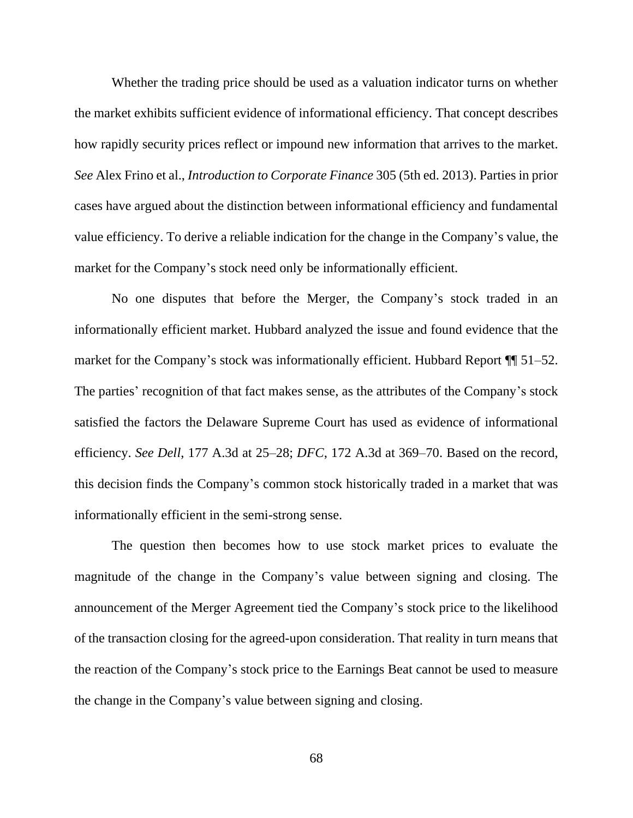Whether the trading price should be used as a valuation indicator turns on whether the market exhibits sufficient evidence of informational efficiency. That concept describes how rapidly security prices reflect or impound new information that arrives to the market. *See* Alex Frino et al., *Introduction to Corporate Finance* 305 (5th ed. 2013). Parties in prior cases have argued about the distinction between informational efficiency and fundamental value efficiency. To derive a reliable indication for the change in the Company's value, the market for the Company's stock need only be informationally efficient.

No one disputes that before the Merger, the Company's stock traded in an informationally efficient market. Hubbard analyzed the issue and found evidence that the market for the Company's stock was informationally efficient. Hubbard Report ¶¶ 51–52. The parties' recognition of that fact makes sense, as the attributes of the Company's stock satisfied the factors the Delaware Supreme Court has used as evidence of informational efficiency. *See Dell*, 177 A.3d at 25–28; *DFC*, 172 A.3d at 369–70. Based on the record, this decision finds the Company's common stock historically traded in a market that was informationally efficient in the semi-strong sense.

The question then becomes how to use stock market prices to evaluate the magnitude of the change in the Company's value between signing and closing. The announcement of the Merger Agreement tied the Company's stock price to the likelihood of the transaction closing for the agreed-upon consideration. That reality in turn means that the reaction of the Company's stock price to the Earnings Beat cannot be used to measure the change in the Company's value between signing and closing.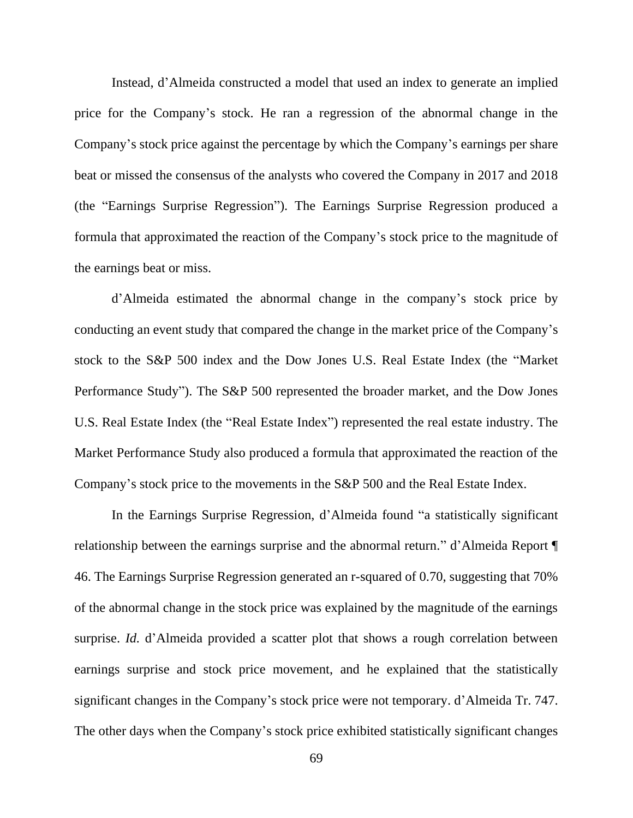Instead, d'Almeida constructed a model that used an index to generate an implied price for the Company's stock. He ran a regression of the abnormal change in the Company's stock price against the percentage by which the Company's earnings per share beat or missed the consensus of the analysts who covered the Company in 2017 and 2018 (the "Earnings Surprise Regression"). The Earnings Surprise Regression produced a formula that approximated the reaction of the Company's stock price to the magnitude of the earnings beat or miss.

d'Almeida estimated the abnormal change in the company's stock price by conducting an event study that compared the change in the market price of the Company's stock to the S&P 500 index and the Dow Jones U.S. Real Estate Index (the "Market Performance Study"). The S&P 500 represented the broader market, and the Dow Jones U.S. Real Estate Index (the "Real Estate Index") represented the real estate industry. The Market Performance Study also produced a formula that approximated the reaction of the Company's stock price to the movements in the S&P 500 and the Real Estate Index.

In the Earnings Surprise Regression, d'Almeida found "a statistically significant relationship between the earnings surprise and the abnormal return." d'Almeida Report ¶ 46. The Earnings Surprise Regression generated an r-squared of 0.70, suggesting that 70% of the abnormal change in the stock price was explained by the magnitude of the earnings surprise. *Id.* d'Almeida provided a scatter plot that shows a rough correlation between earnings surprise and stock price movement, and he explained that the statistically significant changes in the Company's stock price were not temporary. d'Almeida Tr. 747. The other days when the Company's stock price exhibited statistically significant changes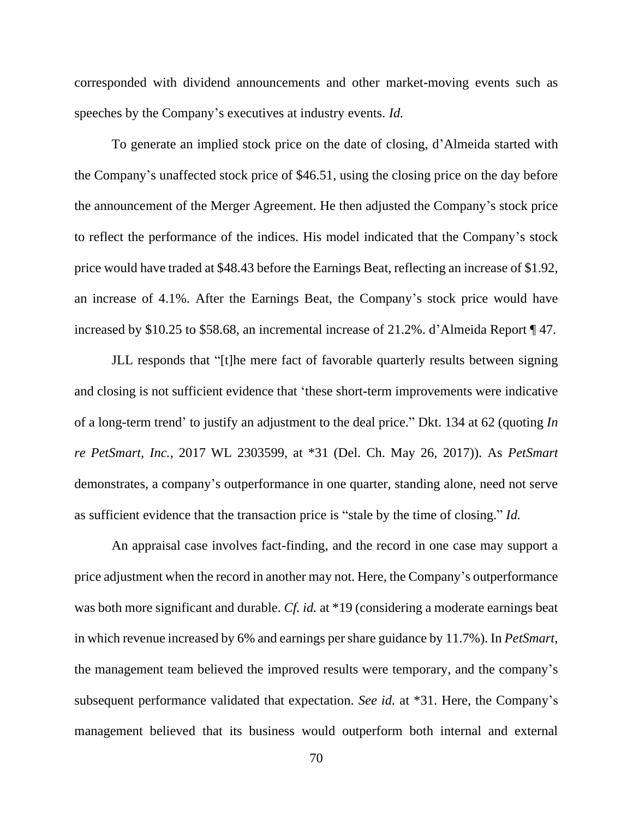corresponded with dividend announcements and other market-moving events such as speeches by the Company's executives at industry events. *Id.*

To generate an implied stock price on the date of closing, d'Almeida started with the Company's unaffected stock price of \$46.51, using the closing price on the day before the announcement of the Merger Agreement. He then adjusted the Company's stock price to reflect the performance of the indices. His model indicated that the Company's stock price would have traded at \$48.43 before the Earnings Beat, reflecting an increase of \$1.92, an increase of 4.1%. After the Earnings Beat, the Company's stock price would have increased by \$10.25 to \$58.68, an incremental increase of 21.2%. d'Almeida Report ¶ 47.

JLL responds that "[t]he mere fact of favorable quarterly results between signing and closing is not sufficient evidence that 'these short-term improvements were indicative of a long-term trend' to justify an adjustment to the deal price." Dkt. 134 at 62 (quoting *In re PetSmart, Inc.*, 2017 WL 2303599, at \*31 (Del. Ch. May 26, 2017)). As *PetSmart*  demonstrates, a company's outperformance in one quarter, standing alone, need not serve as sufficient evidence that the transaction price is "stale by the time of closing." *Id.*

An appraisal case involves fact-finding, and the record in one case may support a price adjustment when the record in another may not. Here, the Company's outperformance was both more significant and durable. *Cf. id.* at \*19 (considering a moderate earnings beat in which revenue increased by 6% and earnings per share guidance by 11.7%). In *PetSmart*, the management team believed the improved results were temporary, and the company's subsequent performance validated that expectation. *See id.* at \*31. Here, the Company's management believed that its business would outperform both internal and external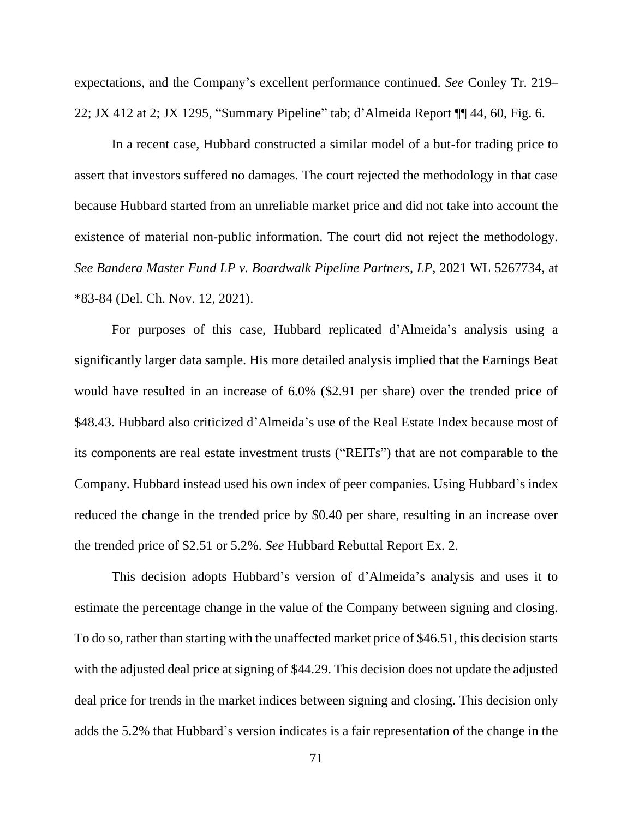expectations, and the Company's excellent performance continued. *See* Conley Tr. 219– 22; JX 412 at 2; JX 1295, "Summary Pipeline" tab; d'Almeida Report ¶¶ 44, 60, Fig. 6.

In a recent case, Hubbard constructed a similar model of a but-for trading price to assert that investors suffered no damages. The court rejected the methodology in that case because Hubbard started from an unreliable market price and did not take into account the existence of material non-public information. The court did not reject the methodology. *See Bandera Master Fund LP v. Boardwalk Pipeline Partners, LP,* 2021 WL 5267734, at \*83-84 (Del. Ch. Nov. 12, 2021).

For purposes of this case, Hubbard replicated d'Almeida's analysis using a significantly larger data sample. His more detailed analysis implied that the Earnings Beat would have resulted in an increase of 6.0% (\$2.91 per share) over the trended price of \$48.43. Hubbard also criticized d'Almeida's use of the Real Estate Index because most of its components are real estate investment trusts ("REITs") that are not comparable to the Company. Hubbard instead used his own index of peer companies. Using Hubbard's index reduced the change in the trended price by \$0.40 per share, resulting in an increase over the trended price of \$2.51 or 5.2%. *See* Hubbard Rebuttal Report Ex. 2.

This decision adopts Hubbard's version of d'Almeida's analysis and uses it to estimate the percentage change in the value of the Company between signing and closing. To do so, rather than starting with the unaffected market price of \$46.51, this decision starts with the adjusted deal price at signing of \$44.29. This decision does not update the adjusted deal price for trends in the market indices between signing and closing. This decision only adds the 5.2% that Hubbard's version indicates is a fair representation of the change in the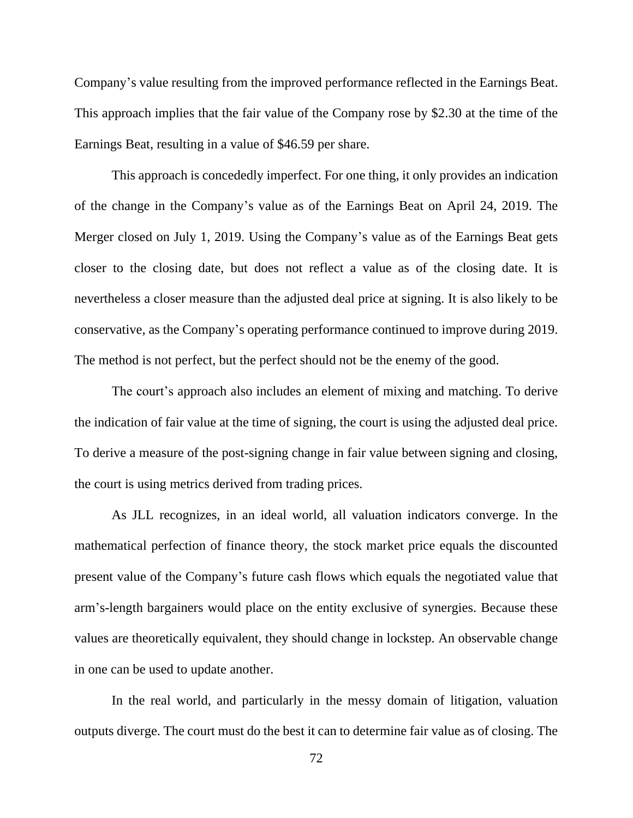Company's value resulting from the improved performance reflected in the Earnings Beat. This approach implies that the fair value of the Company rose by \$2.30 at the time of the Earnings Beat, resulting in a value of \$46.59 per share.

This approach is concededly imperfect. For one thing, it only provides an indication of the change in the Company's value as of the Earnings Beat on April 24, 2019. The Merger closed on July 1, 2019. Using the Company's value as of the Earnings Beat gets closer to the closing date, but does not reflect a value as of the closing date. It is nevertheless a closer measure than the adjusted deal price at signing. It is also likely to be conservative, as the Company's operating performance continued to improve during 2019. The method is not perfect, but the perfect should not be the enemy of the good.

The court's approach also includes an element of mixing and matching. To derive the indication of fair value at the time of signing, the court is using the adjusted deal price. To derive a measure of the post-signing change in fair value between signing and closing, the court is using metrics derived from trading prices.

As JLL recognizes, in an ideal world, all valuation indicators converge. In the mathematical perfection of finance theory, the stock market price equals the discounted present value of the Company's future cash flows which equals the negotiated value that arm's-length bargainers would place on the entity exclusive of synergies. Because these values are theoretically equivalent, they should change in lockstep. An observable change in one can be used to update another.

In the real world, and particularly in the messy domain of litigation, valuation outputs diverge. The court must do the best it can to determine fair value as of closing. The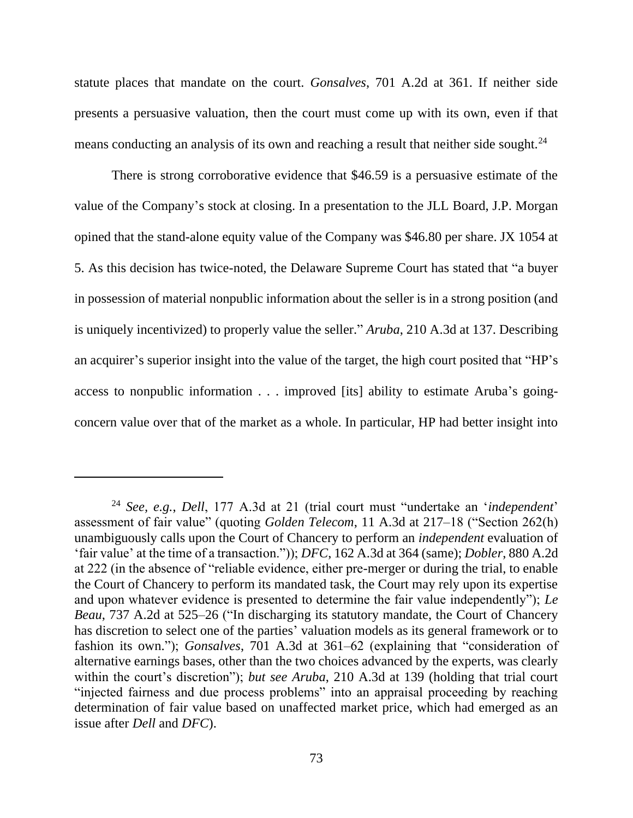statute places that mandate on the court. *Gonsalves*, 701 A.2d at 361. If neither side presents a persuasive valuation, then the court must come up with its own, even if that means conducting an analysis of its own and reaching a result that neither side sought.<sup>24</sup>

There is strong corroborative evidence that \$46.59 is a persuasive estimate of the value of the Company's stock at closing. In a presentation to the JLL Board, J.P. Morgan opined that the stand-alone equity value of the Company was \$46.80 per share. JX 1054 at 5. As this decision has twice-noted, the Delaware Supreme Court has stated that "a buyer in possession of material nonpublic information about the seller is in a strong position (and is uniquely incentivized) to properly value the seller." *Aruba*, 210 A.3d at 137. Describing an acquirer's superior insight into the value of the target, the high court posited that "HP's access to nonpublic information . . . improved [its] ability to estimate Aruba's goingconcern value over that of the market as a whole. In particular, HP had better insight into

<sup>24</sup> *See, e.g.*, *Dell*, 177 A.3d at 21 (trial court must "undertake an '*independent*' assessment of fair value" (quoting *Golden Telecom*, 11 A.3d at 217–18 ("Section 262(h) unambiguously calls upon the Court of Chancery to perform an *independent* evaluation of 'fair value' at the time of a transaction.")); *DFC*, 162 A.3d at 364 (same); *Dobler*, 880 A.2d at 222 (in the absence of "reliable evidence, either pre-merger or during the trial, to enable the Court of Chancery to perform its mandated task, the Court may rely upon its expertise and upon whatever evidence is presented to determine the fair value independently"); *Le Beau*, 737 A.2d at 525–26 ("In discharging its statutory mandate, the Court of Chancery has discretion to select one of the parties' valuation models as its general framework or to fashion its own."); *Gonsalves*, 701 A.3d at 361–62 (explaining that "consideration of alternative earnings bases, other than the two choices advanced by the experts, was clearly within the court's discretion"); *but see Aruba*, 210 A.3d at 139 (holding that trial court "injected fairness and due process problems" into an appraisal proceeding by reaching determination of fair value based on unaffected market price, which had emerged as an issue after *Dell* and *DFC*).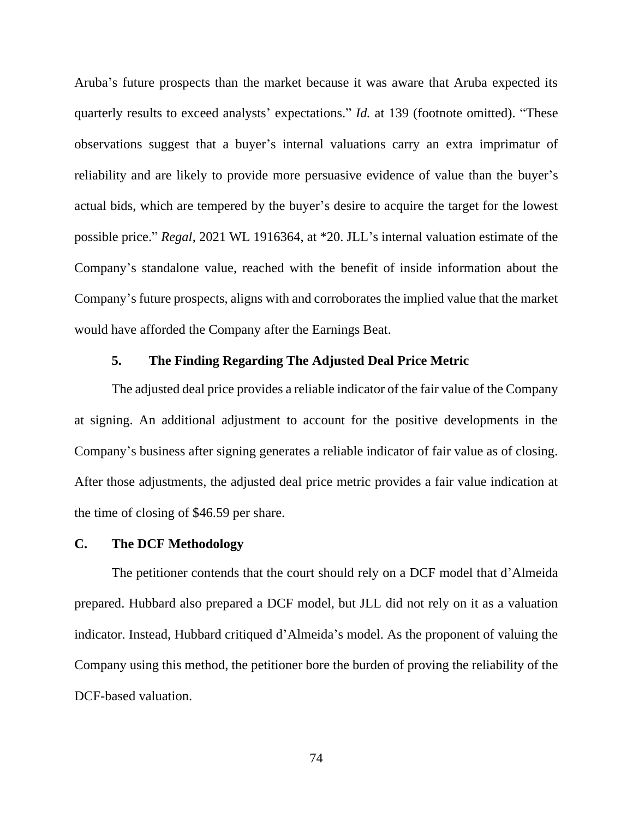Aruba's future prospects than the market because it was aware that Aruba expected its quarterly results to exceed analysts' expectations." *Id.* at 139 (footnote omitted). "These observations suggest that a buyer's internal valuations carry an extra imprimatur of reliability and are likely to provide more persuasive evidence of value than the buyer's actual bids, which are tempered by the buyer's desire to acquire the target for the lowest possible price." *Regal*, 2021 WL 1916364, at \*20. JLL's internal valuation estimate of the Company's standalone value, reached with the benefit of inside information about the Company's future prospects, aligns with and corroborates the implied value that the market would have afforded the Company after the Earnings Beat.

## **5. The Finding Regarding The Adjusted Deal Price Metric**

The adjusted deal price provides a reliable indicator of the fair value of the Company at signing. An additional adjustment to account for the positive developments in the Company's business after signing generates a reliable indicator of fair value as of closing. After those adjustments, the adjusted deal price metric provides a fair value indication at the time of closing of \$46.59 per share.

## **C. The DCF Methodology**

The petitioner contends that the court should rely on a DCF model that d'Almeida prepared. Hubbard also prepared a DCF model, but JLL did not rely on it as a valuation indicator. Instead, Hubbard critiqued d'Almeida's model. As the proponent of valuing the Company using this method, the petitioner bore the burden of proving the reliability of the DCF-based valuation.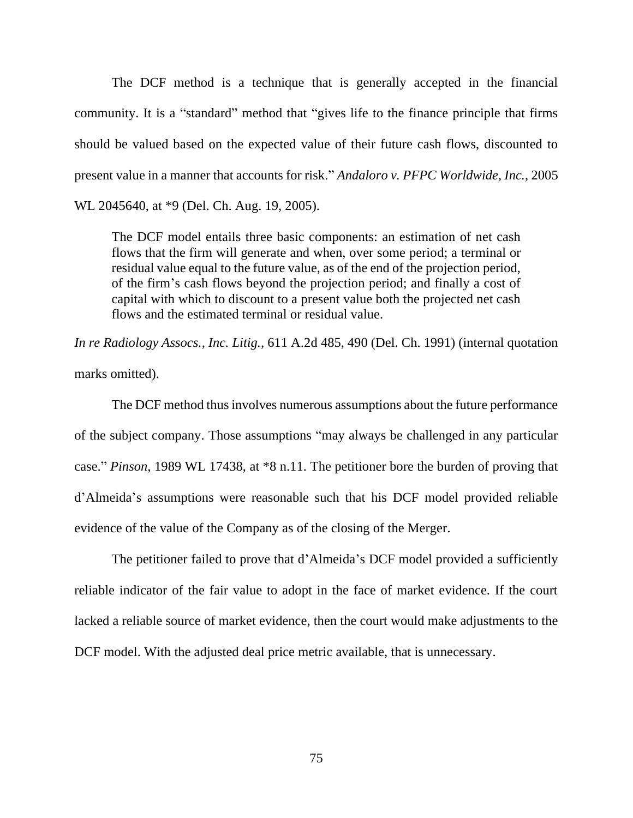The DCF method is a technique that is generally accepted in the financial community. It is a "standard" method that "gives life to the finance principle that firms should be valued based on the expected value of their future cash flows, discounted to present value in a manner that accounts for risk." *Andaloro v. PFPC Worldwide, Inc.*, 2005 WL 2045640, at \*9 (Del. Ch. Aug. 19, 2005).

The DCF model entails three basic components: an estimation of net cash flows that the firm will generate and when, over some period; a terminal or residual value equal to the future value, as of the end of the projection period, of the firm's cash flows beyond the projection period; and finally a cost of capital with which to discount to a present value both the projected net cash flows and the estimated terminal or residual value.

*In re Radiology Assocs., Inc. Litig.*, 611 A.2d 485, 490 (Del. Ch. 1991) (internal quotation marks omitted).

The DCF method thus involves numerous assumptions about the future performance of the subject company. Those assumptions "may always be challenged in any particular case." *Pinson*, 1989 WL 17438, at \*8 n.11. The petitioner bore the burden of proving that d'Almeida's assumptions were reasonable such that his DCF model provided reliable evidence of the value of the Company as of the closing of the Merger.

The petitioner failed to prove that d'Almeida's DCF model provided a sufficiently reliable indicator of the fair value to adopt in the face of market evidence. If the court lacked a reliable source of market evidence, then the court would make adjustments to the DCF model. With the adjusted deal price metric available, that is unnecessary.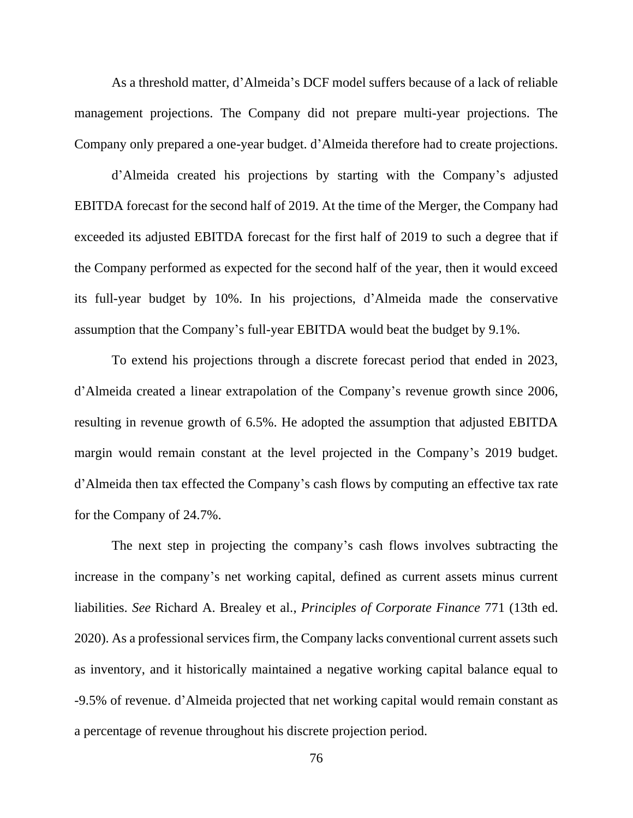As a threshold matter, d'Almeida's DCF model suffers because of a lack of reliable management projections. The Company did not prepare multi-year projections. The Company only prepared a one-year budget. d'Almeida therefore had to create projections.

d'Almeida created his projections by starting with the Company's adjusted EBITDA forecast for the second half of 2019. At the time of the Merger, the Company had exceeded its adjusted EBITDA forecast for the first half of 2019 to such a degree that if the Company performed as expected for the second half of the year, then it would exceed its full-year budget by 10%. In his projections, d'Almeida made the conservative assumption that the Company's full-year EBITDA would beat the budget by 9.1%.

To extend his projections through a discrete forecast period that ended in 2023, d'Almeida created a linear extrapolation of the Company's revenue growth since 2006, resulting in revenue growth of 6.5%. He adopted the assumption that adjusted EBITDA margin would remain constant at the level projected in the Company's 2019 budget. d'Almeida then tax effected the Company's cash flows by computing an effective tax rate for the Company of 24.7%.

The next step in projecting the company's cash flows involves subtracting the increase in the company's net working capital, defined as current assets minus current liabilities. *See* Richard A. Brealey et al., *Principles of Corporate Finance* 771 (13th ed. 2020). As a professional services firm, the Company lacks conventional current assets such as inventory, and it historically maintained a negative working capital balance equal to -9.5% of revenue. d'Almeida projected that net working capital would remain constant as a percentage of revenue throughout his discrete projection period.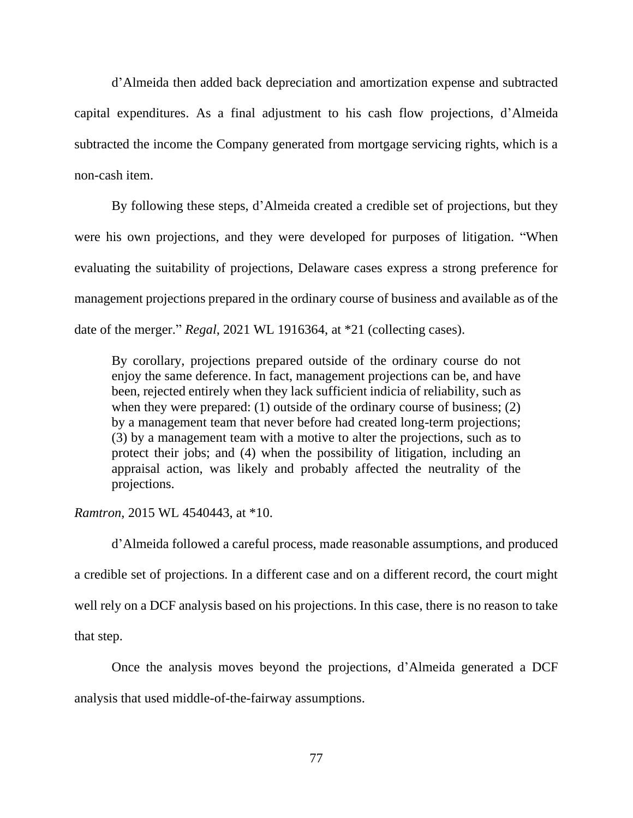d'Almeida then added back depreciation and amortization expense and subtracted capital expenditures. As a final adjustment to his cash flow projections, d'Almeida subtracted the income the Company generated from mortgage servicing rights, which is a non-cash item.

By following these steps, d'Almeida created a credible set of projections, but they were his own projections, and they were developed for purposes of litigation. "When evaluating the suitability of projections, Delaware cases express a strong preference for management projections prepared in the ordinary course of business and available as of the date of the merger." *Regal*, 2021 WL 1916364, at \*21 (collecting cases).

By corollary, projections prepared outside of the ordinary course do not enjoy the same deference. In fact, management projections can be, and have been, rejected entirely when they lack sufficient indicia of reliability, such as when they were prepared: (1) outside of the ordinary course of business; (2) by a management team that never before had created long-term projections; (3) by a management team with a motive to alter the projections, such as to protect their jobs; and (4) when the possibility of litigation, including an appraisal action, was likely and probably affected the neutrality of the projections.

*Ramtron*, 2015 WL 4540443, at \*10.

d'Almeida followed a careful process, made reasonable assumptions, and produced a credible set of projections. In a different case and on a different record, the court might well rely on a DCF analysis based on his projections. In this case, there is no reason to take that step.

Once the analysis moves beyond the projections, d'Almeida generated a DCF analysis that used middle-of-the-fairway assumptions.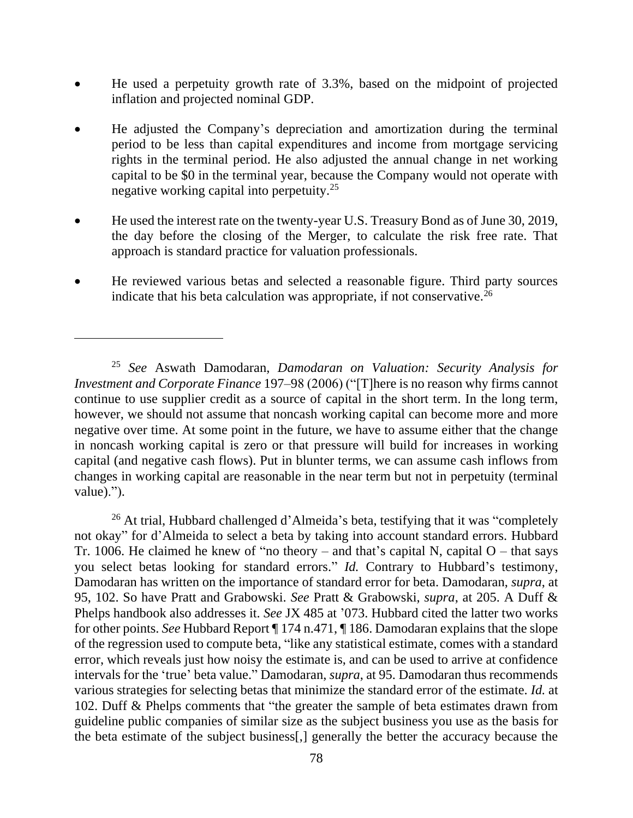- He used a perpetuity growth rate of 3.3%, based on the midpoint of projected inflation and projected nominal GDP.
- He adjusted the Company's depreciation and amortization during the terminal period to be less than capital expenditures and income from mortgage servicing rights in the terminal period. He also adjusted the annual change in net working capital to be \$0 in the terminal year, because the Company would not operate with negative working capital into perpetuity.<sup>25</sup>
- He used the interest rate on the twenty-year U.S. Treasury Bond as of June 30, 2019, the day before the closing of the Merger, to calculate the risk free rate. That approach is standard practice for valuation professionals.
- He reviewed various betas and selected a reasonable figure. Third party sources indicate that his beta calculation was appropriate, if not conservative.<sup>26</sup>

<sup>26</sup> At trial, Hubbard challenged d'Almeida's beta, testifying that it was "completely not okay" for d'Almeida to select a beta by taking into account standard errors. Hubbard Tr. 1006. He claimed he knew of "no theory – and that's capital N, capital  $O$  – that says you select betas looking for standard errors." *Id.* Contrary to Hubbard's testimony, Damodaran has written on the importance of standard error for beta. Damodaran, *supra*, at 95, 102. So have Pratt and Grabowski. *See* Pratt & Grabowski, *supra*, at 205. A Duff & Phelps handbook also addresses it. *See* JX 485 at '073. Hubbard cited the latter two works for other points. *See* Hubbard Report ¶ 174 n.471, ¶ 186. Damodaran explains that the slope of the regression used to compute beta, "like any statistical estimate, comes with a standard error, which reveals just how noisy the estimate is, and can be used to arrive at confidence intervals for the 'true' beta value." Damodaran, *supra*, at 95. Damodaran thus recommends various strategies for selecting betas that minimize the standard error of the estimate. *Id.* at 102. Duff & Phelps comments that "the greater the sample of beta estimates drawn from guideline public companies of similar size as the subject business you use as the basis for the beta estimate of the subject business[,] generally the better the accuracy because the

<sup>25</sup> *See* Aswath Damodaran, *Damodaran on Valuation: Security Analysis for Investment and Corporate Finance* 197–98 (2006) ("[T]here is no reason why firms cannot continue to use supplier credit as a source of capital in the short term. In the long term, however, we should not assume that noncash working capital can become more and more negative over time. At some point in the future, we have to assume either that the change in noncash working capital is zero or that pressure will build for increases in working capital (and negative cash flows). Put in blunter terms, we can assume cash inflows from changes in working capital are reasonable in the near term but not in perpetuity (terminal value).").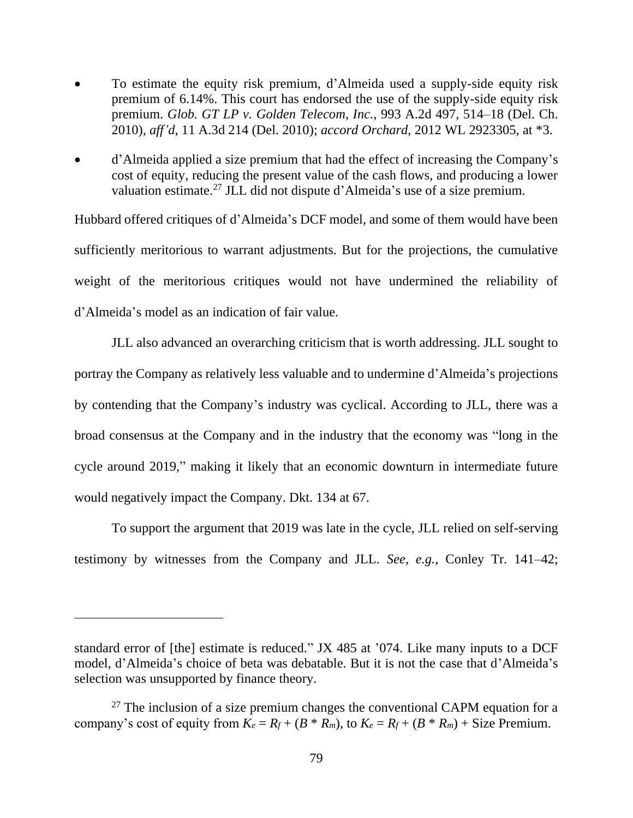- To estimate the equity risk premium, d'Almeida used a supply-side equity risk premium of 6.14%. This court has endorsed the use of the supply-side equity risk premium. *Glob. GT LP v. Golden Telecom, Inc.*, 993 A.2d 497, 514–18 (Del. Ch. 2010), *aff'd*, 11 A.3d 214 (Del. 2010); *accord Orchard*, 2012 WL 2923305, at \*3.
- d'Almeida applied a size premium that had the effect of increasing the Company's cost of equity, reducing the present value of the cash flows, and producing a lower valuation estimate.<sup>27</sup> JLL did not dispute d'Almeida's use of a size premium.

Hubbard offered critiques of d'Almeida's DCF model, and some of them would have been sufficiently meritorious to warrant adjustments. But for the projections, the cumulative weight of the meritorious critiques would not have undermined the reliability of d'Almeida's model as an indication of fair value.

JLL also advanced an overarching criticism that is worth addressing. JLL sought to portray the Company as relatively less valuable and to undermine d'Almeida's projections by contending that the Company's industry was cyclical. According to JLL, there was a broad consensus at the Company and in the industry that the economy was "long in the cycle around 2019," making it likely that an economic downturn in intermediate future would negatively impact the Company. Dkt. 134 at 67.

To support the argument that 2019 was late in the cycle, JLL relied on self-serving testimony by witnesses from the Company and JLL. *See, e.g.*, Conley Tr. 141–42;

standard error of [the] estimate is reduced." JX 485 at '074. Like many inputs to a DCF model, d'Almeida's choice of beta was debatable. But it is not the case that d'Almeida's selection was unsupported by finance theory.

 $27$  The inclusion of a size premium changes the conventional CAPM equation for a company's cost of equity from  $K_e = R_f + (B * R_m)$ , to  $K_e = R_f + (B * R_m) +$  Size Premium.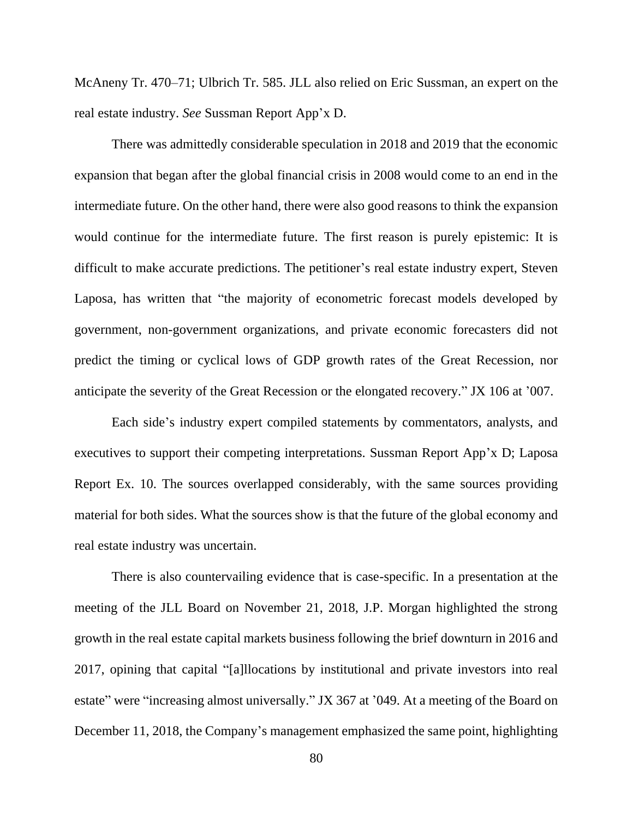McAneny Tr. 470–71; Ulbrich Tr. 585. JLL also relied on Eric Sussman, an expert on the real estate industry. *See* Sussman Report App'x D.

There was admittedly considerable speculation in 2018 and 2019 that the economic expansion that began after the global financial crisis in 2008 would come to an end in the intermediate future. On the other hand, there were also good reasons to think the expansion would continue for the intermediate future. The first reason is purely epistemic: It is difficult to make accurate predictions. The petitioner's real estate industry expert, Steven Laposa, has written that "the majority of econometric forecast models developed by government, non-government organizations, and private economic forecasters did not predict the timing or cyclical lows of GDP growth rates of the Great Recession, nor anticipate the severity of the Great Recession or the elongated recovery." JX 106 at '007.

Each side's industry expert compiled statements by commentators, analysts, and executives to support their competing interpretations. Sussman Report App'x D; Laposa Report Ex. 10. The sources overlapped considerably, with the same sources providing material for both sides. What the sources show is that the future of the global economy and real estate industry was uncertain.

There is also countervailing evidence that is case-specific. In a presentation at the meeting of the JLL Board on November 21, 2018, J.P. Morgan highlighted the strong growth in the real estate capital markets business following the brief downturn in 2016 and 2017, opining that capital "[a]llocations by institutional and private investors into real estate" were "increasing almost universally." JX 367 at '049. At a meeting of the Board on December 11, 2018, the Company's management emphasized the same point, highlighting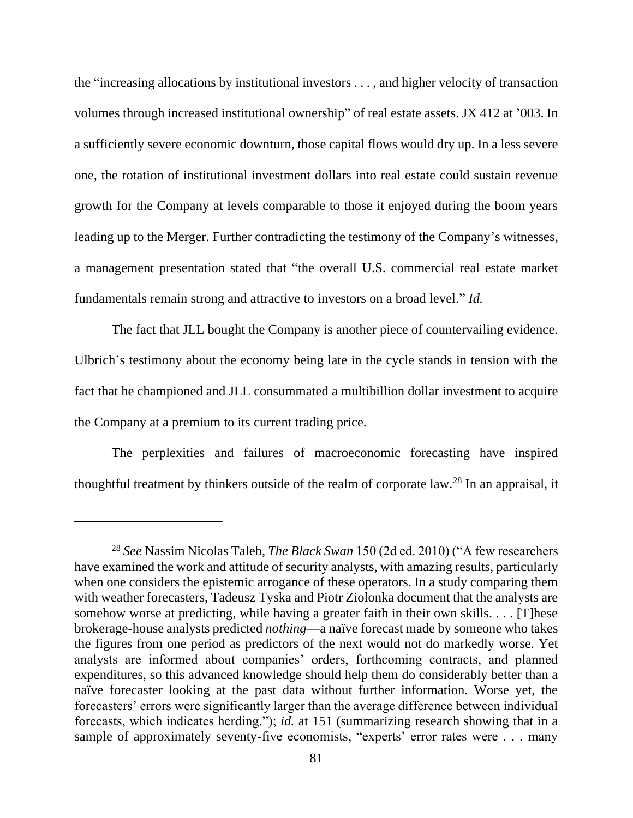the "increasing allocations by institutional investors . . . , and higher velocity of transaction volumes through increased institutional ownership" of real estate assets. JX 412 at '003. In a sufficiently severe economic downturn, those capital flows would dry up. In a less severe one, the rotation of institutional investment dollars into real estate could sustain revenue growth for the Company at levels comparable to those it enjoyed during the boom years leading up to the Merger. Further contradicting the testimony of the Company's witnesses, a management presentation stated that "the overall U.S. commercial real estate market fundamentals remain strong and attractive to investors on a broad level." *Id.*

The fact that JLL bought the Company is another piece of countervailing evidence. Ulbrich's testimony about the economy being late in the cycle stands in tension with the fact that he championed and JLL consummated a multibillion dollar investment to acquire the Company at a premium to its current trading price.

The perplexities and failures of macroeconomic forecasting have inspired thoughtful treatment by thinkers outside of the realm of corporate law.<sup>28</sup> In an appraisal, it

<sup>28</sup> *See* Nassim Nicolas Taleb, *The Black Swan* 150 (2d ed. 2010) ("A few researchers have examined the work and attitude of security analysts, with amazing results, particularly when one considers the epistemic arrogance of these operators. In a study comparing them with weather forecasters, Tadeusz Tyska and Piotr Ziolonka document that the analysts are somehow worse at predicting, while having a greater faith in their own skills. . . . [T]hese brokerage-house analysts predicted *nothing*—a naïve forecast made by someone who takes the figures from one period as predictors of the next would not do markedly worse. Yet analysts are informed about companies' orders, forthcoming contracts, and planned expenditures, so this advanced knowledge should help them do considerably better than a naïve forecaster looking at the past data without further information. Worse yet, the forecasters' errors were significantly larger than the average difference between individual forecasts, which indicates herding."); *id.* at 151 (summarizing research showing that in a sample of approximately seventy-five economists, "experts' error rates were . . . many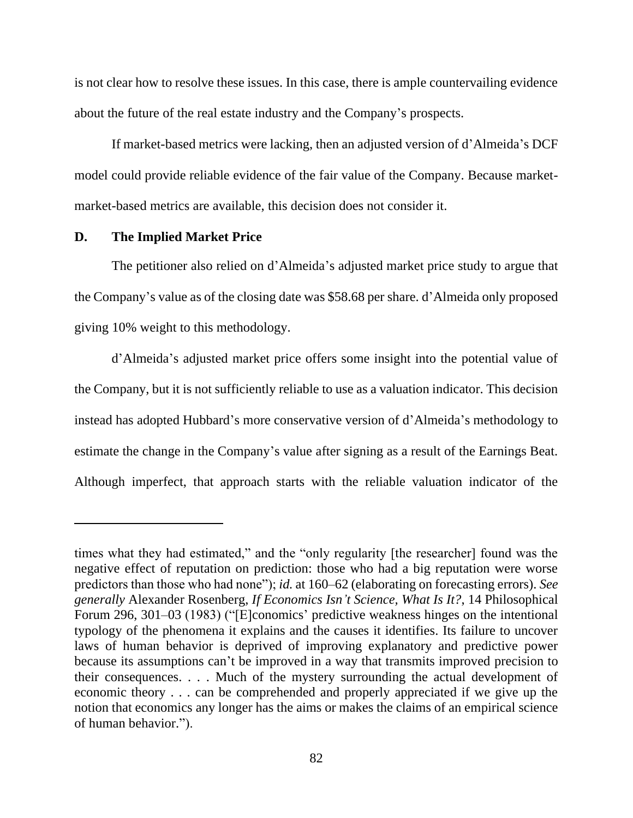is not clear how to resolve these issues. In this case, there is ample countervailing evidence about the future of the real estate industry and the Company's prospects.

If market-based metrics were lacking, then an adjusted version of d'Almeida's DCF model could provide reliable evidence of the fair value of the Company. Because marketmarket-based metrics are available, this decision does not consider it.

## **D. The Implied Market Price**

The petitioner also relied on d'Almeida's adjusted market price study to argue that the Company's value as of the closing date was \$58.68 per share. d'Almeida only proposed giving 10% weight to this methodology.

d'Almeida's adjusted market price offers some insight into the potential value of the Company, but it is not sufficiently reliable to use as a valuation indicator. This decision instead has adopted Hubbard's more conservative version of d'Almeida's methodology to estimate the change in the Company's value after signing as a result of the Earnings Beat. Although imperfect, that approach starts with the reliable valuation indicator of the

times what they had estimated," and the "only regularity [the researcher] found was the negative effect of reputation on prediction: those who had a big reputation were worse predictors than those who had none"); *id.* at 160–62 (elaborating on forecasting errors). *See generally* Alexander Rosenberg, *If Economics Isn't Science, What Is It?*, 14 Philosophical Forum 296, 301–03 (1983) ("[E]conomics' predictive weakness hinges on the intentional typology of the phenomena it explains and the causes it identifies. Its failure to uncover laws of human behavior is deprived of improving explanatory and predictive power because its assumptions can't be improved in a way that transmits improved precision to their consequences. . . . Much of the mystery surrounding the actual development of economic theory . . . can be comprehended and properly appreciated if we give up the notion that economics any longer has the aims or makes the claims of an empirical science of human behavior.").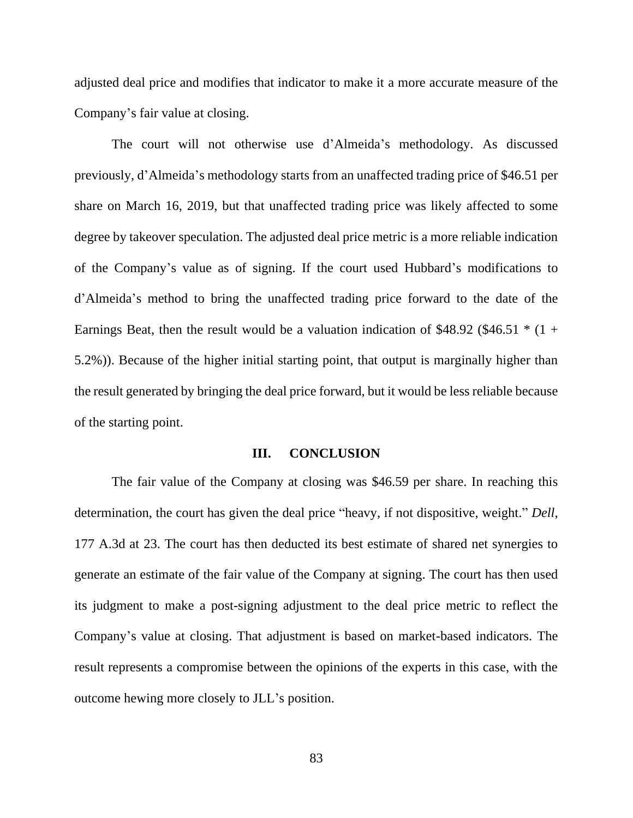adjusted deal price and modifies that indicator to make it a more accurate measure of the Company's fair value at closing.

The court will not otherwise use d'Almeida's methodology. As discussed previously, d'Almeida's methodology starts from an unaffected trading price of \$46.51 per share on March 16, 2019, but that unaffected trading price was likely affected to some degree by takeover speculation. The adjusted deal price metric is a more reliable indication of the Company's value as of signing. If the court used Hubbard's modifications to d'Almeida's method to bring the unaffected trading price forward to the date of the Earnings Beat, then the result would be a valuation indication of \$48.92 (\$46.51  $*$  (1 + 5.2%)). Because of the higher initial starting point, that output is marginally higher than the result generated by bringing the deal price forward, but it would be less reliable because of the starting point.

## **III. CONCLUSION**

The fair value of the Company at closing was \$46.59 per share. In reaching this determination, the court has given the deal price "heavy, if not dispositive, weight." *Dell*, 177 A.3d at 23. The court has then deducted its best estimate of shared net synergies to generate an estimate of the fair value of the Company at signing. The court has then used its judgment to make a post-signing adjustment to the deal price metric to reflect the Company's value at closing. That adjustment is based on market-based indicators. The result represents a compromise between the opinions of the experts in this case, with the outcome hewing more closely to JLL's position.